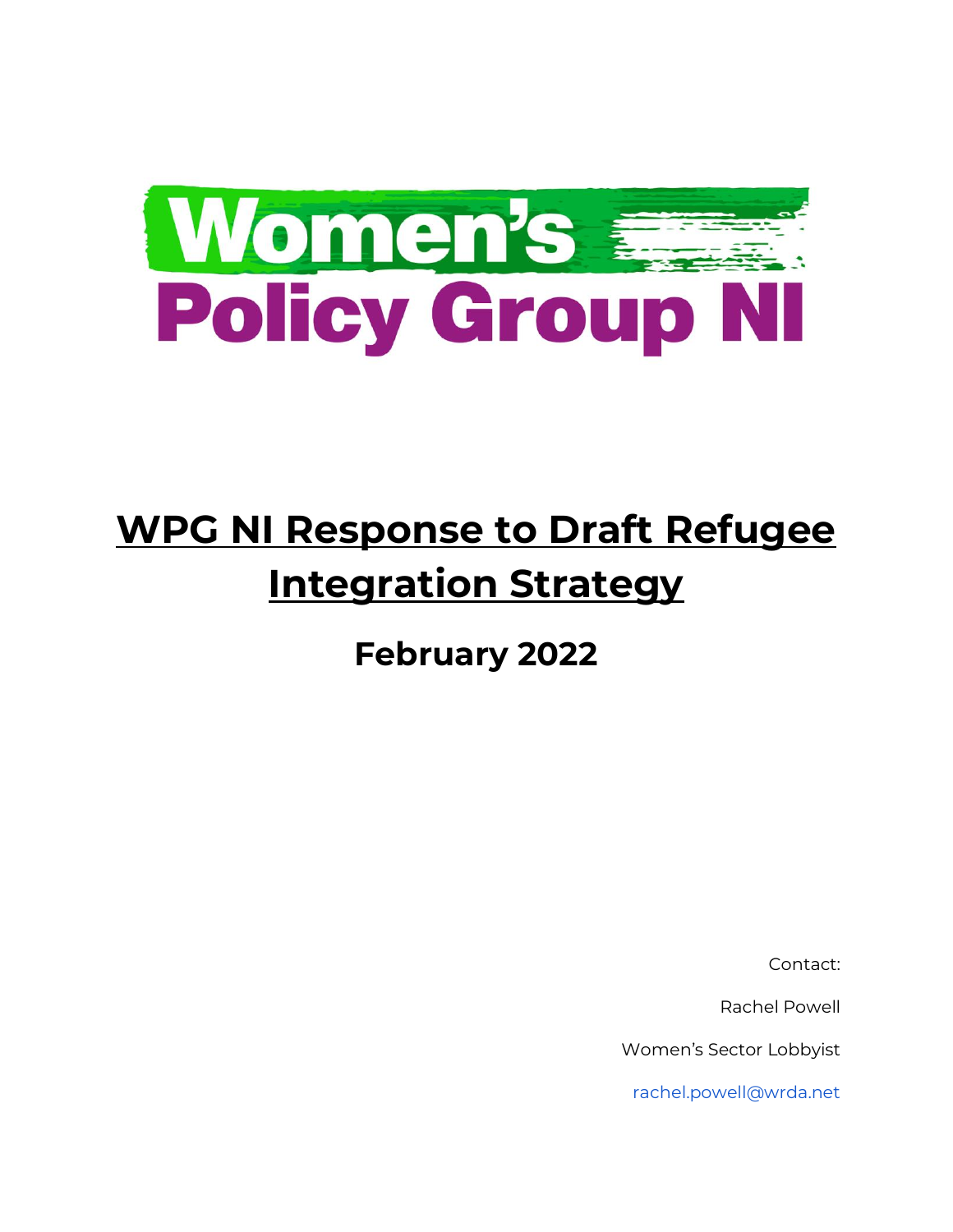

# **WPG NI Response to Draft Refugee Integration Strategy**

**February 2022** 

Contact:

Rachel Powell

Women's Sector Lobbyist

rachel.powell@wrda.net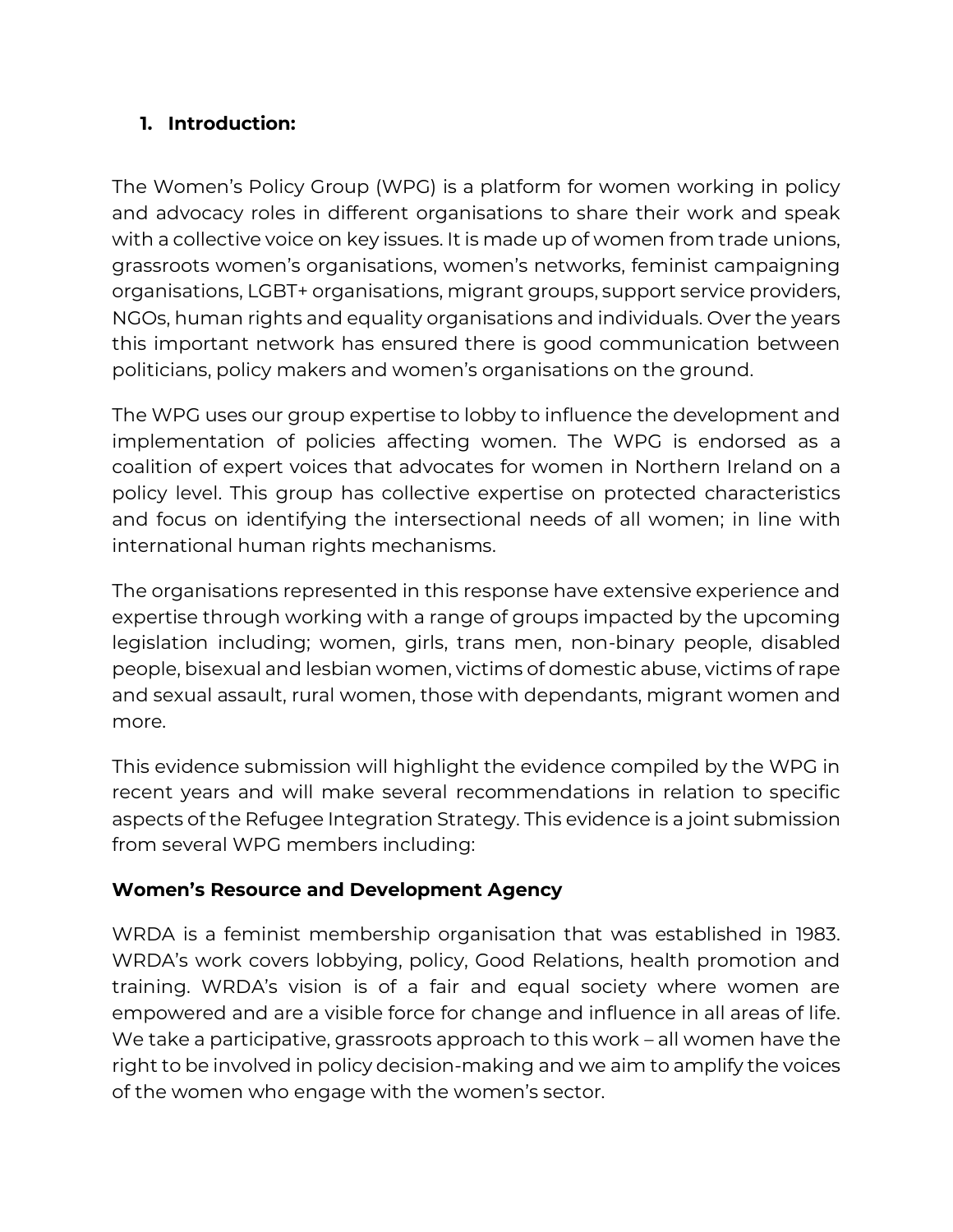#### **1. Introduction:**

The Women's Policy Group (WPG) is a platform for women working in policy and advocacy roles in different organisations to share their work and speak with a collective voice on key issues. It is made up of women from trade unions, grassroots women's organisations, women's networks, feminist campaigning organisations, LGBT+ organisations, migrant groups, support service providers, NGOs, human rights and equality organisations and individuals. Over the years this important network has ensured there is good communication between politicians, policy makers and women's organisations on the ground.

The WPG uses our group expertise to lobby to influence the development and implementation of policies affecting women. The WPG is endorsed as a coalition of expert voices that advocates for women in Northern Ireland on a policy level. This group has collective expertise on protected characteristics and focus on identifying the intersectional needs of all women; in line with international human rights mechanisms.

The organisations represented in this response have extensive experience and expertise through working with a range of groups impacted by the upcoming legislation including; women, girls, trans men, non-binary people, disabled people, bisexual and lesbian women, victims of domestic abuse, victims of rape and sexual assault, rural women, those with dependants, migrant women and more.

This evidence submission will highlight the evidence compiled by the WPG in recent years and will make several recommendations in relation to specific aspects of the Refugee Integration Strategy. This evidence is a joint submission from several WPG members including:

#### **Women's Resource and Development Agency**

WRDA is a feminist membership organisation that was established in 1983. WRDA's work covers lobbying, policy, Good Relations, health promotion and training. WRDA's vision is of a fair and equal society where women are empowered and are a visible force for change and influence in all areas of life. We take a participative, grassroots approach to this work – all women have the right to be involved in policy decision-making and we aim to amplify the voices of the women who engage with the women's sector.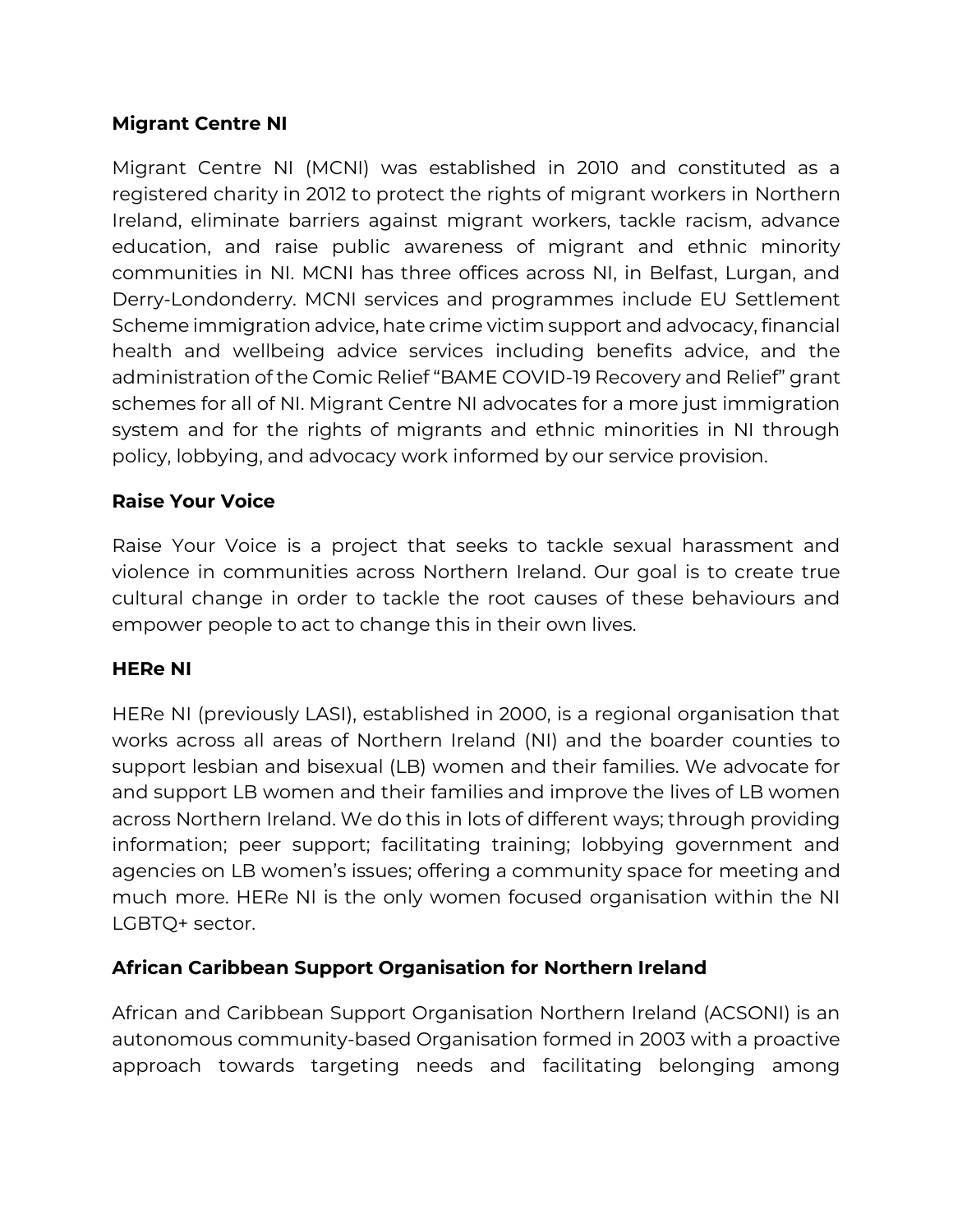#### **Migrant Centre NI**

Migrant Centre NI (MCNI) was established in 2010 and constituted as a registered charity in 2012 to protect the rights of migrant workers in Northern Ireland, eliminate barriers against migrant workers, tackle racism, advance education, and raise public awareness of migrant and ethnic minority communities in NI. MCNI has three offices across NI, in Belfast, Lurgan, and Derry-Londonderry. MCNI services and programmes include EU Settlement Scheme immigration advice, hate crime victim support and advocacy, financial health and wellbeing advice services including benefits advice, and the administration of the Comic Relief "BAME COVID-19 Recovery and Relief" grant schemes for all of NI. Migrant Centre NI advocates for a more just immigration system and for the rights of migrants and ethnic minorities in NI through policy, lobbying, and advocacy work informed by our service provision.

#### **Raise Your Voice**

Raise Your Voice is a project that seeks to tackle sexual harassment and violence in communities across Northern Ireland. Our goal is to create true cultural change in order to tackle the root causes of these behaviours and empower people to act to change this in their own lives.

#### **HERe NI**

HERe NI (previously LASI), established in 2000, is a regional organisation that works across all areas of Northern Ireland (NI) and the boarder counties to support lesbian and bisexual (LB) women and their families. We advocate for and support LB women and their families and improve the lives of LB women across Northern Ireland. We do this in lots of different ways; through providing information; peer support; facilitating training; lobbying government and agencies on LB women's issues; offering a community space for meeting and much more. HERe NI is the only women focused organisation within the NI LGBTQ+ sector.

#### **African Caribbean Support Organisation for Northern Ireland**

African and Caribbean Support Organisation Northern Ireland (ACSONI) is an autonomous community-based Organisation formed in 2003 with a proactive approach towards targeting needs and facilitating belonging among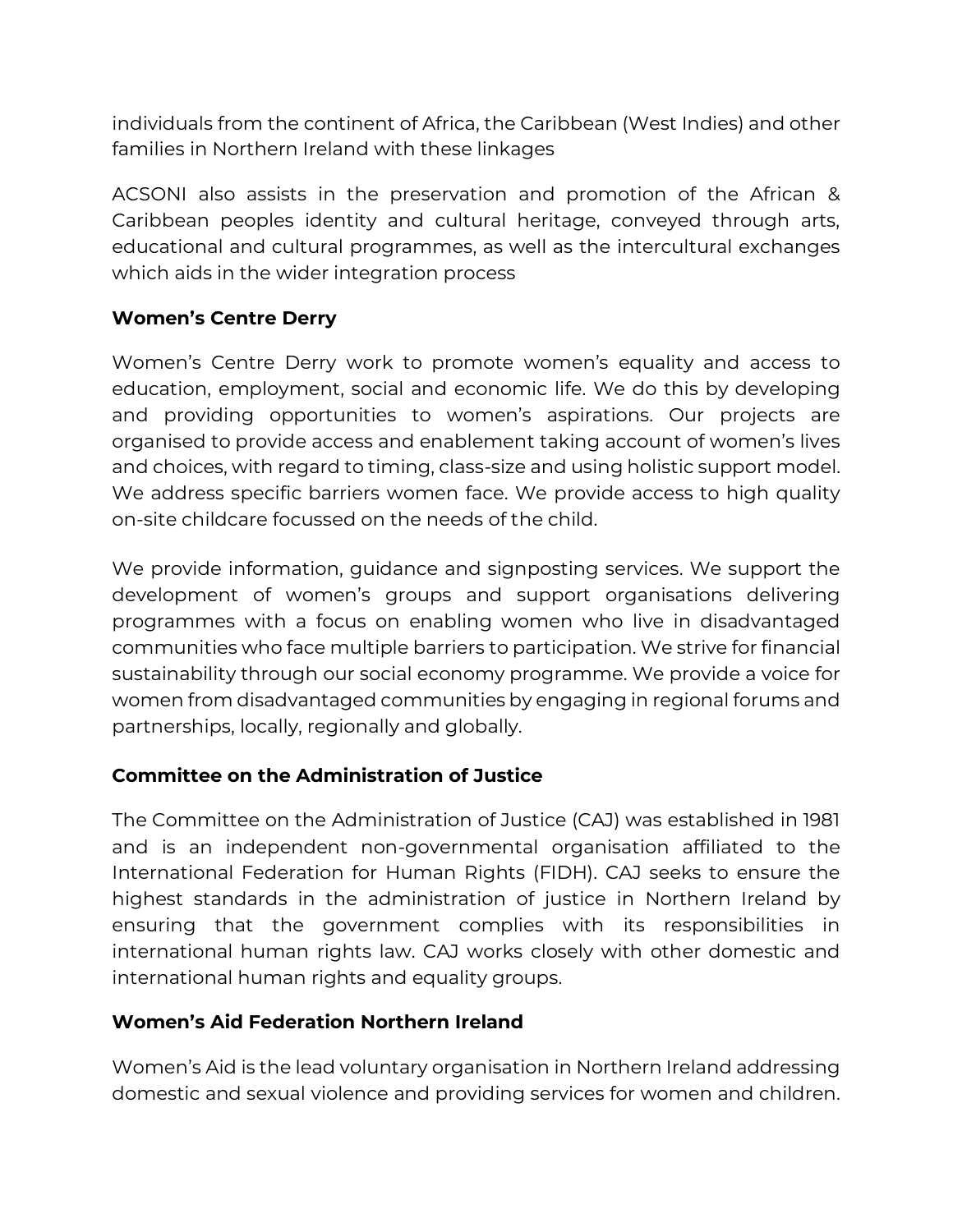individuals from the continent of Africa, the Caribbean (West Indies) and other families in Northern Ireland with these linkages

ACSONI also assists in the preservation and promotion of the African & Caribbean peoples identity and cultural heritage, conveyed through arts, educational and cultural programmes, as well as the intercultural exchanges which aids in the wider integration process

#### **Women's Centre Derry**

Women's Centre Derry work to promote women's equality and access to education, employment, social and economic life. We do this by developing and providing opportunities to women's aspirations. Our projects are organised to provide access and enablement taking account of women's lives and choices, with regard to timing, class-size and using holistic support model. We address specific barriers women face. We provide access to high quality on-site childcare focussed on the needs of the child.

We provide information, guidance and signposting services. We support the development of women's groups and support organisations delivering programmes with a focus on enabling women who live in disadvantaged communities who face multiple barriers to participation. We strive for financial sustainability through our social economy programme. We provide a voice for women from disadvantaged communities by engaging in regional forums and partnerships, locally, regionally and globally.

## **Committee on the Administration of Justice**

The Committee on the Administration of Justice (CAJ) was established in 1981 and is an independent non-governmental organisation affiliated to the International Federation for Human Rights (FIDH). CAJ seeks to ensure the highest standards in the administration of justice in Northern Ireland by ensuring that the government complies with its responsibilities in international human rights law. CAJ works closely with other domestic and international human rights and equality groups.

## **Women's Aid Federation Northern Ireland**

Women's Aid is the lead voluntary organisation in Northern Ireland addressing domestic and sexual violence and providing services for women and children.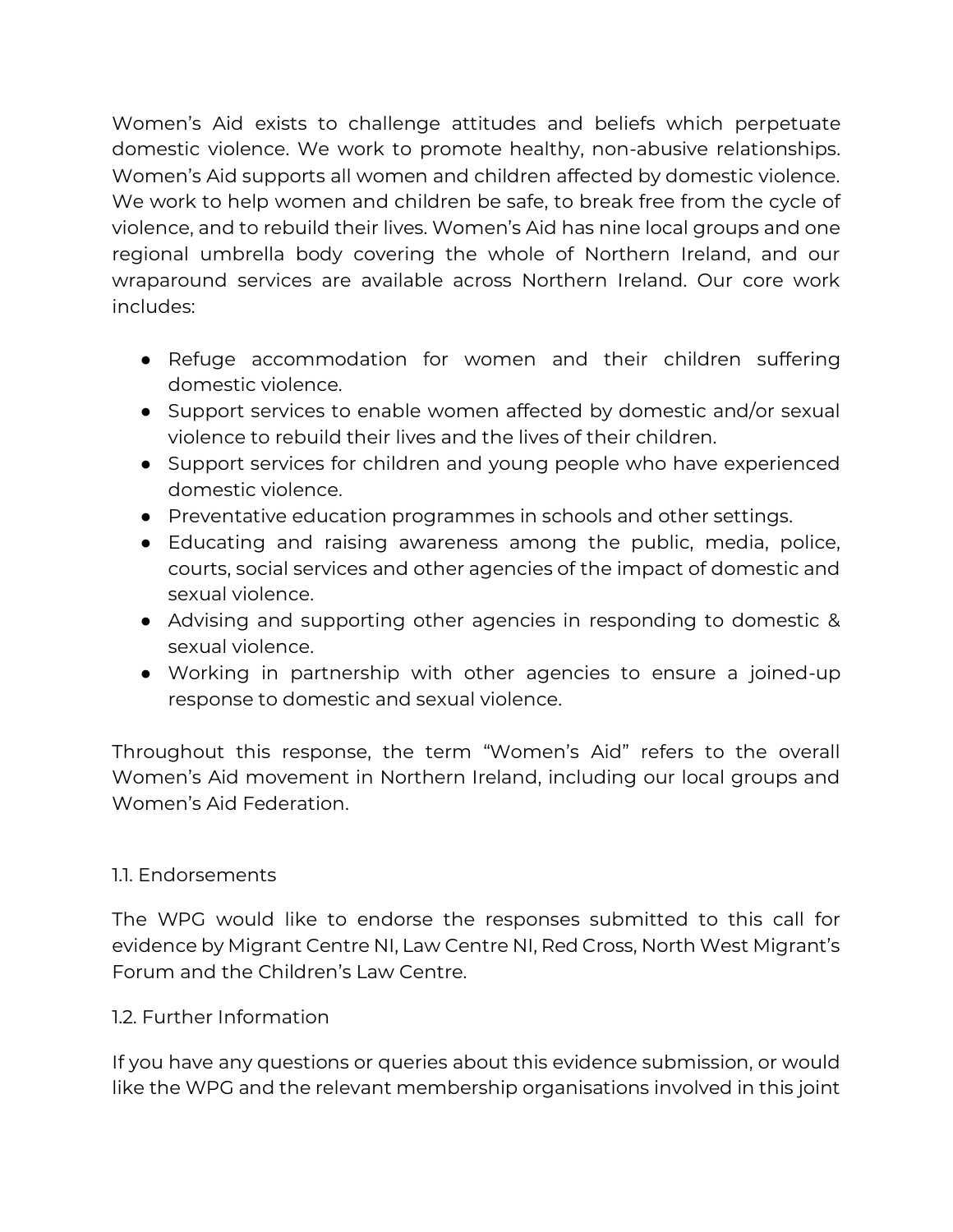Women's Aid exists to challenge attitudes and beliefs which perpetuate domestic violence. We work to promote healthy, non-abusive relationships. Women's Aid supports all women and children affected by domestic violence. We work to help women and children be safe, to break free from the cycle of violence, and to rebuild their lives. Women's Aid has nine local groups and one regional umbrella body covering the whole of Northern Ireland, and our wraparound services are available across Northern Ireland. Our core work includes:

- Refuge accommodation for women and their children suffering domestic violence.
- Support services to enable women affected by domestic and/or sexual violence to rebuild their lives and the lives of their children.
- Support services for children and young people who have experienced domestic violence.
- Preventative education programmes in schools and other settings.
- Educating and raising awareness among the public, media, police, courts, social services and other agencies of the impact of domestic and sexual violence.
- Advising and supporting other agencies in responding to domestic & sexual violence.
- Working in partnership with other agencies to ensure a joined-up response to domestic and sexual violence.

Throughout this response, the term "Women's Aid" refers to the overall Women's Aid movement in Northern Ireland, including our local groups and Women's Aid Federation.

#### 1.1. Endorsements

The WPG would like to endorse the responses submitted to this call for evidence by Migrant Centre NI, Law Centre NI, Red Cross, North West Migrant's Forum and the Children's Law Centre.

#### 1.2. Further Information

If you have any questions or queries about this evidence submission, or would like the WPG and the relevant membership organisations involved in this joint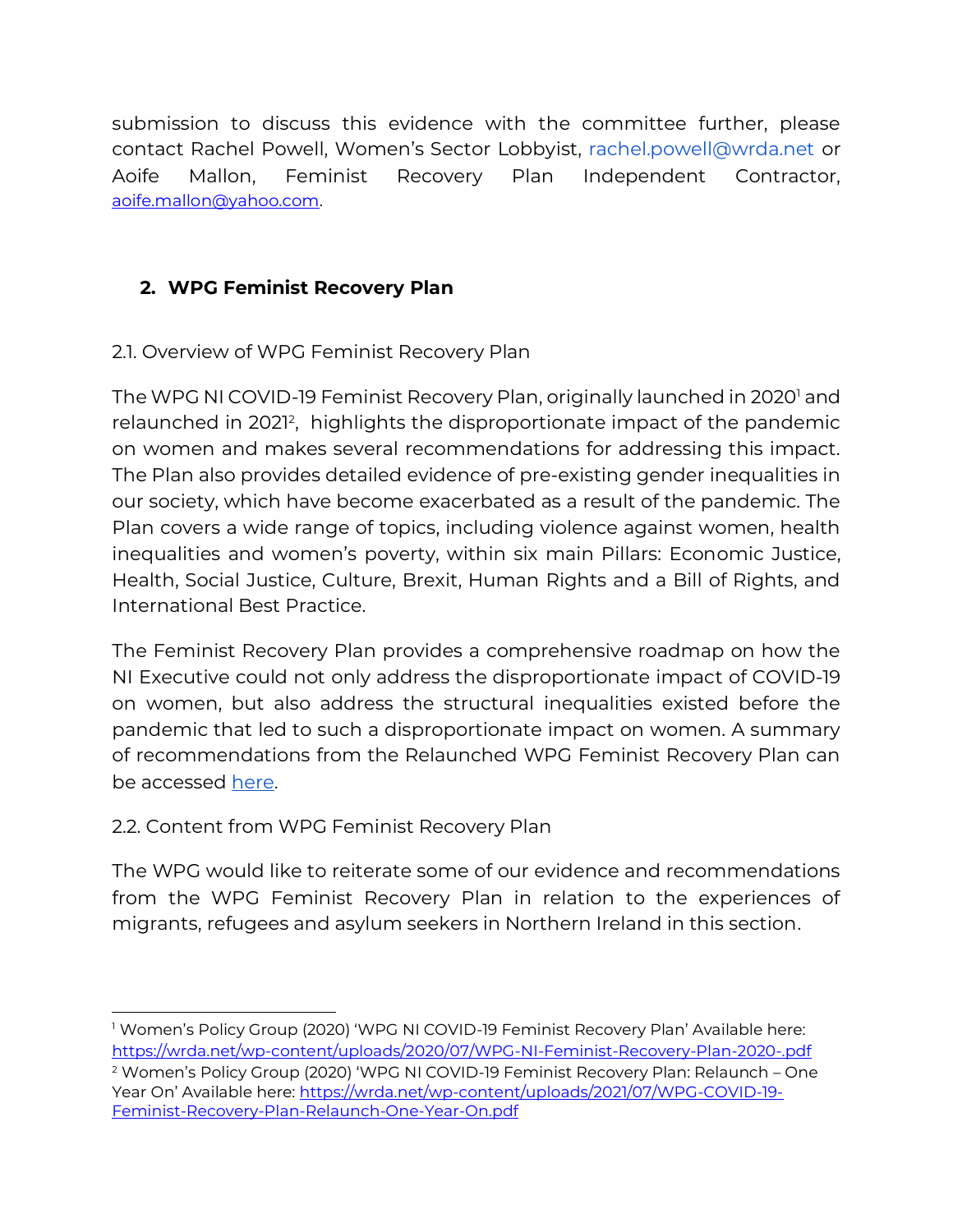submission to discuss this evidence with the committee further, please contact Rachel Powell, Women's Sector Lobbyist, rachel.powell@wrda.net or Aoife Mallon, Feminist Recovery Plan Independent Contractor, [aoife.mallon@yahoo.com.](mailto:aoife.mallon@yahoo.com)

# **2. WPG Feminist Recovery Plan**

## 2.1. Overview of WPG Feminist Recovery Plan

The WPG NI COVID-19 Feminist Recovery Plan, originally launched in 2020<sup>1</sup> and relaunched in 2021<sup>2</sup> , highlights the disproportionate impact of the pandemic on women and makes several recommendations for addressing this impact. The Plan also provides detailed evidence of pre-existing gender inequalities in our society, which have become exacerbated as a result of the pandemic. The Plan covers a wide range of topics, including violence against women, health inequalities and women's poverty, within six main Pillars: Economic Justice, Health, Social Justice, Culture, Brexit, Human Rights and a Bill of Rights, and International Best Practice.

The Feminist Recovery Plan provides a comprehensive roadmap on how the NI Executive could not only address the disproportionate impact of COVID-19 on women, but also address the structural inequalities existed before the pandemic that led to such a disproportionate impact on women. A summary of recommendations from the Relaunched WPG Feminist Recovery Plan can be accesse[d](https://wrda.net/wp-content/uploads/2021/10/WPG-Feminist-Recovery-Plan-2021-Summary-of-Recommendations.pdf) [here.](https://wrda.net/wp-content/uploads/2021/10/WPG-Feminist-Recovery-Plan-2021-Summary-of-Recommendations.pdf)

## 2.2. Content from WPG Feminist Recovery Plan

The WPG would like to reiterate some of our evidence and recommendations from the WPG Feminist Recovery Plan in relation to the experiences of migrants, refugees and asylum seekers in Northern Ireland in this section.

<sup>1</sup> Women's Policy Group (2020) 'WPG NI COVID-19 Feminist Recovery Plan' Available here: <https://wrda.net/wp-content/uploads/2020/07/WPG-NI-Feminist-Recovery-Plan-2020-.pdf>

<sup>2</sup> Women's Policy Group (2020) 'WPG NI COVID-19 Feminist Recovery Plan: Relaunch – One Year On' Available here: [https://wrda.net/wp-content/uploads/2021/07/WPG-COVID-19-](https://wrda.net/wp-content/uploads/2021/07/WPG-COVID-19-Feminist-Recovery-Plan-Relaunch-One-Year-On.pdf) [Feminist-Recovery-Plan-Relaunch-One-Year-On.pdf](https://wrda.net/wp-content/uploads/2021/07/WPG-COVID-19-Feminist-Recovery-Plan-Relaunch-One-Year-On.pdf)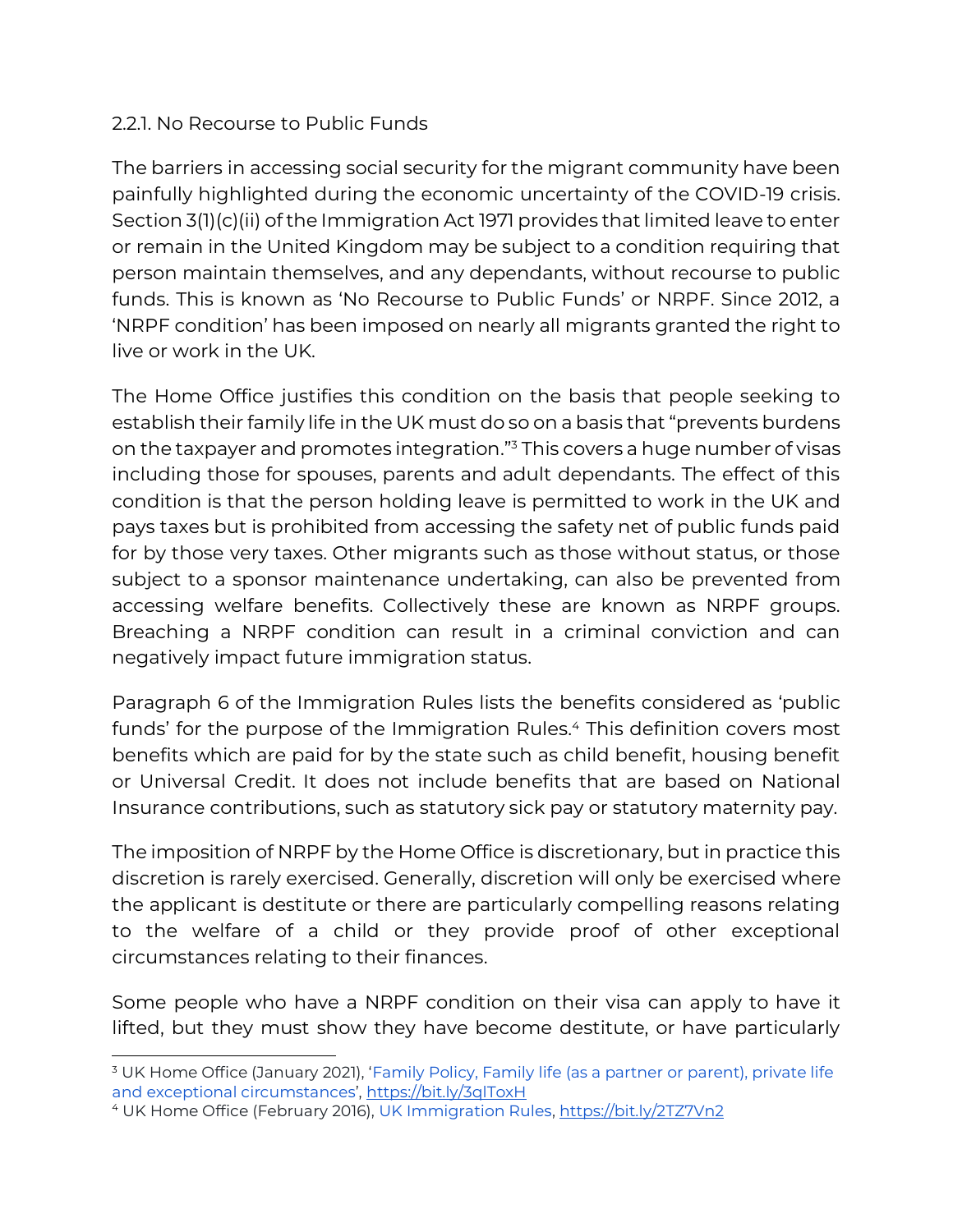#### 2.2.1. No Recourse to Public Funds

The barriers in accessing social security for the migrant community have been painfully highlighted during the economic uncertainty of the COVID-19 crisis. Section 3(1)(c)(ii) of the Immigration Act 1971 provides that limited leave to enter or remain in the United Kingdom may be subject to a condition requiring that person maintain themselves, and any dependants, without recourse to public funds. This is known as 'No Recourse to Public Funds' or NRPF. Since 2012, a 'NRPF condition' has been imposed on nearly all migrants granted the right to live or work in the UK.

The Home Office justifies this condition on the basis that people seeking to establish their family life in the UK must do so on a basis that "prevents burdens on the taxpayer and promotes integration."<sup>3</sup> This covers a huge number of visas including those for spouses, parents and adult dependants. The effect of this condition is that the person holding leave is permitted to work in the UK and pays taxes but is prohibited from accessing the safety net of public funds paid for by those very taxes. Other migrants such as those without status, or those subject to a sponsor maintenance undertaking, can also be prevented from accessing welfare benefits. Collectively these are known as NRPF groups. Breaching a NRPF condition can result in a criminal conviction and can negatively impact future immigration status.

Paragraph 6 of the Immigration Rules lists the benefits considered as 'public funds' for the purpose of the Immigration Rules.<sup>4</sup> This definition covers most benefits which are paid for by the state such as child benefit, housing benefit or Universal Credit. It does not include benefits that are based on National Insurance contributions, such as statutory sick pay or statutory maternity pay.

The imposition of NRPF by the Home Office is discretionary, but in practice this discretion is rarely exercised. Generally, discretion will only be exercised where the applicant is destitute or there are particularly compelling reasons relating to the welfare of a child or they provide proof of other exceptional circumstances relating to their finances.

Some people who have a NRPF condition on their visa can apply to have it lifted, but they must show they have become destitute, or have particularly

<sup>&</sup>lt;sup>3</sup> UK Home Office (January 2021), 'Family Policy, Family life (as a partner or parent), private life [and exceptional circumstances](https://assets.publishing.service.gov.uk/government/uploads/system/uploads/attachment_data/file/889361/family-life-_as-a-partner-or-parent_-private-life-and-exceptional-circumstances-v8.0-gov-uk.pdf)', <https://bit.ly/3qlToxH>

<sup>4</sup> UK Home Office (February 2016), [UK Immigration Rules,](https://www.gov.uk/guidance/immigration-rules/immigration-rules-introduction)<https://bit.ly/2TZ7Vn2>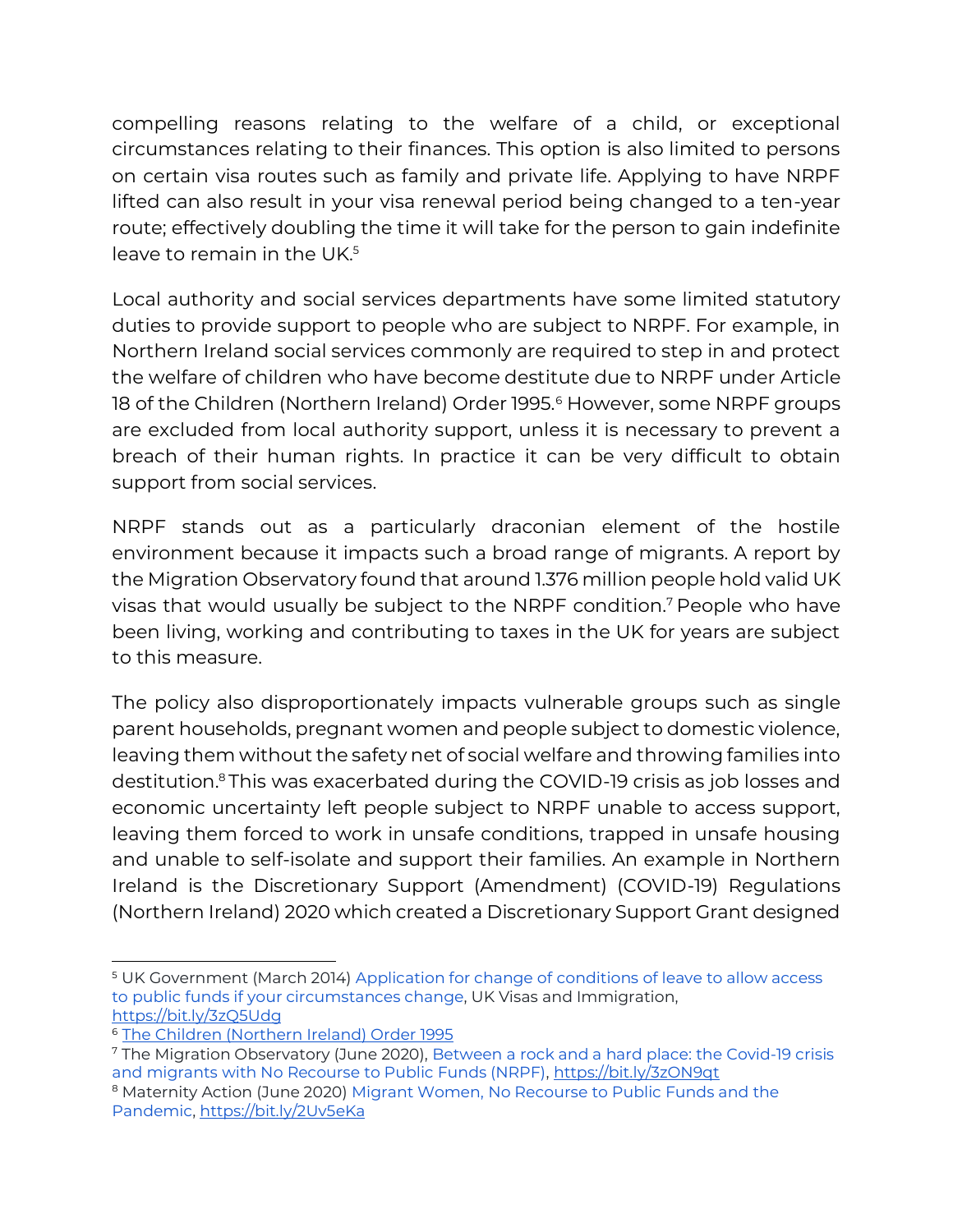compelling reasons relating to the welfare of a child, or exceptional circumstances relating to their finances. This option is also limited to persons on certain visa routes such as family and private life. Applying to have NRPF lifted can also result in your visa renewal period being changed to a ten-year route; effectively doubling the time it will take for the person to gain indefinite leave to remain in the UK.<sup>5</sup>

Local authority and social services departments have some limited statutory duties to provide support to people who are subject to NRPF. For example, in Northern Ireland social services commonly are required to step in and protect the welfare of children who have become destitute due to NRPF under Article 18 of the Children (Northern Ireland) Order 1995.<sup>6</sup> However, some NRPF groups are excluded from local authority support, unless it is necessary to prevent a breach of their human rights. In practice it can be very difficult to obtain support from social services.

NRPF stands out as a particularly draconian element of the hostile environment because it impacts such a broad range of migrants. A report by the Migration Observatory found that around 1.376 million people hold valid UK visas that would usually be subject to the NRPF condition.<sup>7</sup> People who have been living, working and contributing to taxes in the UK for years are subject to this measure.

The policy also disproportionately impacts vulnerable groups such as single parent households, pregnant women and people subject to domestic violence, leaving them without the safety net of social welfare and throwing families into destitution.<sup>8</sup> This was exacerbated during the COVID-19 crisis as job losses and economic uncertainty left people subject to NRPF unable to access support, leaving them forced to work in unsafe conditions, trapped in unsafe housing and unable to self-isolate and support their families. An example in Northern Ireland is the Discretionary Support (Amendment) (COVID-19) Regulations (Northern Ireland) 2020 which created a Discretionary Support Grant designed

<sup>5</sup> UK Government (March 2014) [Application for change of conditions of leave to allow access](https://www.gov.uk/government/publications/application-for-change-of-conditions-of-leave-to-allow-access-to-public-funds-if-your-circumstances-change)  [to public funds if your circumstances change,](https://www.gov.uk/government/publications/application-for-change-of-conditions-of-leave-to-allow-access-to-public-funds-if-your-circumstances-change) UK Visas and Immigration, <https://bit.ly/3zQ5Udg>

<sup>6</sup> [The Children \(Northern Ireland\) Order 1995](http://www.legislation.gov.uk/nisi/1995/755/article/18/made)

<sup>7</sup> The Migration Observatory (June 2020)[, Between a rock and a hard place: the Covid-19 crisis](https://migrationobservatory.ox.ac.uk/resources/commentaries/between-a-rock-and-a-hard-place-the-covid-19-crisis-and-migrants-with-no-recourse-to-public-funds-nrpf/)  [and migrants with No Recourse to Public Funds \(NRPF\),](https://migrationobservatory.ox.ac.uk/resources/commentaries/between-a-rock-and-a-hard-place-the-covid-19-crisis-and-migrants-with-no-recourse-to-public-funds-nrpf/)<https://bit.ly/3zON9qt>

<sup>&</sup>lt;sup>8</sup> Maternity Action (June 2020) Migrant Women, No Recourse to Public Funds and the [Pandemic,](https://maternityaction.org.uk/2020/06/migrant-women-no-recourse-to-public-funds-and-the-pandemic/?utm_source=rss&utm_medium=rss&utm_campaign=migrant-women-no-recourse-to-public-funds-and-the-pandemic)<https://bit.ly/2Uv5eKa>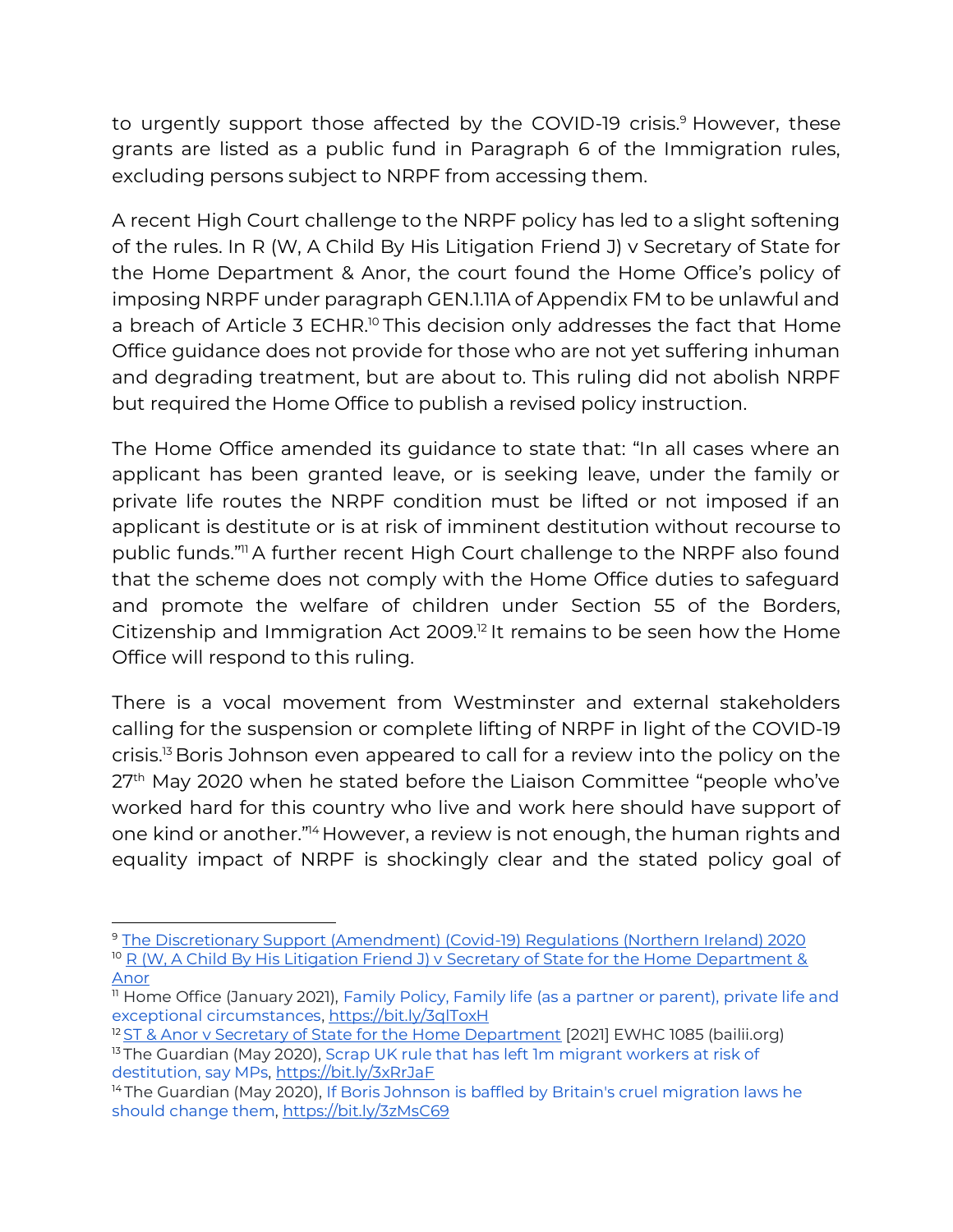to urgently support those affected by the COVID-19 crisis.<sup>9</sup> However, these grants are listed as a public fund in Paragraph 6 of the Immigration rules, excluding persons subject to NRPF from accessing them.

A recent High Court challenge to the NRPF policy has led to a slight softening of the rules. In R (W, A Child By His Litigation Friend J) v Secretary of State for the Home Department & Anor, the court found the Home Office's policy of imposing NRPF under paragraph GEN.1.11A of Appendix FM to be unlawful and a breach of Article 3 ECHR.<sup>10</sup> This decision only addresses the fact that Home Office guidance does not provide for those who are not yet suffering inhuman and degrading treatment, but are about to. This ruling did not abolish NRPF but required the Home Office to publish a revised policy instruction.

The Home Office amended its guidance to state that: "In all cases where an applicant has been granted leave, or is seeking leave, under the family or private life routes the NRPF condition must be lifted or not imposed if an applicant is destitute or is at risk of imminent destitution without recourse to public funds."<sup>11</sup> A further recent High Court challenge to the NRPF also found that the scheme does not comply with the Home Office duties to safeguard and promote the welfare of children under Section 55 of the Borders, Citizenship and Immigration Act 2009.<sup>12</sup> It remains to be seen how the Home Office will respond to this ruling.

There is a vocal movement from Westminster and external stakeholders calling for the suspension or complete lifting of NRPF in light of the COVID-19 crisis.<sup>13</sup> Boris Johnson even appeared to call for a review into the policy on the 27<sup>th</sup> May 2020 when he stated before the Liaison Committee "people who've worked hard for this country who live and work here should have support of one kind or another." <sup>14</sup> However, a review is not enough, the human rights and equality impact of NRPF is shockingly clear and the stated policy goal of

<sup>9</sup> [The Discretionary Support \(Amendment\) \(Covid-19\) Regulations \(Northern Ireland\) 2020](http://www.legislation.gov.uk/nisr/2020/44/introduction/made) <sup>10</sup> R (W, A Child By His Litigation Friend J) v Secretary of State for the Home Department & [Anor](https://www.bailii.org/ew/cases/EWHC/Admin/2020/1299.html)

<sup>11</sup> Home Office (January 2021), [Family Policy, Family life \(as a partner](https://assets.publishing.service.gov.uk/government/uploads/system/uploads/attachment_data/file/889361/family-life-_as-a-partner-or-parent_-private-life-and-exceptional-circumstances-v8.0-gov-uk.pdf) or parent), private life and [exceptional circumstances,](https://assets.publishing.service.gov.uk/government/uploads/system/uploads/attachment_data/file/889361/family-life-_as-a-partner-or-parent_-private-life-and-exceptional-circumstances-v8.0-gov-uk.pdf)<https://bit.ly/3qlToxH>

<sup>&</sup>lt;sup>12</sup> [ST & Anor v Secretary of State for the Home Department](https://www.bailii.org/ew/cases/EWHC/Admin/2021/1085.html) [2021] EWHC 1085 (bailii.org) <sup>13</sup> The Guardian (May 2020), Scrap UK rule that has left 1m migrant workers at risk of [destitution, say MPs,](https://www.theguardian.com/uk-news/2020/jun/22/scrap-no-recourse-to-public-funds-rules-left-1m-migrants-on-edge-of-destitution-say-mps)<https://bit.ly/3xRrJaF>

<sup>&</sup>lt;sup>14</sup> The Guardian (May 2020), If Boris Johnson is baffled by Britain's cruel migration laws he [should change them,](https://www.theguardian.com/commentisfree/2020/may/29/boris-johnson-baffled-britain-migration-laws)<https://bit.ly/3zMsC69>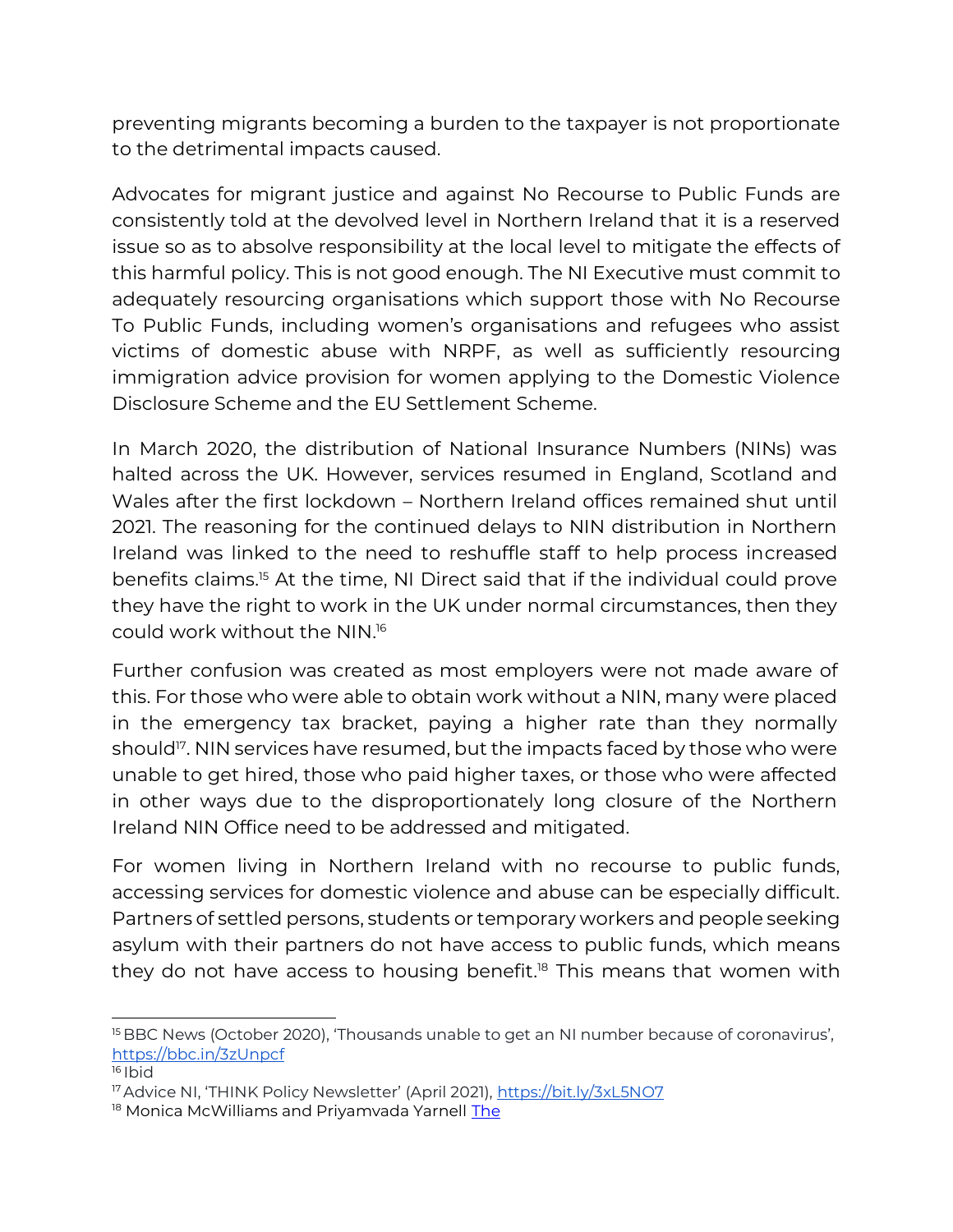preventing migrants becoming a burden to the taxpayer is not proportionate to the detrimental impacts caused.

Advocates for migrant justice and against No Recourse to Public Funds are consistently told at the devolved level in Northern Ireland that it is a reserved issue so as to absolve responsibility at the local level to mitigate the effects of this harmful policy. This is not good enough. The NI Executive must commit to adequately resourcing organisations which support those with No Recourse To Public Funds, including women's organisations and refugees who assist victims of domestic abuse with NRPF, as well as sufficiently resourcing immigration advice provision for women applying to the Domestic Violence Disclosure Scheme and the EU Settlement Scheme.

In March 2020, the distribution of National Insurance Numbers (NINs) was halted across the UK. However, services resumed in England, Scotland and Wales after the first lockdown – Northern Ireland offices remained shut until 2021. The reasoning for the continued delays to NIN distribution in Northern Ireland was linked to the need to reshuffle staff to help process increased benefits claims. <sup>15</sup> At the time, NI Direct said that if the individual could prove they have the right to work in the UK under normal circumstances, then they could work without the NIN. 16

Further confusion was created as most employers were not made aware of this. For those who were able to obtain work without a NIN, many were placed in the emergency tax bracket, paying a higher rate than they normally should<sup>17</sup>. NIN services have resumed, but the impacts faced by those who were unable to get hired, those who paid higher taxes, or those who were affected in other ways due to the disproportionately long closure of the Northern Ireland NIN Office need to be addressed and mitigated.

For women living in Northern Ireland with no recourse to public funds, accessing services for domestic violence and abuse can be especially difficult. Partners of settled persons, students or temporary workers and people seeking asylum with their partners do not have access to public funds, which means they do not have access to housing benefit. <sup>18</sup> This means that women with

<sup>16</sup> Ibid

<sup>&</sup>lt;sup>15</sup> BBC News (October 2020), 'Thousands unable to get an NI number because of coronavirus', <https://bbc.in/3zUnpcf>

<sup>&</sup>lt;sup>17</sup> Advice NI, 'THINK Policy Newsletter' (April 2021), <https://bit.ly/3xL5NO7>

<sup>&</sup>lt;sup>18</sup> Monica McWi[l](https://pure.ulster.ac.uk/en/publications/the-protection-and-rights-of-black-and-minority-ethnic-women-expe-3)liams and Priyamvada Yarnell [The](https://pure.ulster.ac.uk/en/publications/the-protection-and-rights-of-black-and-minority-ethnic-women-expe-3)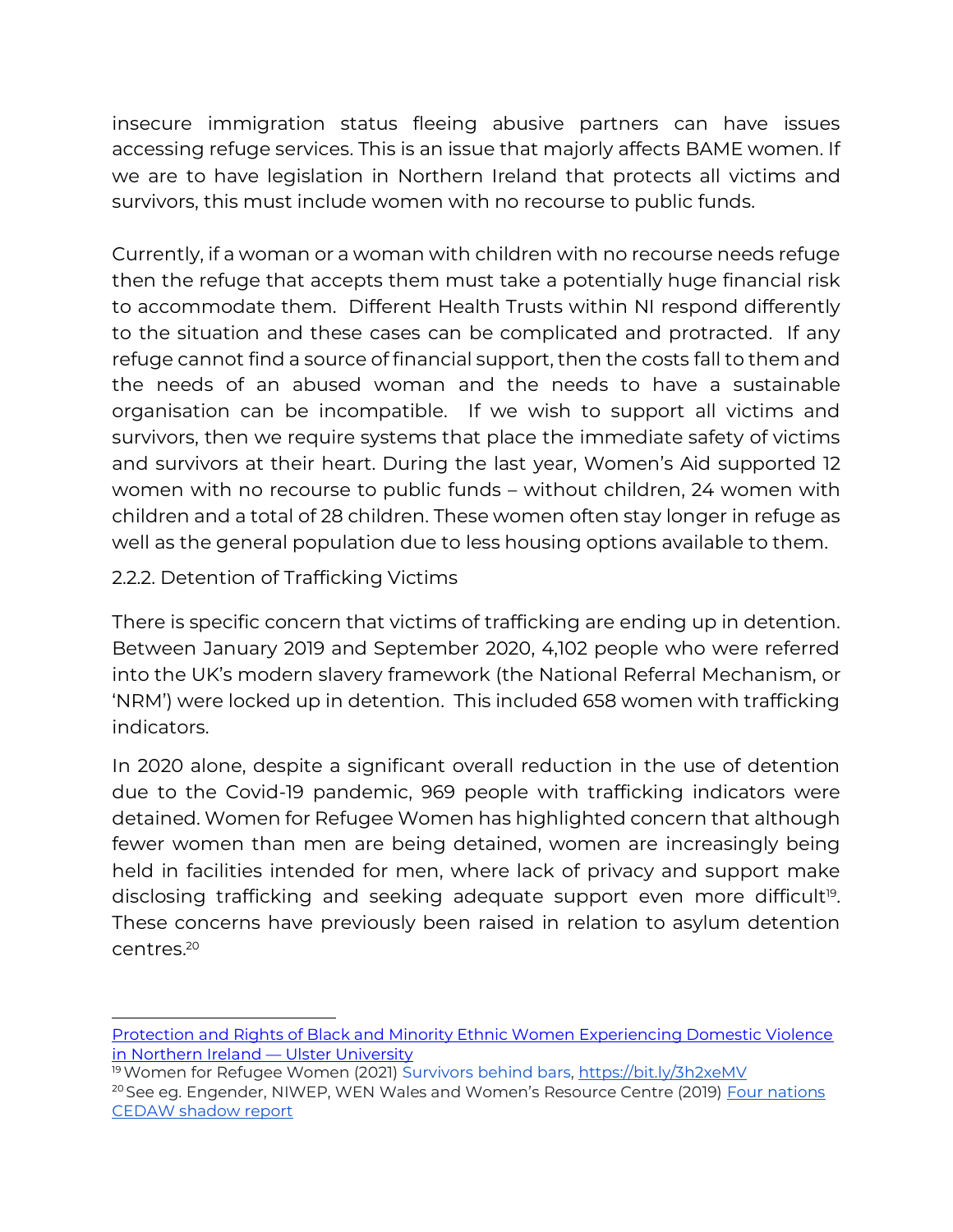insecure immigration status fleeing abusive partners can have issues accessing refuge services. This is an issue that majorly affects BAME women. If we are to have legislation in Northern Ireland that protects all victims and survivors, this must include women with no recourse to public funds.

Currently, if a woman or a woman with children with no recourse needs refuge then the refuge that accepts them must take a potentially huge financial risk to accommodate them. Different Health Trusts within NI respond differently to the situation and these cases can be complicated and protracted. If any refuge cannot find a source of financial support, then the costs fall to them and the needs of an abused woman and the needs to have a sustainable organisation can be incompatible. If we wish to support all victims and survivors, then we require systems that place the immediate safety of victims and survivors at their heart. During the last year, Women's Aid supported 12 women with no recourse to public funds – without children, 24 women with children and a total of 28 children. These women often stay longer in refuge as well as the general population due to less housing options available to them.

#### 2.2.2. Detention of Trafficking Victims

There is specific concern that victims of trafficking are ending up in detention. Between January 2019 and September 2020, 4,102 people who were referred into the UK's modern slavery framework (the National Referral Mechanism, or 'NRM') were locked up in detention. This included 658 women with trafficking indicators.

In 2020 alone, despite a significant overall reduction in the use of detention due to the Covid-19 pandemic, 969 people with trafficking indicators were detained. Women for Refugee Women has highlighted concern that although fewer women than men are being detained, women are increasingly being held in facilities intended for men, where lack of privacy and support make disclosing trafficking and seeking adequate support even more difficult<sup>19</sup>. These concerns have previously been raised in relation to asylum detention centres.<sup>20</sup>

[Protection and Rights of Black and Minority Ethnic Women Experiencing Domestic Violence](https://pure.ulster.ac.uk/en/publications/the-protection-and-rights-of-black-and-minority-ethnic-women-expe-3)  [in Northern Ireland](https://pure.ulster.ac.uk/en/publications/the-protection-and-rights-of-black-and-minority-ethnic-women-expe-3) — Ulster University

<sup>19</sup>Women for Refugee Women (2021) [Survivors behind bars,](https://www.refugeewomen.co.uk/survivors-behind-bars/)<https://bit.ly/3h2xeMV> <sup>20</sup> See eg. Engender, NIWEP, WEN Wales and Women's Resource Centre (2019) Four nations [CEDAW shadow report](https://www.engender.org.uk/content/publications/CEDAW-4-nations-report-Jan-2019.pdf)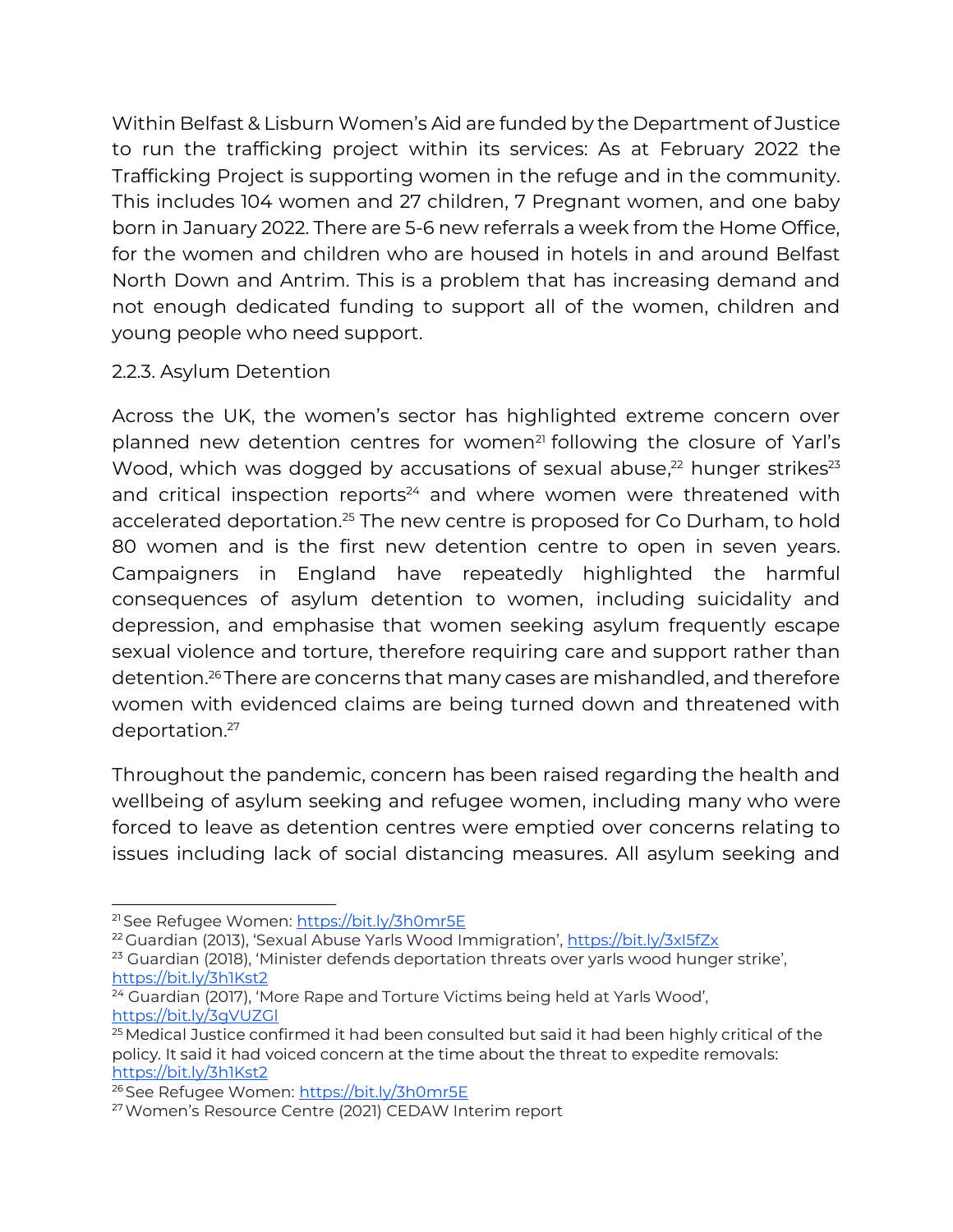Within Belfast & Lisburn Women's Aid are funded by the Department of Justice to run the trafficking project within its services: As at February 2022 the Trafficking Project is supporting women in the refuge and in the community. This includes 104 women and 27 children, 7 Pregnant women, and one baby born in January 2022. There are 5-6 new referrals a week from the Home Office, for the women and children who are housed in hotels in and around Belfast North Down and Antrim. This is a problem that has increasing demand and not enough dedicated funding to support all of the women, children and young people who need support.

#### 2.2.3. Asylum Detention

Across the UK, the women's sector has highlighted extreme concern over planned new detention centres for women<sup>21</sup> following the closure of Yarl's Wood, which was dogged by accusations of sexual abuse,<sup>22</sup> hunger strikes<sup>23</sup> and critical inspection reports<sup>24</sup> and where women were threatened with accelerated deportation.<sup>25</sup> The new centre is proposed for Co Durham, to hold 80 women and is the first new detention centre to open in seven years. Campaigners in England have repeatedly highlighted the harmful consequences of asylum detention to women, including suicidality and depression, and emphasise that women seeking asylum frequently escape sexual violence and torture, therefore requiring care and support rather than detention.<sup>26</sup> There are concerns that many cases are mishandled, and therefore women with evidenced claims are being turned down and threatened with deportation.<sup>27</sup>

Throughout the pandemic, concern has been raised regarding the health and wellbeing of asylum seeking and refugee women, including many who were forced to leave as detention centres were emptied over concerns relating to issues including lack of social distancing measures. All asylum seeking and

<sup>&</sup>lt;sup>21</sup> See Refugee Women:<https://bit.ly/3h0mr5E>

<sup>22</sup> Guardian (2013), 'Sexual Abuse Yarls Wood Immigration', <https://bit.ly/3xI5fZx>

<sup>&</sup>lt;sup>23</sup> Guardian (2018), 'Minister defends deportation threats over yarls wood hunger strike', <https://bit.ly/3h1Kst2>

<sup>&</sup>lt;sup>24</sup> Guardian (2017), 'More Rape and Torture Victims being held at Yarls Wood', <https://bit.ly/3gVUZGl>

<sup>&</sup>lt;sup>25</sup> Medical Justice confirmed it had been consulted but said it had been highly critical of the policy. It said it had voiced concern at the time about the threat to expedite removals: <https://bit.ly/3h1Kst2>

<sup>&</sup>lt;sup>26</sup> See Refugee Women:<https://bit.ly/3h0mr5E>

<sup>27</sup>Women's Resource Centre (2021) CEDAW Interim report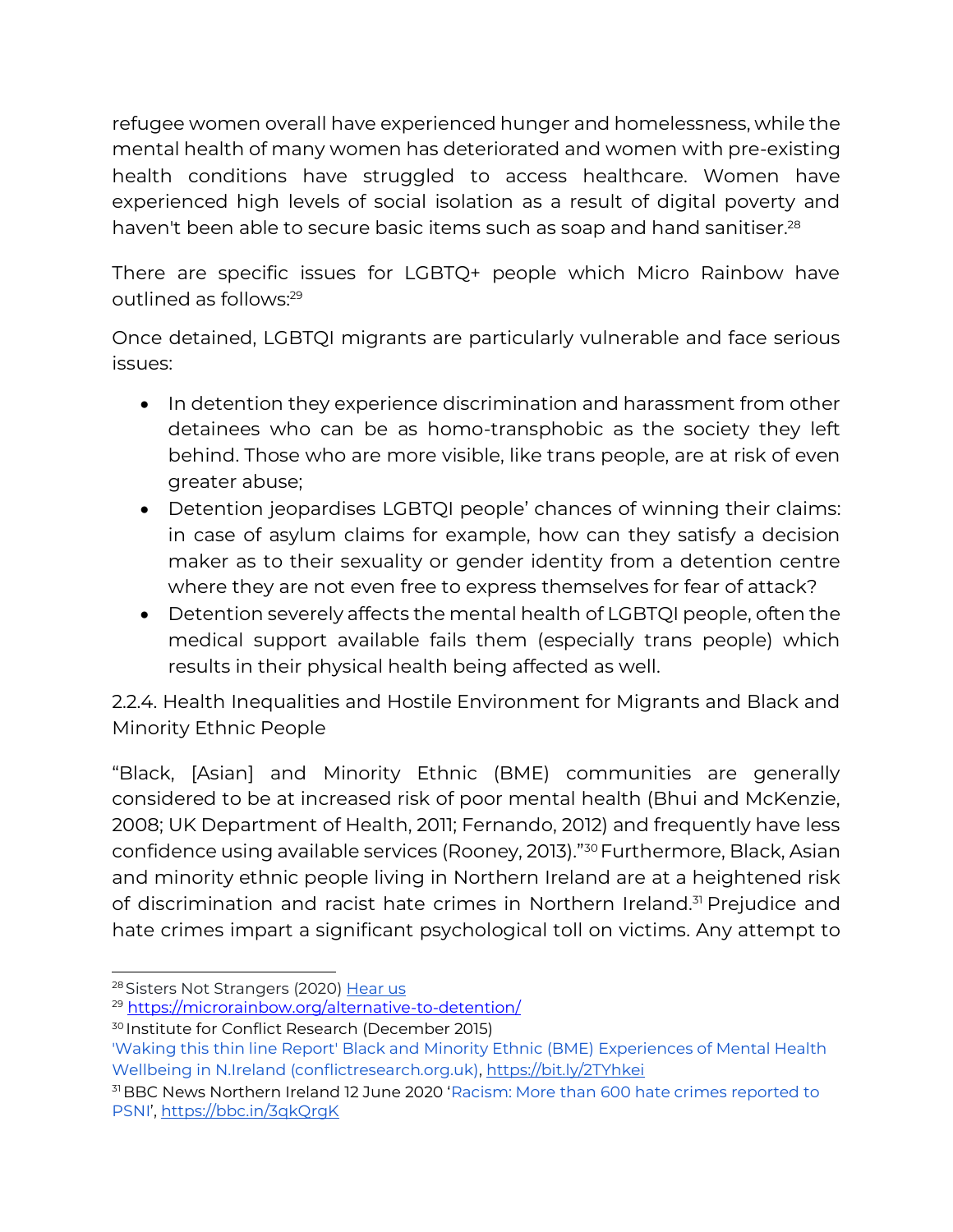refugee women overall have experienced hunger and homelessness, while the mental health of many women has deteriorated and women with pre-existing health conditions have struggled to access healthcare. Women have experienced high levels of social isolation as a result of digital poverty and haven't been able to secure basic items such as soap and hand sanitiser.<sup>28</sup>

There are specific issues for LGBTQ+ people which Micro Rainbow have outlined as follows:<sup>29</sup>

Once detained, LGBTQI migrants are particularly vulnerable and face serious issues:

- In detention they experience discrimination and harassment from other detainees who can be as homo-transphobic as the society they left behind. Those who are more visible, like trans people, are at risk of even greater abuse;
- Detention jeopardises LGBTQI people' chances of winning their claims: in case of asylum claims for example, how can they satisfy a decision maker as to their sexuality or gender identity from a detention centre where they are not even free to express themselves for fear of attack?
- Detention severely affects the mental health of LGBTQI people, often the medical support available fails them (especially trans people) which results in their physical health being affected as well.

2.2.4. Health Inequalities and Hostile Environment for Migrants and Black and Minority Ethnic People

"Black, [Asian] and Minority Ethnic (BME) communities are generally considered to be at increased risk of poor mental health (Bhui and McKenzie, 2008; UK Department of Health, 2011; Fernando, 2012) and frequently have less confidence using available services (Rooney, 2013)."<sup>30</sup> Furthermore, Black, Asian and minority ethnic people living in Northern Ireland are at a heightened risk of discrimination and racist hate crimes in Northern Ireland.<sup>31</sup> Prejudice and hate crimes impart a significant psychological toll on victims. Any attempt to

<sup>28</sup> Sisters Not Strangers (2020) [Hear us](https://www.refugeewomenconnect.org.uk/news/sisters-not-strangers-launches-hear-us-report)

<sup>29</sup> <https://microrainbow.org/alternative-to-detention/>

<sup>30</sup> Institute for Conflict Research (December 2015)

[<sup>&#</sup>x27;Waking this thin line Report' Black and Minority Ethnic \(BME\) Experiences of Mental Health](http://conflictresearch.org.uk/wp-content/uploads/Waking-this-thin-line-Black-and-Minoirty-Ethnic-BME-Experiences-of-Mental-Health-Wellbeing-in-N.Ireland.pdf)  [Wellbeing in N.Ireland \(conflictresearch.org.uk\),](http://conflictresearch.org.uk/wp-content/uploads/Waking-this-thin-line-Black-and-Minoirty-Ethnic-BME-Experiences-of-Mental-Health-Wellbeing-in-N.Ireland.pdf)<https://bit.ly/2TYhkei>

<sup>31</sup> BBC News Northern Ireland 12 June 2020 '[Racism: More than 600 hate crimes reported to](https://www.bbc.co.uk/news/uk-northern-ireland-53029899)  [PSNI](https://www.bbc.co.uk/news/uk-northern-ireland-53029899)', <https://bbc.in/3qkQrgK>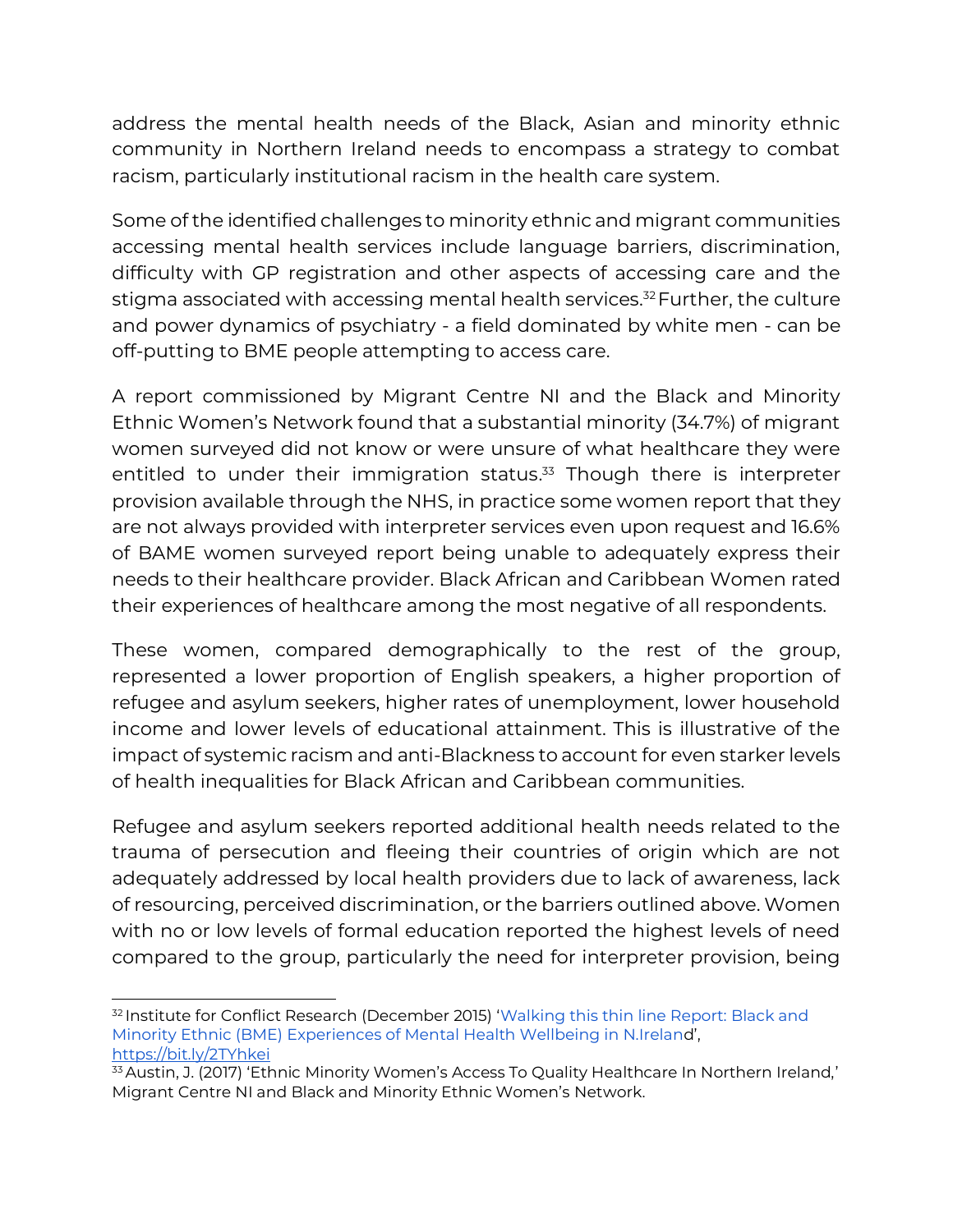address the mental health needs of the Black, Asian and minority ethnic community in Northern Ireland needs to encompass a strategy to combat racism, particularly institutional racism in the health care system.

Some of the identified challenges to minority ethnic and migrant communities accessing mental health services include language barriers, discrimination, difficulty with GP registration and other aspects of accessing care and the stigma associated with accessing mental health services.<sup>32</sup> Further, the culture and power dynamics of psychiatry - a field dominated by white men - can be off-putting to BME people attempting to access care.

A report commissioned by Migrant Centre NI and the Black and Minority Ethnic Women's Network found that a substantial minority (34.7%) of migrant women surveyed did not know or were unsure of what healthcare they were entitled to under their immigration status. <sup>33</sup> Though there is interpreter provision available through the NHS, in practice some women report that they are not always provided with interpreter services even upon request and 16.6% of BAME women surveyed report being unable to adequately express their needs to their healthcare provider. Black African and Caribbean Women rated their experiences of healthcare among the most negative of all respondents.

These women, compared demographically to the rest of the group, represented a lower proportion of English speakers, a higher proportion of refugee and asylum seekers, higher rates of unemployment, lower household income and lower levels of educational attainment. This is illustrative of the impact of systemic racism and anti-Blackness to account for even starker levels of health inequalities for Black African and Caribbean communities.

Refugee and asylum seekers reported additional health needs related to the trauma of persecution and fleeing their countries of origin which are not adequately addressed by local health providers due to lack of awareness, lack of resourcing, perceived discrimination, or the barriers outlined above. Women with no or low levels of formal education reported the highest levels of need compared to the group, particularly the need for interpreter provision, being

<sup>&</sup>lt;sup>32</sup> Institute for Conflict Research (December 2015) 'Walking this thin line Report: Black and [Minority Ethnic \(BME\) Experiences of Mental Health Wellbeing in N.Irelan](http://conflictresearch.org.uk/wp-content/uploads/Waking-this-thin-line-Black-and-Minoirty-Ethnic-BME-Experiences-of-Mental-Health-Wellbeing-in-N.Ireland.pdf)d', <https://bit.ly/2TYhkei>

<sup>33</sup> Austin, J. (2017) 'Ethnic Minority Women's Access To Quality Healthcare In Northern Ireland,' Migrant Centre NI and Black and Minority Ethnic Women's Network.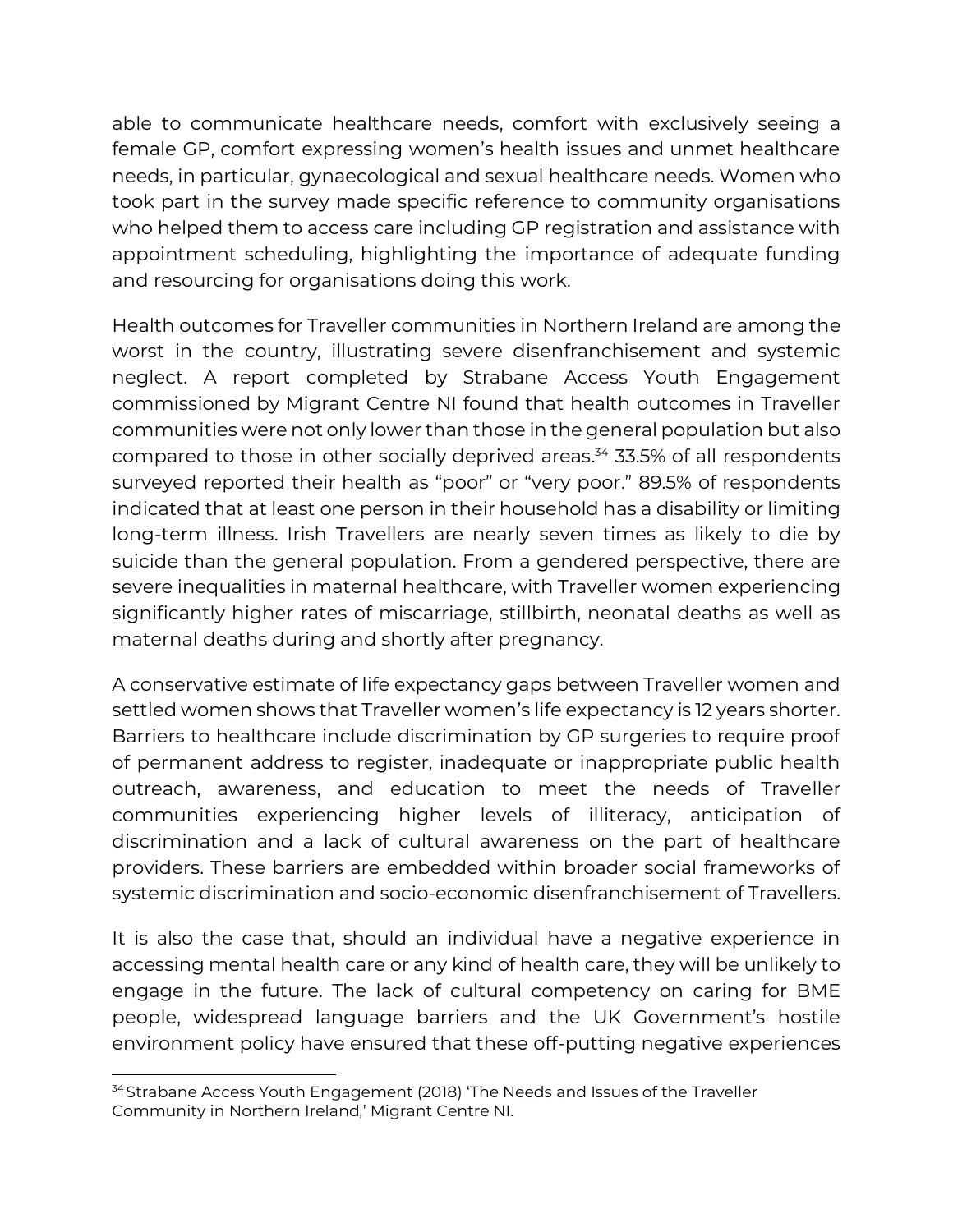able to communicate healthcare needs, comfort with exclusively seeing a female GP, comfort expressing women's health issues and unmet healthcare needs, in particular, gynaecological and sexual healthcare needs. Women who took part in the survey made specific reference to community organisations who helped them to access care including GP registration and assistance with appointment scheduling, highlighting the importance of adequate funding and resourcing for organisations doing this work.

Health outcomes for Traveller communities in Northern Ireland are among the worst in the country, illustrating severe disenfranchisement and systemic neglect. A report completed by Strabane Access Youth Engagement commissioned by Migrant Centre NI found that health outcomes in Traveller communities were not only lower than those in the general population but also compared to those in other socially deprived areas. <sup>34</sup> 33.5% of all respondents surveyed reported their health as "poor" or "very poor." 89.5% of respondents indicated that at least one person in their household has a disability or limiting long-term illness. Irish Travellers are nearly seven times as likely to die by suicide than the general population. From a gendered perspective, there are severe inequalities in maternal healthcare, with Traveller women experiencing significantly higher rates of miscarriage, stillbirth, neonatal deaths as well as maternal deaths during and shortly after pregnancy.

A conservative estimate of life expectancy gaps between Traveller women and settled women shows that Traveller women's life expectancy is 12 years shorter. Barriers to healthcare include discrimination by GP surgeries to require proof of permanent address to register, inadequate or inappropriate public health outreach, awareness, and education to meet the needs of Traveller communities experiencing higher levels of illiteracy, anticipation of discrimination and a lack of cultural awareness on the part of healthcare providers. These barriers are embedded within broader social frameworks of systemic discrimination and socio-economic disenfranchisement of Travellers.

It is also the case that, should an individual have a negative experience in accessing mental health care or any kind of health care, they will be unlikely to engage in the future. The lack of cultural competency on caring for BME people, widespread language barriers and the UK Government's hostile environment policy have ensured that these off-putting negative experiences

<sup>&</sup>lt;sup>34</sup> Strabane Access Youth Engagement (2018) 'The Needs and Issues of the Traveller Community in Northern Ireland,' Migrant Centre NI.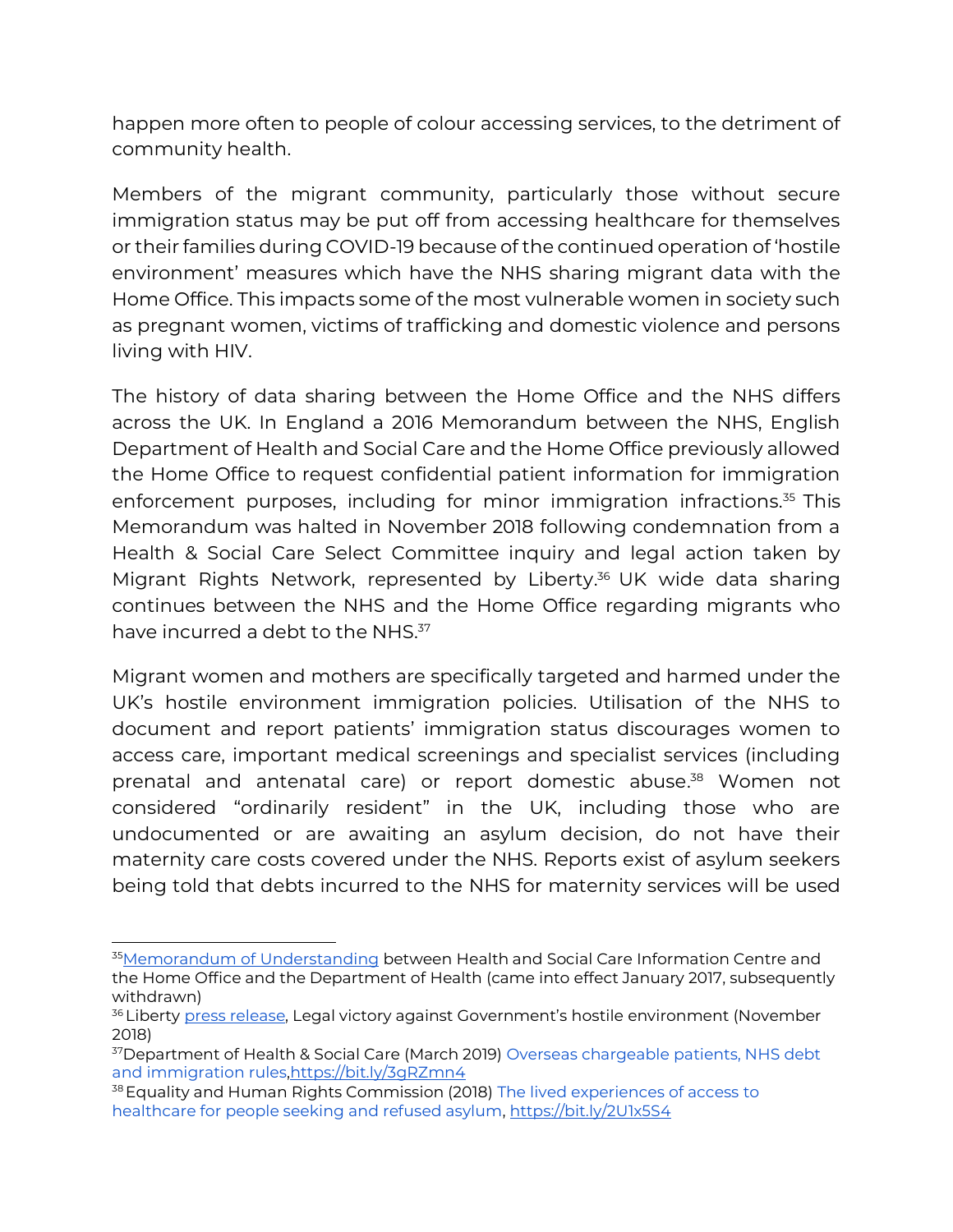happen more often to people of colour accessing services, to the detriment of community health.

Members of the migrant community, particularly those without secure immigration status may be put off from accessing healthcare for themselves or their families during COVID-19 because of the continued operation of 'hostile environment' measures which have the NHS sharing migrant data with the Home Office. This impacts some of the most vulnerable women in society such as pregnant women, victims of trafficking and domestic violence and persons living with HIV.

The history of data sharing between the Home Office and the NHS differs across the UK. In England a 2016 Memorandum between the NHS, English Department of Health and Social Care and the Home Office previously allowed the Home Office to request confidential patient information for immigration enforcement purposes, including for minor immigration infractions.<sup>35</sup> This Memorandum was halted in November 2018 following condemnation from a Health & Social Care Select Committee inquiry and legal action taken by Migrant Rights Network, represented by Liberty. <sup>36</sup> UK wide data sharing continues between the NHS and the Home Office regarding migrants who have incurred a debt to the NHS.<sup>37</sup>

Migrant women and mothers are specifically targeted and harmed under the UK's hostile environment immigration policies. Utilisation of the NHS to document and report patients' immigration status discourages women to access care, important medical screenings and specialist services (including prenatal and antenatal care) or report domestic abuse. <sup>38</sup> Women not considered "ordinarily resident" in the UK, including those who are undocumented or are awaiting an asylum decision, do not have their maternity care costs covered under the NHS. Reports exist of asylum seekers being told that debts incurred to the NHS for maternity services will be used

<sup>35</sup>[Memorandum of Understanding](https://assets.publishing.service.gov.uk/government/uploads/system/uploads/attachment_data/file/774071/MoU_between_HSCIC__Home_Office_and_DH.pdf) between Health and Social Care Information Centre and the Home Office and the Department of Health (came into effect January 2017, subsequently withdrawn)

<sup>&</sup>lt;sup>36</sup> Liberty <u>press release,</u> Legal victory against Government's hostile environment (November 2018)

<sup>37</sup>Department of Health & Social Care (March 2019) [Overseas chargeable patients, NHS debt](https://assets.publishing.service.gov.uk/government/uploads/system/uploads/attachment_data/file/793132/overseas-chargeable-patients-nhs-debt-and-immigration-rules.pdf)  [and immigration rules](https://assets.publishing.service.gov.uk/government/uploads/system/uploads/attachment_data/file/793132/overseas-chargeable-patients-nhs-debt-and-immigration-rules.pdf)[,https://bit.ly/3gRZmn4](https://bit.ly/3gRZmn4)

<sup>&</sup>lt;sup>38</sup> Equality and Human Rights Commission (2018) The lived experiences of access to [healthcare for people seeking and refused asylum,](http://www.equalityhumanrights.com/sites/default/files/research-report-122-people-seeking-asylum-access-to-healthcare-lived-experiences.pdf)<https://bit.ly/2U1x5S4>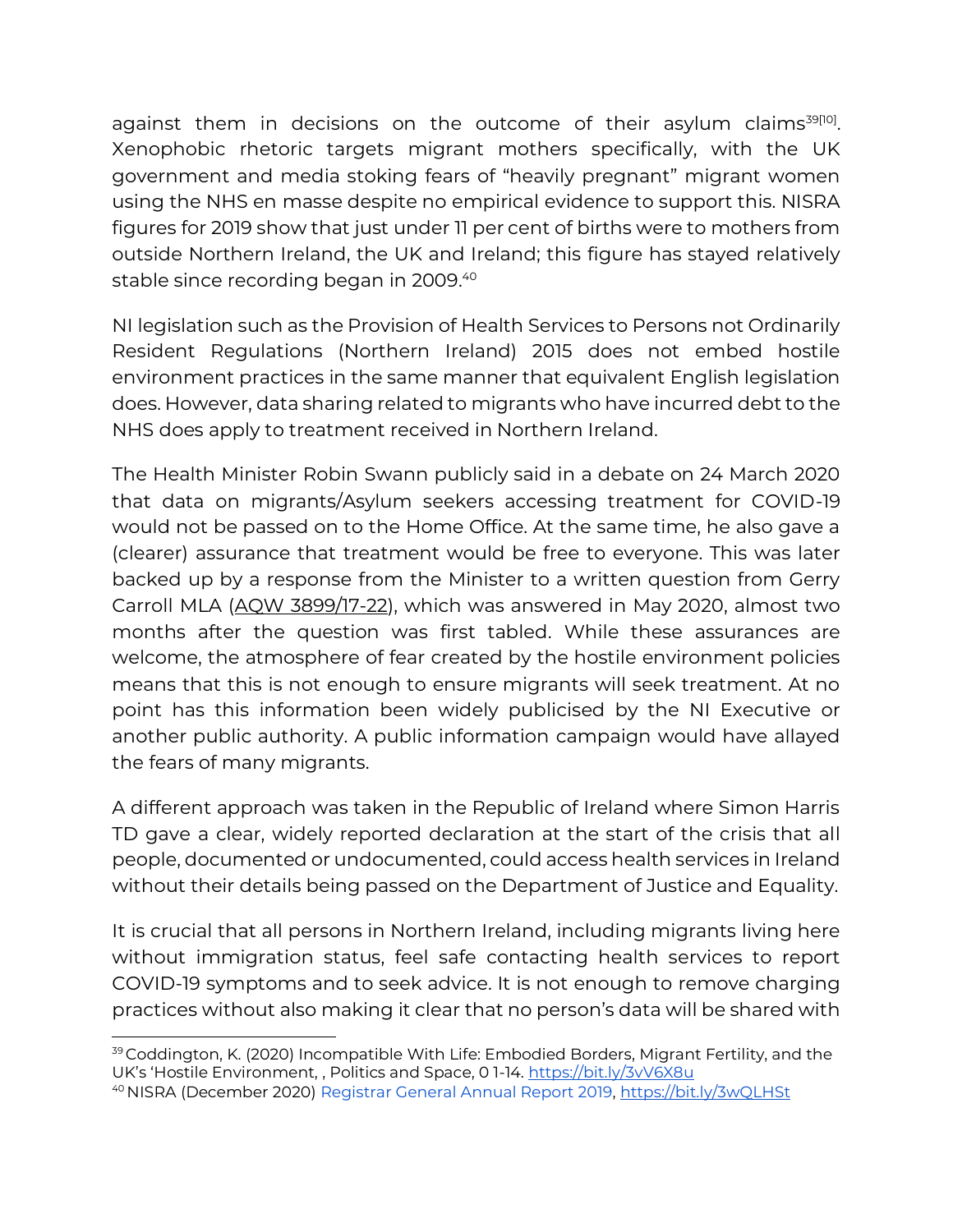against them in decisions on the outcome of their asylum claims<sup>39[10]</sup>. Xenophobic rhetoric targets migrant mothers specifically, with the UK government and media stoking fears of "heavily pregnant" migrant women using the NHS en masse despite no empirical evidence to support this. NISRA figures for 2019 show that just under 11 per cent of births were to mothers from outside Northern Ireland, the UK and Ireland; this figure has stayed relatively stable since recording began in 2009. 40

NI legislation such as the Provision of Health Services to Persons not Ordinarily Resident Regulations (Northern Ireland) 2015 does not embed hostile environment practices in the same manner that equivalent English legislation does. However, data sharing related to migrants who have incurred debt to the NHS does apply to treatment received in Northern Ireland.

The Health Minister Robin Swann publicly said in a debate on 24 March 2020 that data on migrants/Asylum seekers accessing treatment for COVID-19 would not be passed on to the Home Office. At the same time, he also gave a (clearer) assurance that treatment would be free to everyone. This was later backed up by a response from the Minister to a written question from Gerry Carroll MLA [\(AQW 3899/17-22\)](http://aims.niassembly.gov.uk/questions/subjectsearchresults.aspx?&t=dH5b+c/hviX9RlQLZIU+d+EODfKkchJ4&pn=0&qfv=1&ss=NjHBUSrPhnb%20sZ3/gmE7Hw==&sus=1), which was answered in May 2020, almost two months after the question was first tabled. While these assurances are welcome, the atmosphere of fear created by the hostile environment policies means that this is not enough to ensure migrants will seek treatment. At no point has this information been widely publicised by the NI Executive or another public authority. A public information campaign would have allayed the fears of many migrants.

A different approach was taken in the Republic of Ireland where Simon Harris TD gave a clear, widely reported declaration at the start of the crisis that all people, documented or undocumented, could access health services in Ireland without their details being passed on the Department of Justice and Equality.

It is crucial that all persons in Northern Ireland, including migrants living here without immigration status, feel safe contacting health services to report COVID-19 symptoms and to seek advice. It is not enough to remove charging practices without also making it clear that no person's data will be shared with

<sup>39</sup> Coddington, K. (2020) Incompatible With Life: Embodied Borders, Migrant Fertility, and the UK's 'Hostile Environment, , Politics and Space, 0 1-14.<https://bit.ly/3vV6X8u>

<sup>40</sup> NISRA (December 2020[\) Registrar General Annual Report 2019,](https://www.nisra.gov.uk/publications/registrar-general-annual-report-2019-births)<https://bit.ly/3wQLHSt>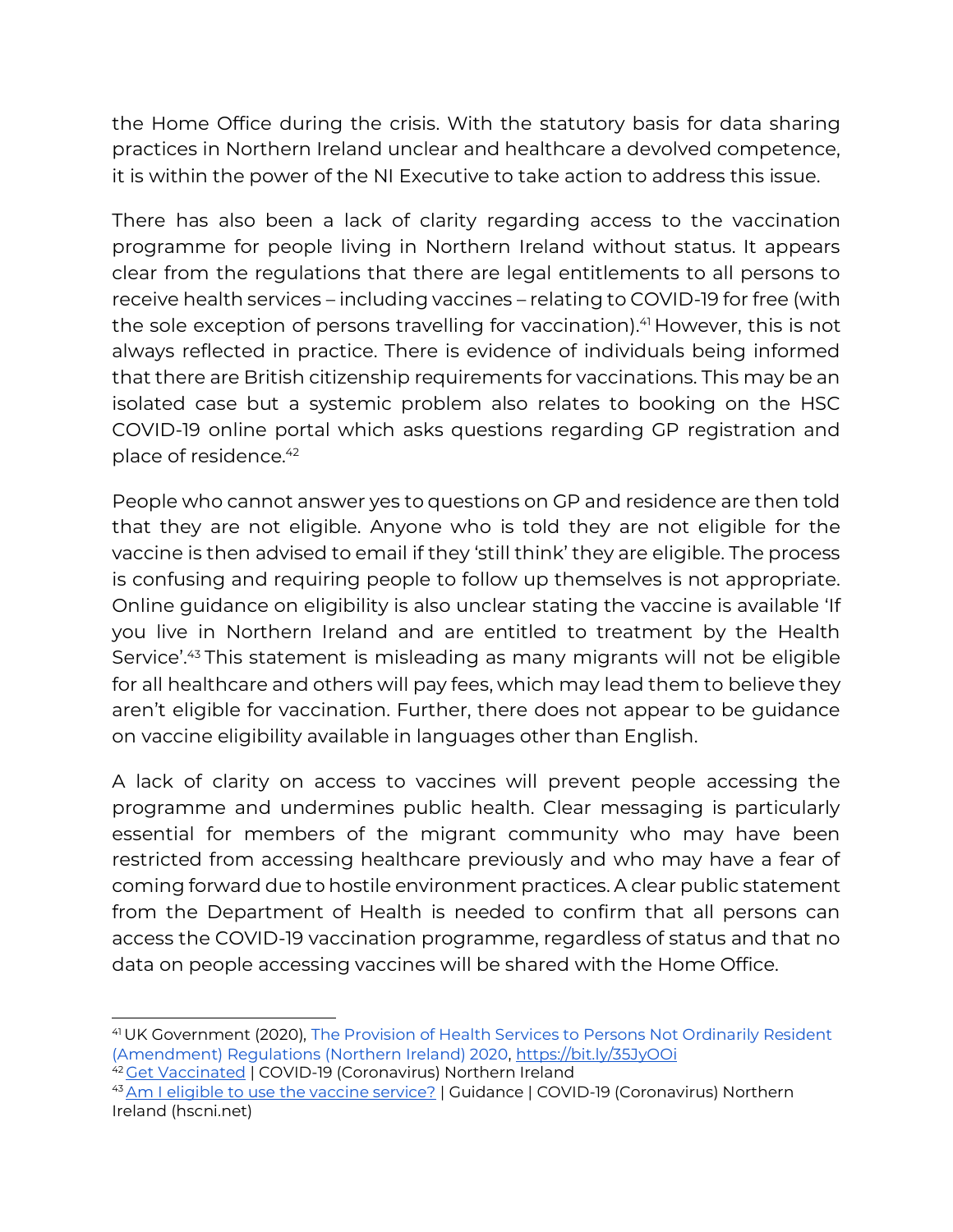the Home Office during the crisis. With the statutory basis for data sharing practices in Northern Ireland unclear and healthcare a devolved competence, it is within the power of the NI Executive to take action to address this issue.

There has also been a lack of clarity regarding access to the vaccination programme for people living in Northern Ireland without status. It appears clear from the regulations that there are legal entitlements to all persons to receive health services – including vaccines – relating to COVID-19 for free (with the sole exception of persons travelling for vaccination).<sup>41</sup> However, this is not always reflected in practice. There is evidence of individuals being informed that there are British citizenship requirements for vaccinations. This may be an isolated case but a systemic problem also relates to booking on the HSC COVID-19 online portal which asks questions regarding GP registration and place of residence.<sup>42</sup>

People who cannot answer yes to questions on GP and residence are then told that they are not eligible. Anyone who is told they are not eligible for the vaccine is then advised to email if they 'still think' they are eligible. The process is confusing and requiring people to follow up themselves is not appropriate. Online guidance on eligibility is also unclear stating the vaccine is available 'If you live in Northern Ireland and are entitled to treatment by the Health Service'.<sup>43</sup> This statement is misleading as many migrants will not be eligible for all healthcare and others will pay fees, which may lead them to believe they aren't eligible for vaccination. Further, there does not appear to be guidance on vaccine eligibility available in languages other than English.

A lack of clarity on access to vaccines will prevent people accessing the programme and undermines public health. Clear messaging is particularly essential for members of the migrant community who may have been restricted from accessing healthcare previously and who may have a fear of coming forward due to hostile environment practices. A clear public statement from the Department of Health is needed to confirm that all persons can access the COVID-19 vaccination programme, regardless of status and that no data on people accessing vaccines will be shared with the Home Office.

<sup>41</sup>UK Government (2020)[, The Provision of Health Services to Persons Not Ordinarily Resident](https://www.legislation.gov.uk/nisr/2020/25/regulation/2/made)  [\(Amendment\) Regulations \(Northern Ireland\) 2020,](https://www.legislation.gov.uk/nisr/2020/25/regulation/2/made)<https://bit.ly/35JyOOi> <sup>42</sup> [Get Vaccinated](https://covid-19.hscni.net/get-vaccinated/) | COVID-19 (Coronavirus) Northern Ireland

<sup>43</sup> [Am I eligible to use the vaccine service?](https://covid-19.hscni.net/guidance/am-i-eligible-to-use-the-vaccine-service/) | Guidance | COVID-19 (Coronavirus) Northern Ireland (hscni.net)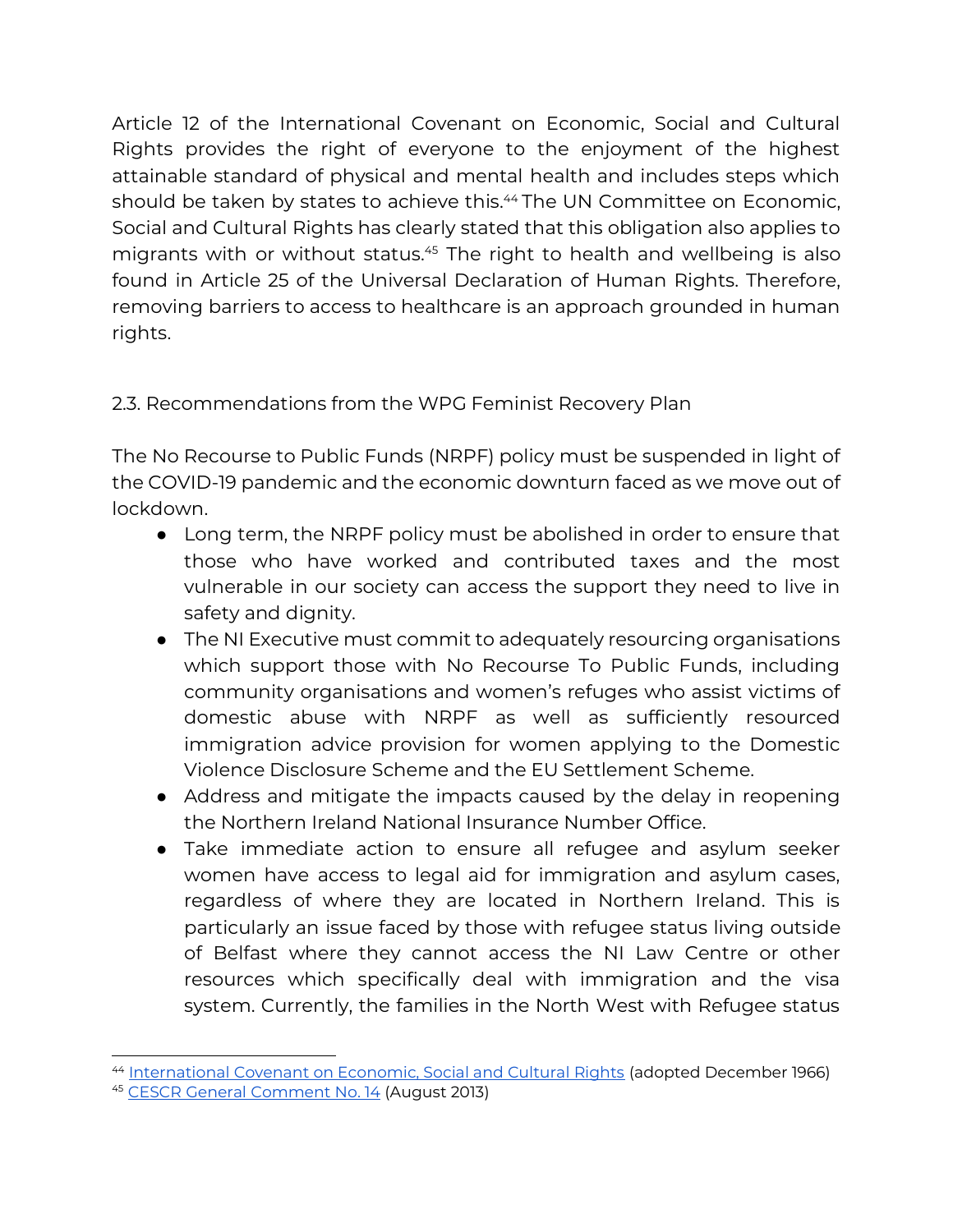Article 12 of the International Covenant on Economic, Social and Cultural Rights provides the right of everyone to the enjoyment of the highest attainable standard of physical and mental health and includes steps which should be taken by states to achieve this.<sup>44</sup> The UN Committee on Economic, Social and Cultural Rights has clearly stated that this obligation also applies to migrants with or without status.<sup>45</sup> The right to health and wellbeing is also found in Article 25 of the Universal Declaration of Human Rights. Therefore, removing barriers to access to healthcare is an approach grounded in human rights.

# 2.3. Recommendations from the WPG Feminist Recovery Plan

The No Recourse to Public Funds (NRPF) policy must be suspended in light of the COVID-19 pandemic and the economic downturn faced as we move out of lockdown.

- Long term, the NRPF policy must be abolished in order to ensure that those who have worked and contributed taxes and the most vulnerable in our society can access the support they need to live in safety and dignity.
- The NI Executive must commit to adequately resourcing organisations which support those with No Recourse To Public Funds, including community organisations and women's refuges who assist victims of domestic abuse with NRPF as well as sufficiently resourced immigration advice provision for women applying to the Domestic Violence Disclosure Scheme and the EU Settlement Scheme.
- Address and mitigate the impacts caused by the delay in reopening the Northern Ireland National Insurance Number Office.
- Take immediate action to ensure all refugee and asylum seeker women have access to legal aid for immigration and asylum cases, regardless of where they are located in Northern Ireland. This is particularly an issue faced by those with refugee status living outside of Belfast where they cannot access the NI Law Centre or other resources which specifically deal with immigration and the visa system. Currently, the families in the North West with Refugee status

<sup>44</sup> [International Covenant on Economic, Social and Cultural Rights](https://www.ohchr.org/en/professionalinterest/pages/cescr.aspx) (adopted December 1966)

<sup>45</sup> [CESCR General Comment No. 14](https://www.refworld.org/pdfid/4538838d0.pdf) (August 2013)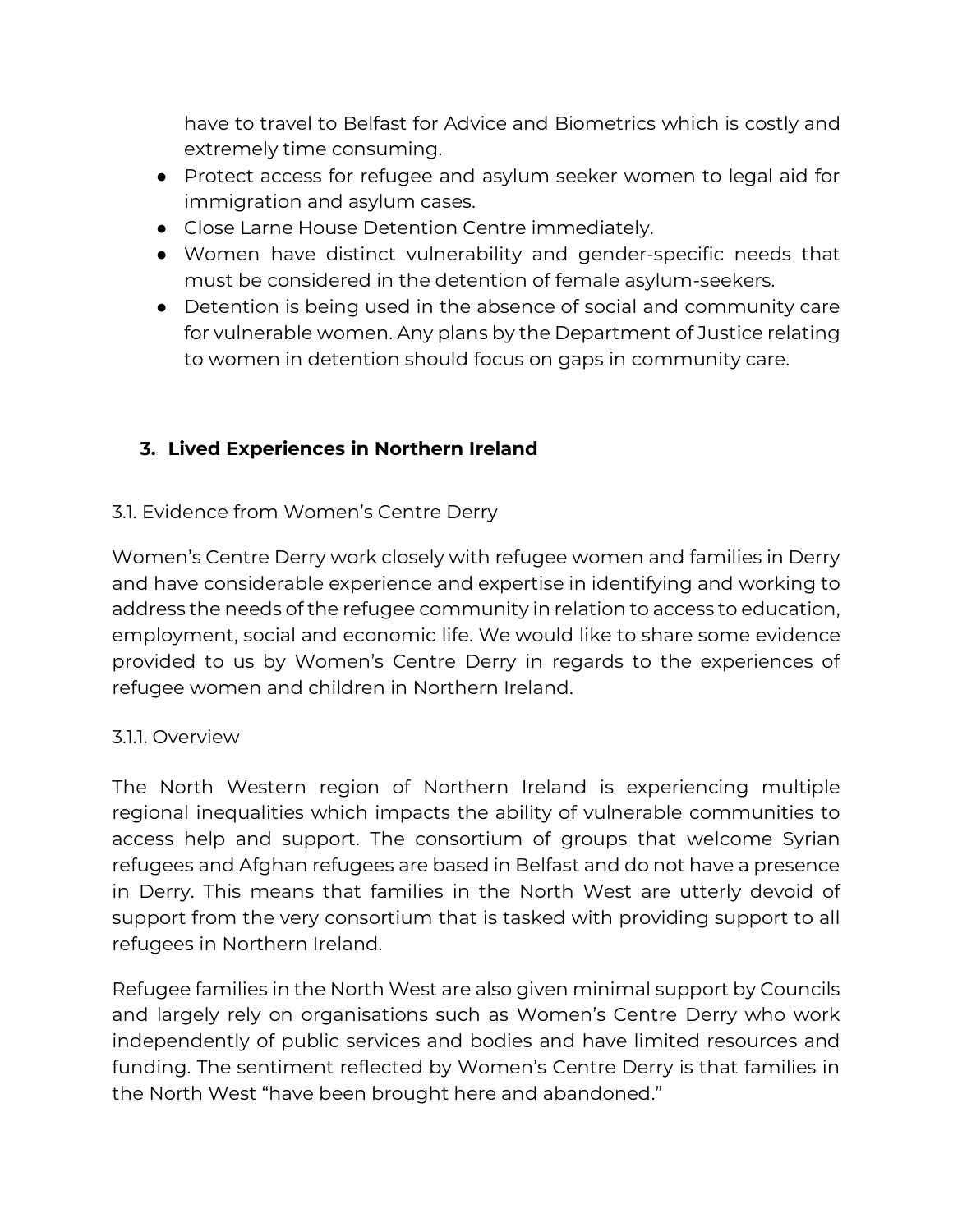have to travel to Belfast for Advice and Biometrics which is costly and extremely time consuming.

- Protect access for refugee and asylum seeker women to legal aid for immigration and asylum cases.
- Close Larne House Detention Centre immediately.
- Women have distinct vulnerability and gender-specific needs that must be considered in the detention of female asylum-seekers.
- Detention is being used in the absence of social and community care for vulnerable women. Any plans by the Department of Justice relating to women in detention should focus on gaps in community care.

## **3. Lived Experiences in Northern Ireland**

#### 3.1. Evidence from Women's Centre Derry

Women's Centre Derry work closely with refugee women and families in Derry and have considerable experience and expertise in identifying and working to address the needs of the refugee community in relation to access to education, employment, social and economic life. We would like to share some evidence provided to us by Women's Centre Derry in regards to the experiences of refugee women and children in Northern Ireland.

#### 3.1.1. Overview

The North Western region of Northern Ireland is experiencing multiple regional inequalities which impacts the ability of vulnerable communities to access help and support. The consortium of groups that welcome Syrian refugees and Afghan refugees are based in Belfast and do not have a presence in Derry. This means that families in the North West are utterly devoid of support from the very consortium that is tasked with providing support to all refugees in Northern Ireland.

Refugee families in the North West are also given minimal support by Councils and largely rely on organisations such as Women's Centre Derry who work independently of public services and bodies and have limited resources and funding. The sentiment reflected by Women's Centre Derry is that families in the North West "have been brought here and abandoned."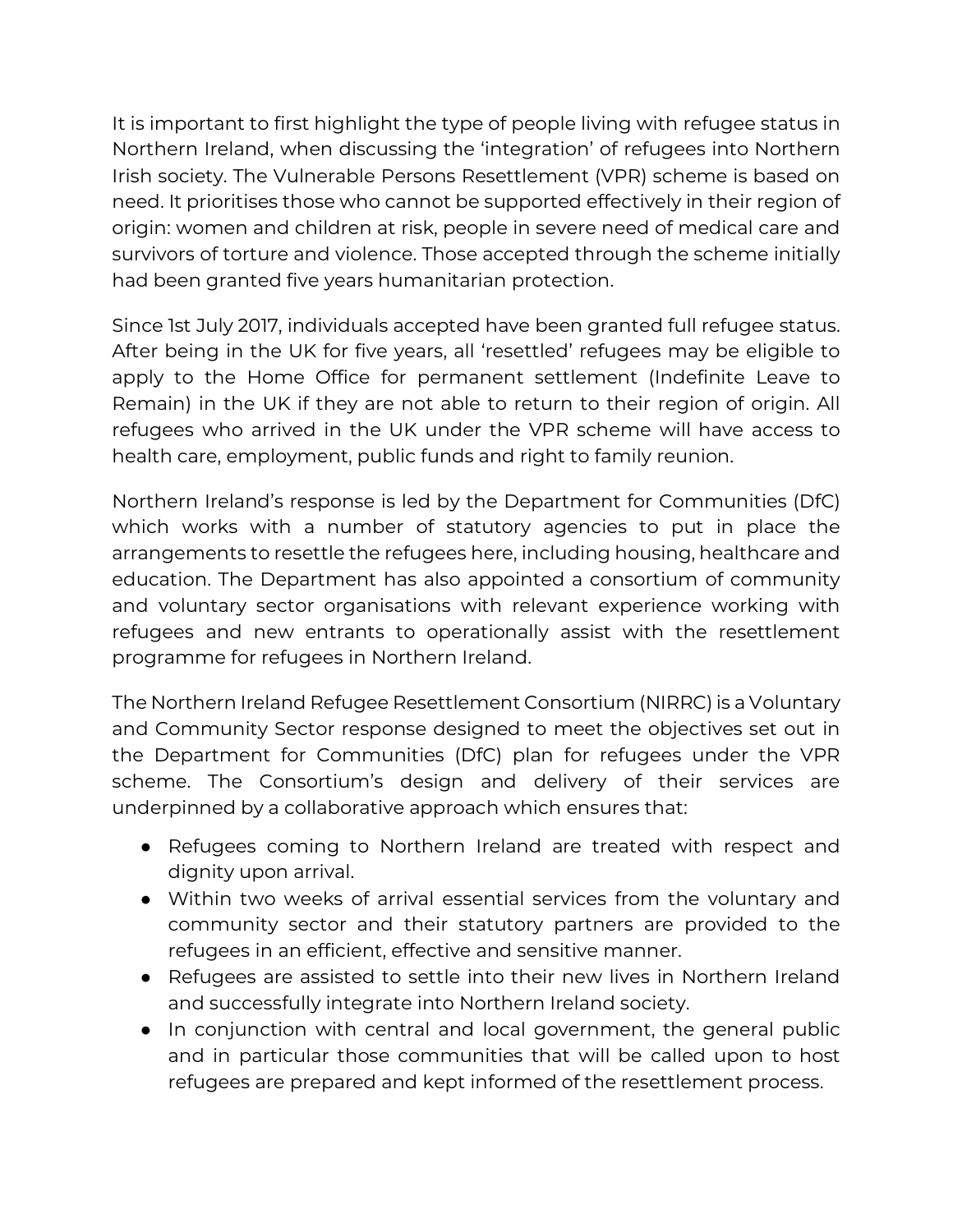It is important to first highlight the type of people living with refugee status in Northern Ireland, when discussing the 'integration' of refugees into Northern Irish society. The Vulnerable Persons Resettlement (VPR) scheme is based on need. It prioritises those who cannot be supported effectively in their region of origin: women and children at risk, people in severe need of medical care and survivors of torture and violence. Those accepted through the scheme initially had been granted five years humanitarian protection.

Since 1st July 2017, individuals accepted have been granted full refugee status. After being in the UK for five years, all 'resettled' refugees may be eligible to apply to the Home Office for permanent settlement (Indefinite Leave to Remain) in the UK if they are not able to return to their region of origin. All refugees who arrived in the UK under the VPR scheme will have access to health care, employment, public funds and right to family reunion.

Northern Ireland's response is led by the Department for Communities (DfC) which works with a number of statutory agencies to put in place the arrangements to resettle the refugees here, including housing, healthcare and education. The Department has also appointed a consortium of community and voluntary sector organisations with relevant experience working with refugees and new entrants to operationally assist with the resettlement programme for refugees in Northern Ireland.

The Northern Ireland Refugee Resettlement Consortium (NIRRC) is a Voluntary and Community Sector response designed to meet the objectives set out in the Department for Communities (DfC) plan for refugees under the VPR scheme. The Consortium's design and delivery of their services are underpinned by a collaborative approach which ensures that:

- Refugees coming to Northern Ireland are treated with respect and dignity upon arrival.
- Within two weeks of arrival essential services from the voluntary and community sector and their statutory partners are provided to the refugees in an efficient, effective and sensitive manner.
- Refugees are assisted to settle into their new lives in Northern Ireland and successfully integrate into Northern Ireland society.
- In conjunction with central and local government, the general public and in particular those communities that will be called upon to host refugees are prepared and kept informed of the resettlement process.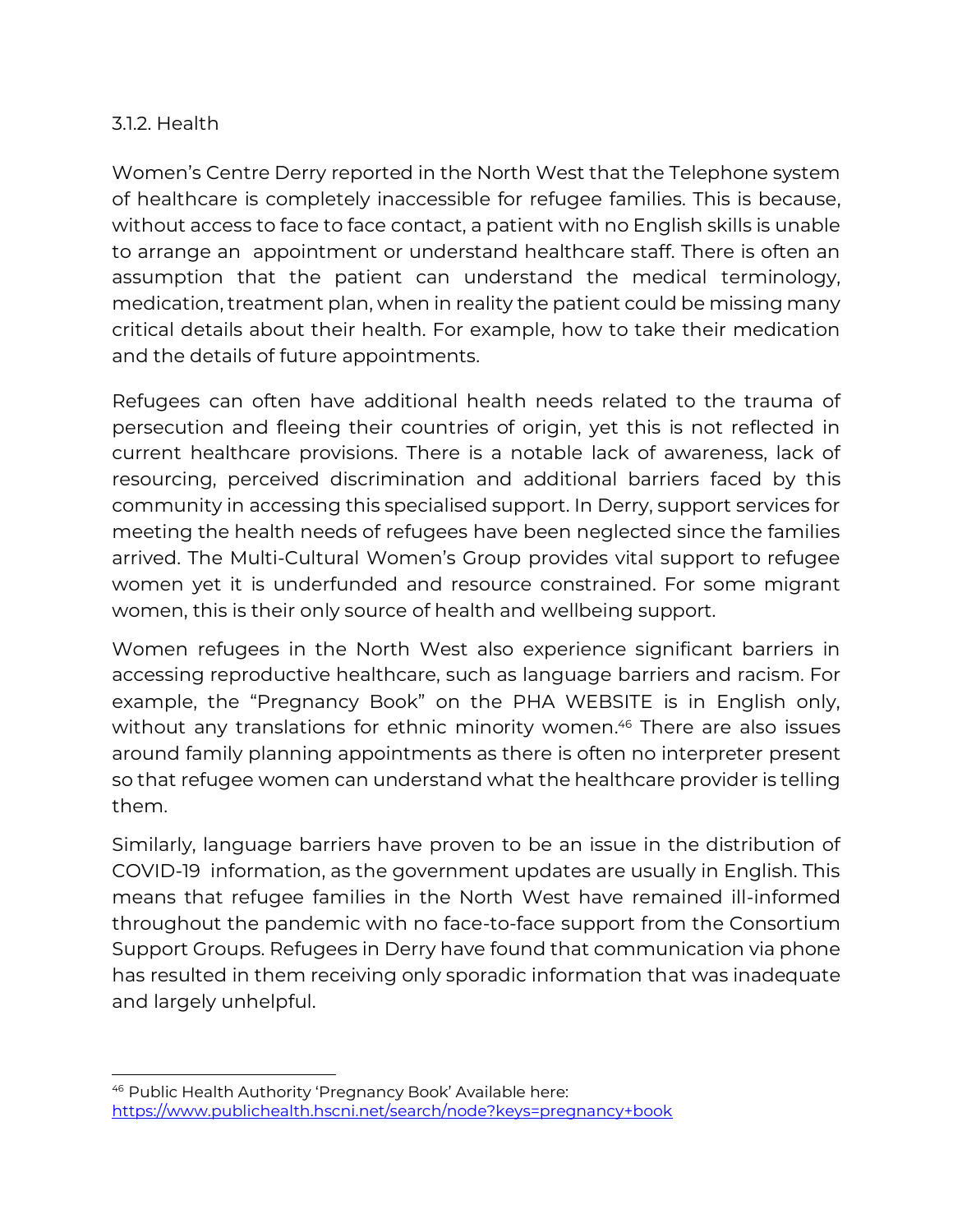#### 3.1.2. Health

Women's Centre Derry reported in the North West that the Telephone system of healthcare is completely inaccessible for refugee families. This is because, without access to face to face contact, a patient with no English skills is unable to arrange an appointment or understand healthcare staff. There is often an assumption that the patient can understand the medical terminology, medication, treatment plan, when in reality the patient could be missing many critical details about their health. For example, how to take their medication and the details of future appointments.

Refugees can often have additional health needs related to the trauma of persecution and fleeing their countries of origin, yet this is not reflected in current healthcare provisions. There is a notable lack of awareness, lack of resourcing, perceived discrimination and additional barriers faced by this community in accessing this specialised support. In Derry, support services for meeting the health needs of refugees have been neglected since the families arrived. The Multi-Cultural Women's Group provides vital support to refugee women yet it is underfunded and resource constrained. For some migrant women, this is their only source of health and wellbeing support.

Women refugees in the North West also experience significant barriers in accessing reproductive healthcare, such as language barriers and racism. For example, the "Pregnancy Book" on the PHA WEBSITE is in English only, without any translations for ethnic minority women. <sup>46</sup> There are also issues around family planning appointments as there is often no interpreter present so that refugee women can understand what the healthcare provider is telling them.

Similarly, language barriers have proven to be an issue in the distribution of COVID-19 information, as the government updates are usually in English. This means that refugee families in the North West have remained ill-informed throughout the pandemic with no face-to-face support from the Consortium Support Groups. Refugees in Derry have found that communication via phone has resulted in them receiving only sporadic information that was inadequate and largely unhelpful.

<sup>46</sup> Public Health Authority 'Pregnancy Book' Available here: <https://www.publichealth.hscni.net/search/node?keys=pregnancy+book>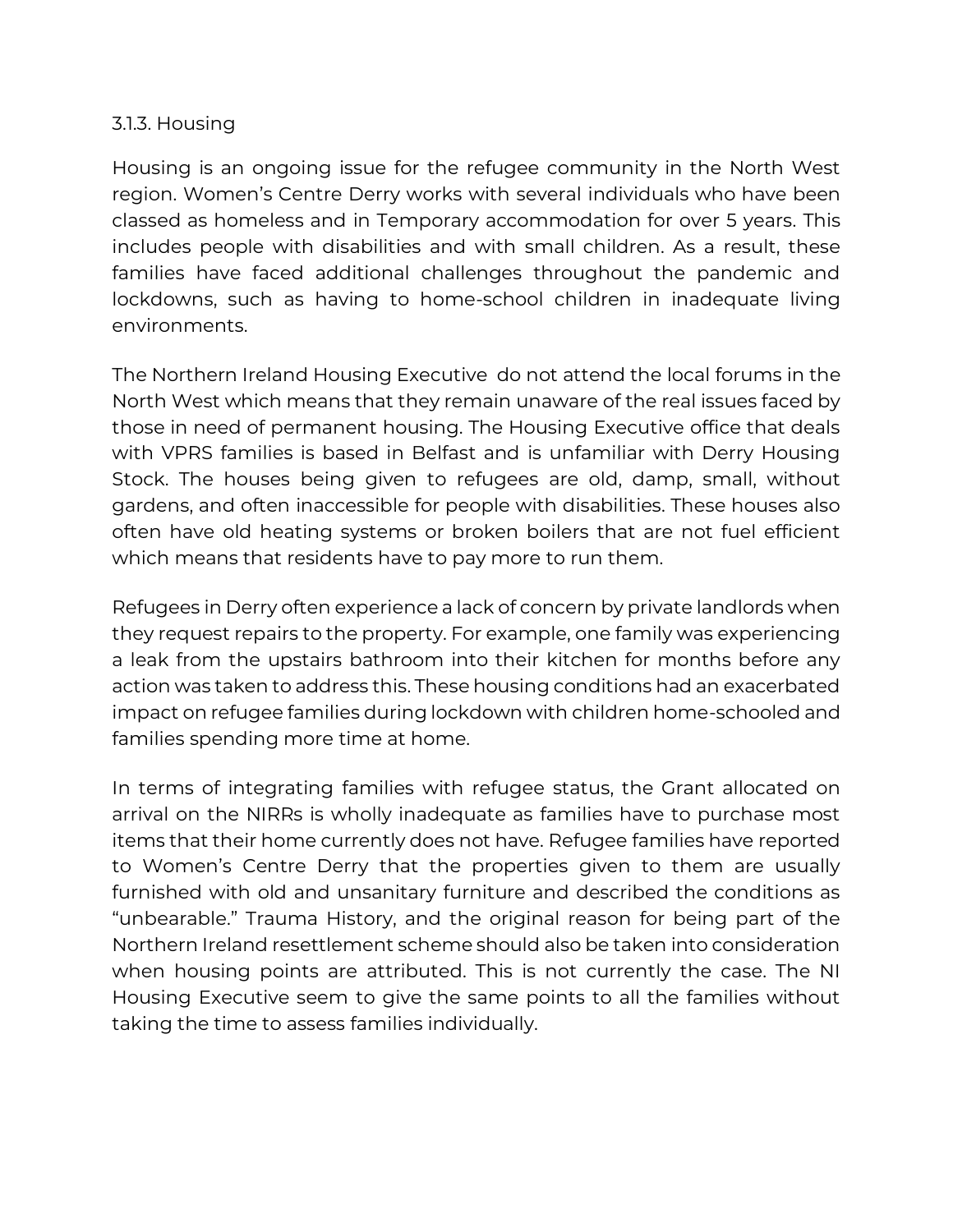#### 3.1.3. Housing

Housing is an ongoing issue for the refugee community in the North West region. Women's Centre Derry works with several individuals who have been classed as homeless and in Temporary accommodation for over 5 years. This includes people with disabilities and with small children. As a result, these families have faced additional challenges throughout the pandemic and lockdowns, such as having to home-school children in inadequate living environments.

The Northern Ireland Housing Executive do not attend the local forums in the North West which means that they remain unaware of the real issues faced by those in need of permanent housing. The Housing Executive office that deals with VPRS families is based in Belfast and is unfamiliar with Derry Housing Stock. The houses being given to refugees are old, damp, small, without gardens, and often inaccessible for people with disabilities. These houses also often have old heating systems or broken boilers that are not fuel efficient which means that residents have to pay more to run them.

Refugees in Derry often experience a lack of concern by private landlords when they request repairs to the property. For example, one family was experiencing a leak from the upstairs bathroom into their kitchen for months before any action was taken to address this. These housing conditions had an exacerbated impact on refugee families during lockdown with children home-schooled and families spending more time at home.

In terms of integrating families with refugee status, the Grant allocated on arrival on the NIRRs is wholly inadequate as families have to purchase most items that their home currently does not have. Refugee families have reported to Women's Centre Derry that the properties given to them are usually furnished with old and unsanitary furniture and described the conditions as "unbearable." Trauma History, and the original reason for being part of the Northern Ireland resettlement scheme should also be taken into consideration when housing points are attributed. This is not currently the case. The NI Housing Executive seem to give the same points to all the families without taking the time to assess families individually.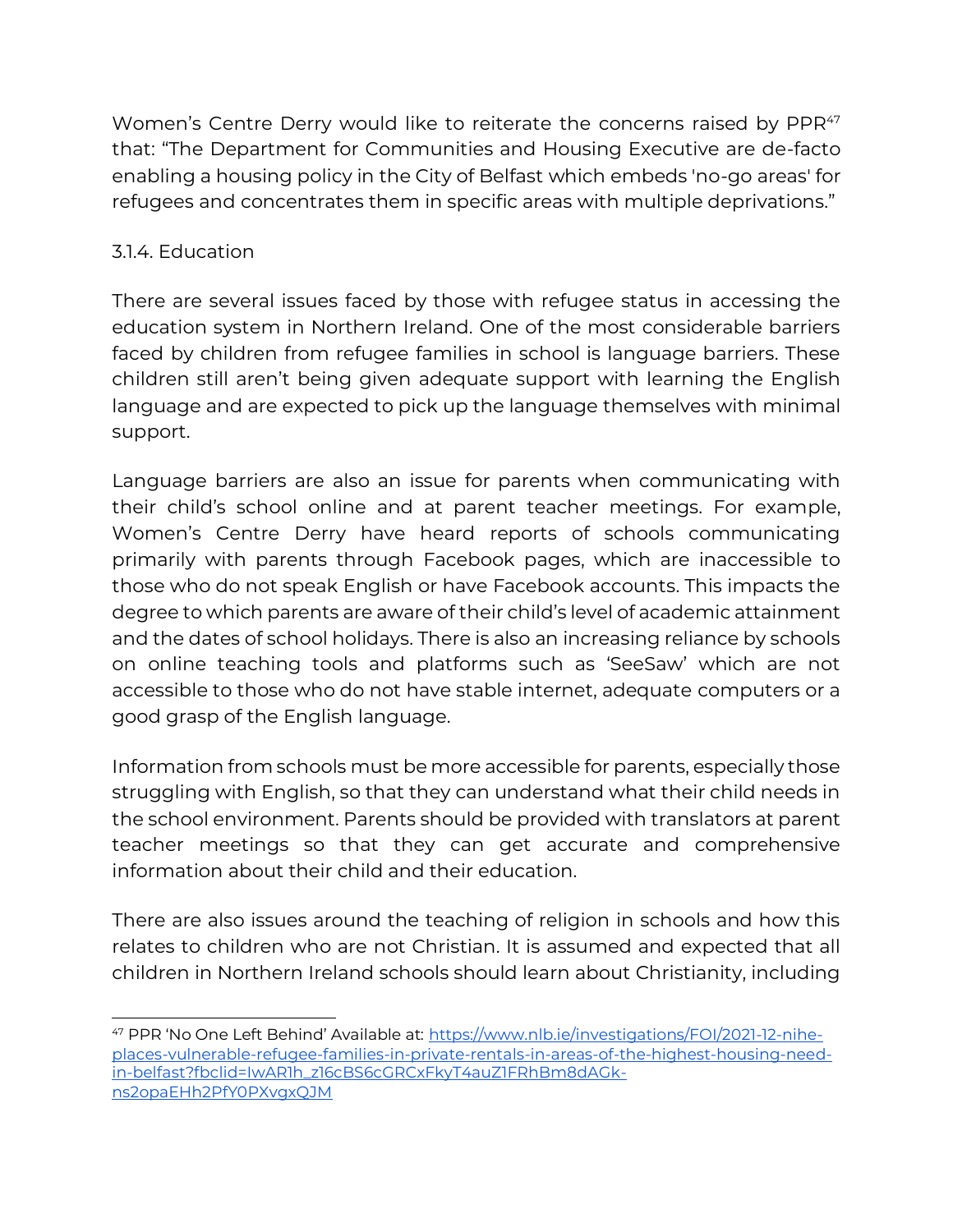Women's Centre Derry would like to reiterate the concerns raised by PPR<sup>47</sup> that: "The Department for Communities and Housing Executive are de-facto enabling a housing policy in the City of Belfast which embeds 'no-go areas' for refugees and concentrates them in specific areas with multiple deprivations."

## 3.1.4. Education

There are several issues faced by those with refugee status in accessing the education system in Northern Ireland. One of the most considerable barriers faced by children from refugee families in school is language barriers. These children still aren't being given adequate support with learning the English language and are expected to pick up the language themselves with minimal support.

Language barriers are also an issue for parents when communicating with their child's school online and at parent teacher meetings. For example, Women's Centre Derry have heard reports of schools communicating primarily with parents through Facebook pages, which are inaccessible to those who do not speak English or have Facebook accounts. This impacts the degree to which parents are aware of their child's level of academic attainment and the dates of school holidays. There is also an increasing reliance by schools on online teaching tools and platforms such as 'SeeSaw' which are not accessible to those who do not have stable internet, adequate computers or a good grasp of the English language.

Information from schools must be more accessible for parents, especially those struggling with English, so that they can understand what their child needs in the school environment. Parents should be provided with translators at parent teacher meetings so that they can get accurate and comprehensive information about their child and their education.

There are also issues around the teaching of religion in schools and how this relates to children who are not Christian. It is assumed and expected that all children in Northern Ireland schools should learn about Christianity, including

<sup>47</sup> PPR 'No One Left Behind' Available at: [https://www.nlb.ie/investigations/FOI/2021-12-nihe](https://www.nlb.ie/investigations/FOI/2021-12-nihe-places-vulnerable-refugee-families-in-private-rentals-in-areas-of-the-highest-housing-need-in-belfast?fbclid=IwAR1h_z16cBS6cGRCxFkyT4auZ1FRhBm8dAGk-ns2opaEHh2PfY0PXvgxQJM)[places-vulnerable-refugee-families-in-private-rentals-in-areas-of-the-highest-housing-need](https://www.nlb.ie/investigations/FOI/2021-12-nihe-places-vulnerable-refugee-families-in-private-rentals-in-areas-of-the-highest-housing-need-in-belfast?fbclid=IwAR1h_z16cBS6cGRCxFkyT4auZ1FRhBm8dAGk-ns2opaEHh2PfY0PXvgxQJM)[in-belfast?fbclid=IwAR1h\\_z16cBS6cGRCxFkyT4auZ1FRhBm8dAGk](https://www.nlb.ie/investigations/FOI/2021-12-nihe-places-vulnerable-refugee-families-in-private-rentals-in-areas-of-the-highest-housing-need-in-belfast?fbclid=IwAR1h_z16cBS6cGRCxFkyT4auZ1FRhBm8dAGk-ns2opaEHh2PfY0PXvgxQJM)[ns2opaEHh2PfY0PXvgxQJM](https://www.nlb.ie/investigations/FOI/2021-12-nihe-places-vulnerable-refugee-families-in-private-rentals-in-areas-of-the-highest-housing-need-in-belfast?fbclid=IwAR1h_z16cBS6cGRCxFkyT4auZ1FRhBm8dAGk-ns2opaEHh2PfY0PXvgxQJM)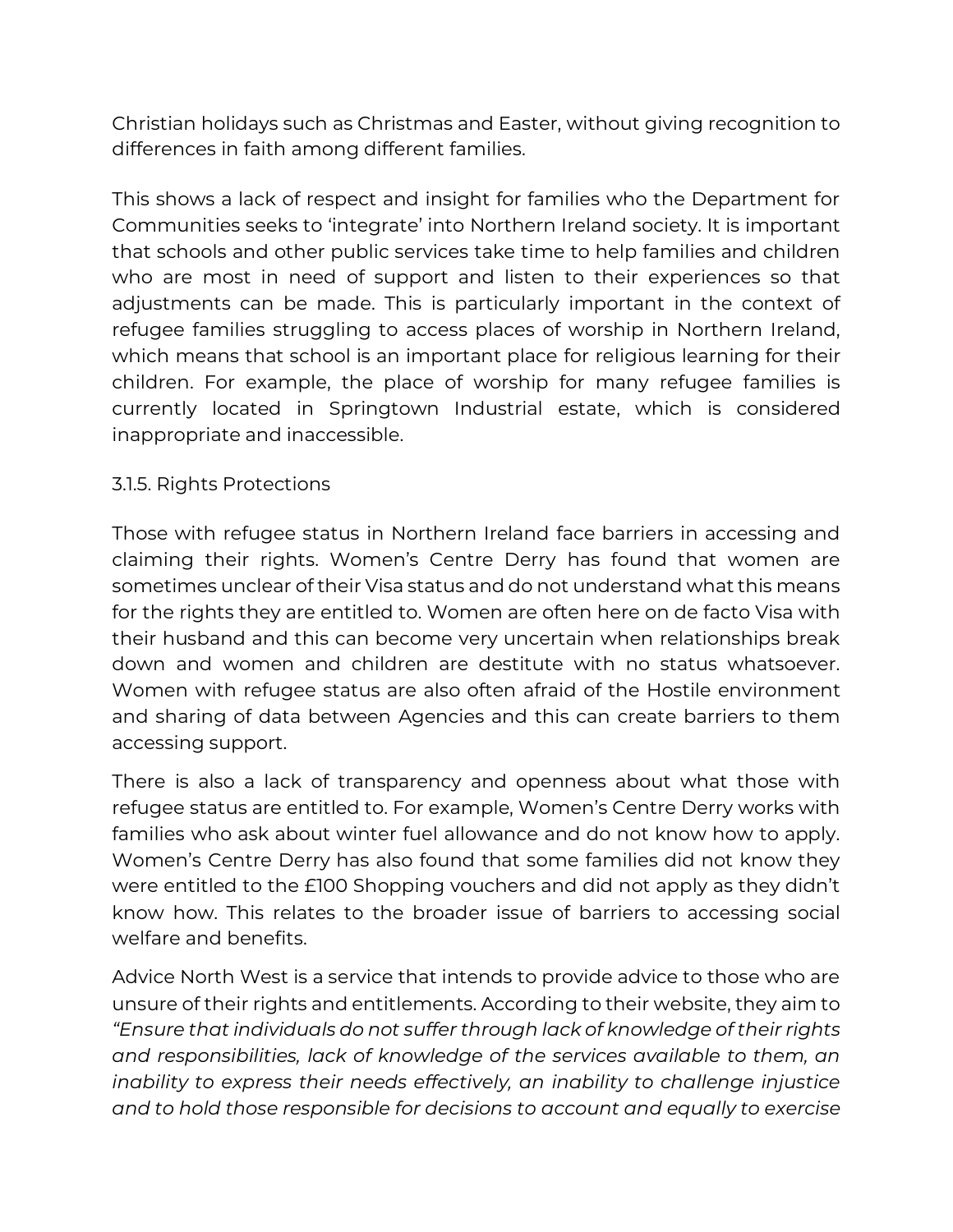Christian holidays such as Christmas and Easter, without giving recognition to differences in faith among different families.

This shows a lack of respect and insight for families who the Department for Communities seeks to 'integrate' into Northern Ireland society. It is important that schools and other public services take time to help families and children who are most in need of support and listen to their experiences so that adjustments can be made. This is particularly important in the context of refugee families struggling to access places of worship in Northern Ireland, which means that school is an important place for religious learning for their children. For example, the place of worship for many refugee families is currently located in Springtown Industrial estate, which is considered inappropriate and inaccessible.

#### 3.1.5. Rights Protections

Those with refugee status in Northern Ireland face barriers in accessing and claiming their rights. Women's Centre Derry has found that women are sometimes unclear of their Visa status and do not understand what this means for the rights they are entitled to. Women are often here on de facto Visa with their husband and this can become very uncertain when relationships break down and women and children are destitute with no status whatsoever. Women with refugee status are also often afraid of the Hostile environment and sharing of data between Agencies and this can create barriers to them accessing support.

There is also a lack of transparency and openness about what those with refugee status are entitled to. For example, Women's Centre Derry works with families who ask about winter fuel allowance and do not know how to apply. Women's Centre Derry has also found that some families did not know they were entitled to the £100 Shopping vouchers and did not apply as they didn't know how. This relates to the broader issue of barriers to accessing social welfare and benefits.

Advice North West is a service that intends to provide advice to those who are unsure of their rights and entitlements. According to their website, they aim to *"Ensure that individuals do not suffer through lack of knowledge of their rights and responsibilities, lack of knowledge of the services available to them, an inability to express their needs effectively, an inability to challenge injustice and to hold those responsible for decisions to account and equally to exercise*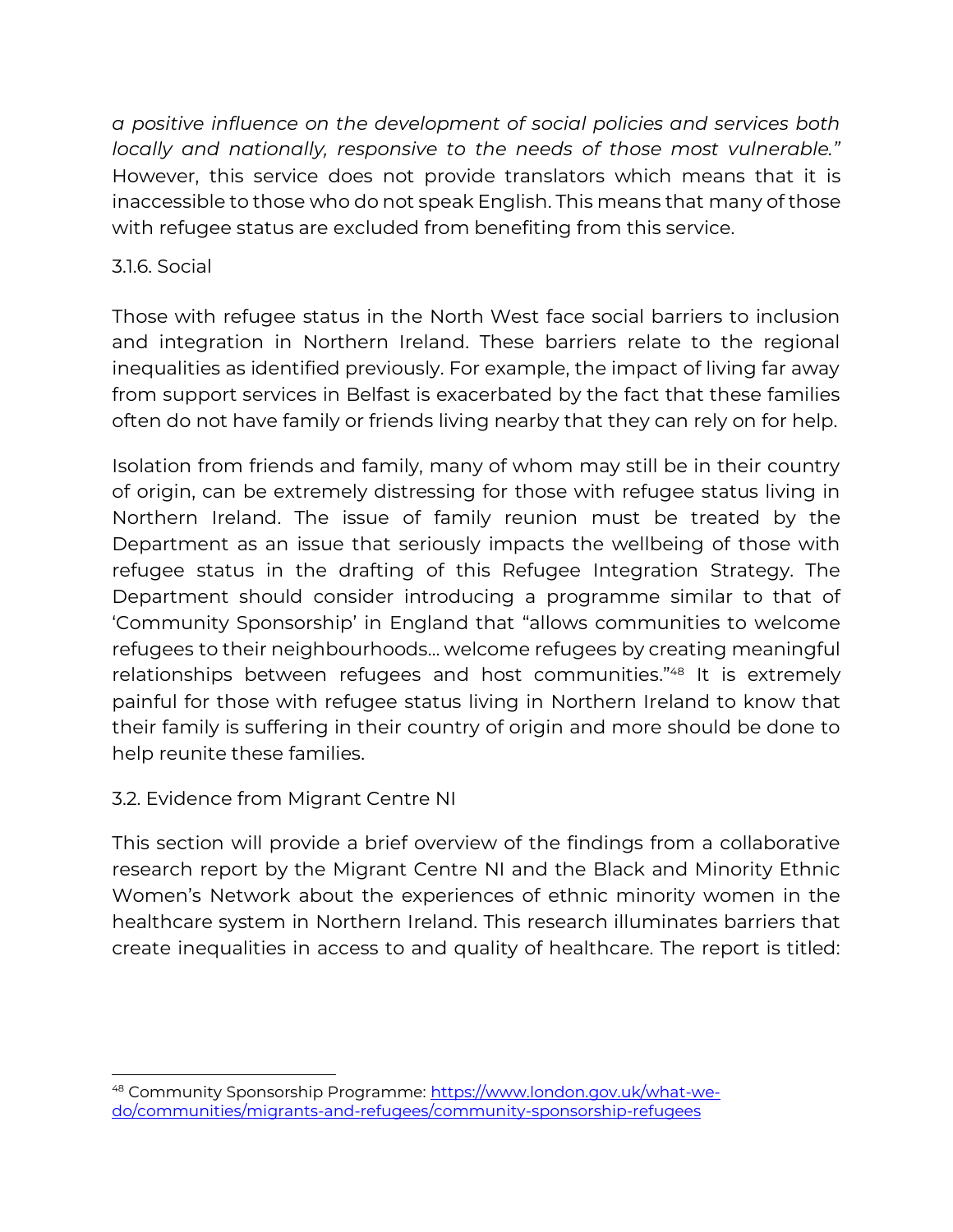*a positive influence on the development of social policies and services both locally and nationally, responsive to the needs of those most vulnerable."*  However, this service does not provide translators which means that it is inaccessible to those who do not speak English. This means that many of those with refugee status are excluded from benefiting from this service.

#### 3.1.6. Social

Those with refugee status in the North West face social barriers to inclusion and integration in Northern Ireland. These barriers relate to the regional inequalities as identified previously. For example, the impact of living far away from support services in Belfast is exacerbated by the fact that these families often do not have family or friends living nearby that they can rely on for help.

Isolation from friends and family, many of whom may still be in their country of origin, can be extremely distressing for those with refugee status living in Northern Ireland. The issue of family reunion must be treated by the Department as an issue that seriously impacts the wellbeing of those with refugee status in the drafting of this Refugee Integration Strategy. The Department should consider introducing a programme similar to that of 'Community Sponsorship' in England that "allows communities to welcome refugees to their neighbourhoods… welcome refugees by creating meaningful relationships between refugees and host communities."<sup>48</sup> It is extremely painful for those with refugee status living in Northern Ireland to know that their family is suffering in their country of origin and more should be done to help reunite these families.

## 3.2. Evidence from Migrant Centre NI

This section will provide a brief overview of the findings from a collaborative research report by the Migrant Centre NI and the Black and Minority Ethnic Women's Network about the experiences of ethnic minority women in the healthcare system in Northern Ireland. This research illuminates barriers that create inequalities in access to and quality of healthcare. The report is titled:

<sup>48</sup> Community Sponsorship Programme: [https://www.london.gov.uk/what-we](https://www.london.gov.uk/what-we-do/communities/migrants-and-refugees/community-sponsorship-refugees)[do/communities/migrants-and-refugees/community-sponsorship-refugees](https://www.london.gov.uk/what-we-do/communities/migrants-and-refugees/community-sponsorship-refugees)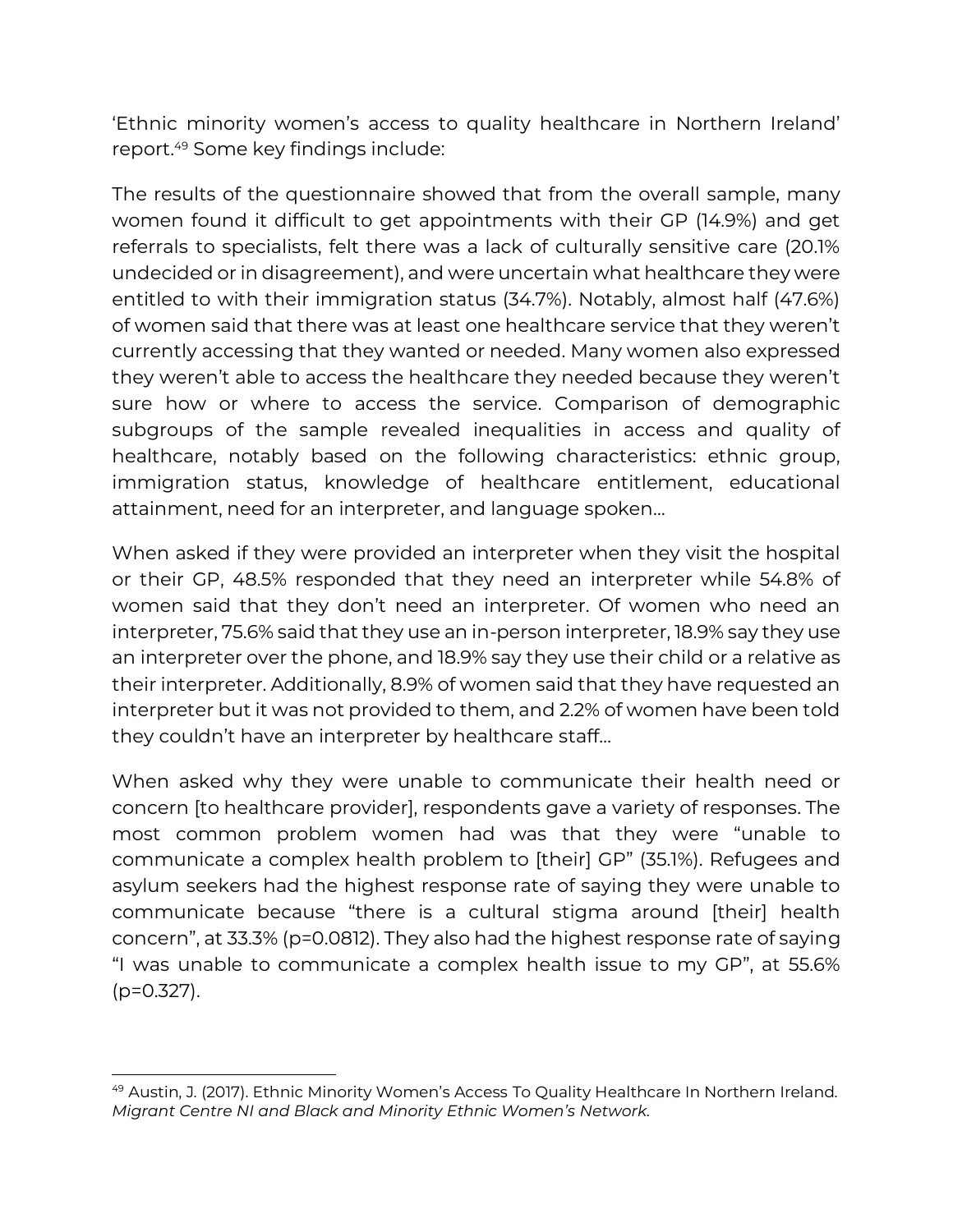'Ethnic minority women's access to quality healthcare in Northern Ireland' report.<sup>49</sup> Some key findings include:

The results of the questionnaire showed that from the overall sample, many women found it difficult to get appointments with their GP (14.9%) and get referrals to specialists, felt there was a lack of culturally sensitive care (20.1% undecided or in disagreement), and were uncertain what healthcare they were entitled to with their immigration status (34.7%). Notably, almost half (47.6%) of women said that there was at least one healthcare service that they weren't currently accessing that they wanted or needed. Many women also expressed they weren't able to access the healthcare they needed because they weren't sure how or where to access the service. Comparison of demographic subgroups of the sample revealed inequalities in access and quality of healthcare, notably based on the following characteristics: ethnic group, immigration status, knowledge of healthcare entitlement, educational attainment, need for an interpreter, and language spoken…

When asked if they were provided an interpreter when they visit the hospital or their GP, 48.5% responded that they need an interpreter while 54.8% of women said that they don't need an interpreter. Of women who need an interpreter, 75.6% said that they use an in-person interpreter, 18.9% say they use an interpreter over the phone, and 18.9% say they use their child or a relative as their interpreter. Additionally, 8.9% of women said that they have requested an interpreter but it was not provided to them, and 2.2% of women have been told they couldn't have an interpreter by healthcare staff…

When asked why they were unable to communicate their health need or concern [to healthcare provider], respondents gave a variety of responses. The most common problem women had was that they were "unable to communicate a complex health problem to [their] GP" (35.1%). Refugees and asylum seekers had the highest response rate of saying they were unable to communicate because "there is a cultural stigma around [their] health concern", at 33.3% (p=0.0812). They also had the highest response rate of saying "I was unable to communicate a complex health issue to my GP", at 55.6% (p=0.327).

<sup>49</sup> Austin, J. (2017). Ethnic Minority Women's Access To Quality Healthcare In Northern Ireland. *Migrant Centre NI and Black and Minority Ethnic Women's Network.*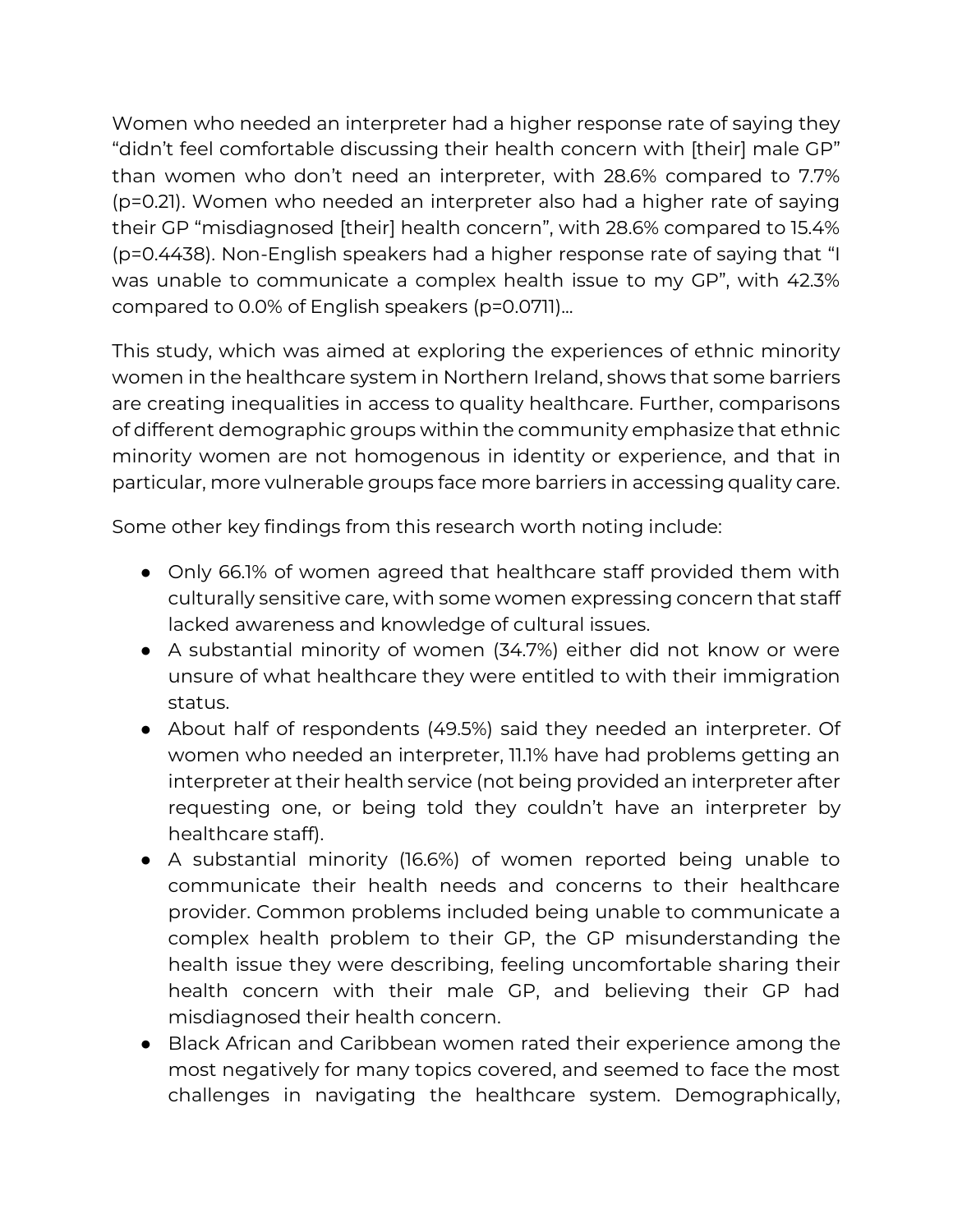Women who needed an interpreter had a higher response rate of saying they "didn't feel comfortable discussing their health concern with [their] male GP" than women who don't need an interpreter, with 28.6% compared to 7.7% (p=0.21). Women who needed an interpreter also had a higher rate of saying their GP "misdiagnosed [their] health concern", with 28.6% compared to 15.4% (p=0.4438). Non-English speakers had a higher response rate of saying that "I was unable to communicate a complex health issue to my GP", with 42.3% compared to 0.0% of English speakers (p=0.0711)...

This study, which was aimed at exploring the experiences of ethnic minority women in the healthcare system in Northern Ireland, shows that some barriers are creating inequalities in access to quality healthcare. Further, comparisons of different demographic groups within the community emphasize that ethnic minority women are not homogenous in identity or experience, and that in particular, more vulnerable groups face more barriers in accessing quality care.

Some other key findings from this research worth noting include:

- Only 66.1% of women agreed that healthcare staff provided them with culturally sensitive care, with some women expressing concern that staff lacked awareness and knowledge of cultural issues.
- A substantial minority of women (34.7%) either did not know or were unsure of what healthcare they were entitled to with their immigration status.
- About half of respondents (49.5%) said they needed an interpreter. Of women who needed an interpreter, 11.1% have had problems getting an interpreter at their health service (not being provided an interpreter after requesting one, or being told they couldn't have an interpreter by healthcare staff).
- A substantial minority (16.6%) of women reported being unable to communicate their health needs and concerns to their healthcare provider. Common problems included being unable to communicate a complex health problem to their GP, the GP misunderstanding the health issue they were describing, feeling uncomfortable sharing their health concern with their male GP, and believing their GP had misdiagnosed their health concern.
- Black African and Caribbean women rated their experience among the most negatively for many topics covered, and seemed to face the most challenges in navigating the healthcare system. Demographically,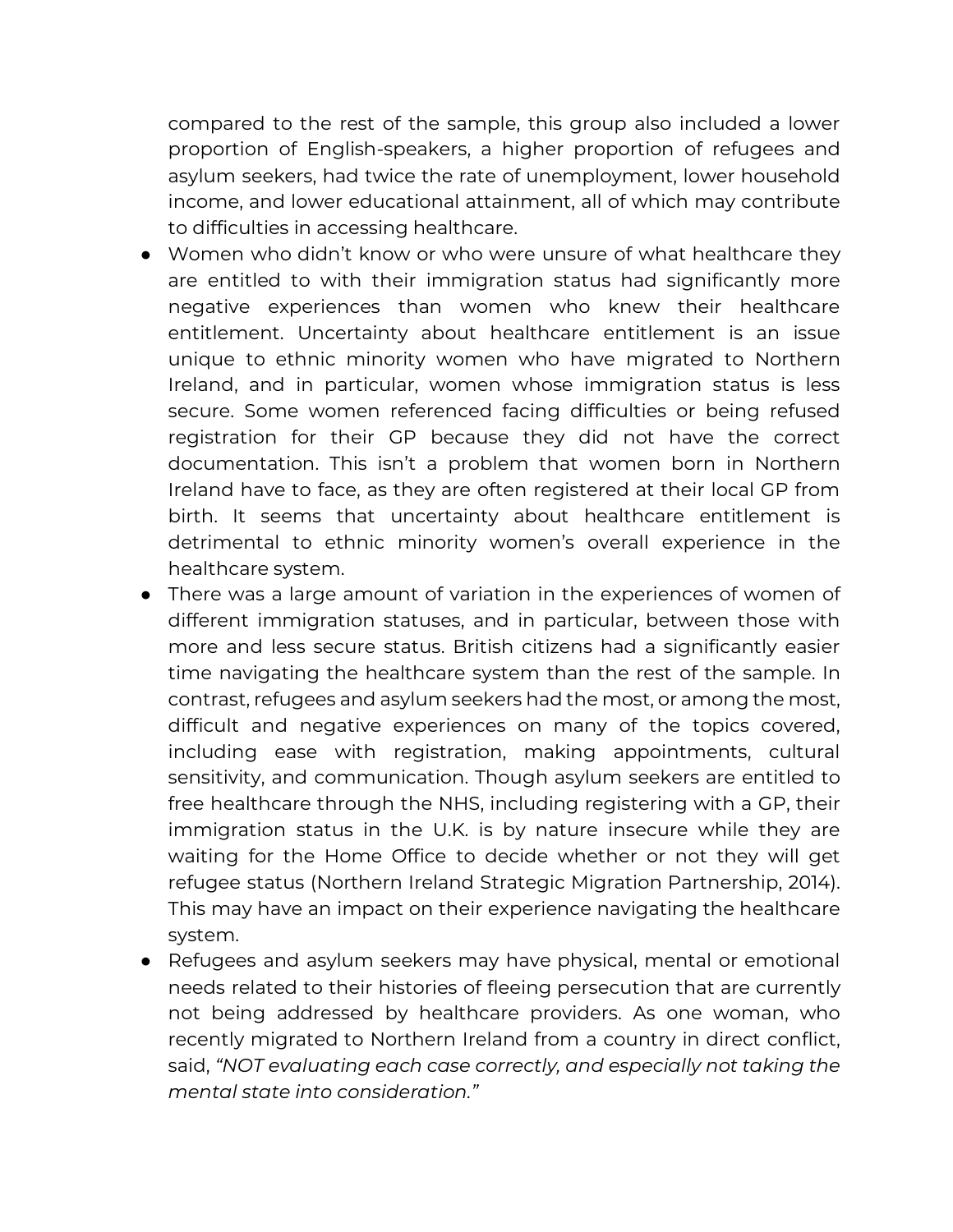compared to the rest of the sample, this group also included a lower proportion of English-speakers, a higher proportion of refugees and asylum seekers, had twice the rate of unemployment, lower household income, and lower educational attainment, all of which may contribute to difficulties in accessing healthcare.

- Women who didn't know or who were unsure of what healthcare they are entitled to with their immigration status had significantly more negative experiences than women who knew their healthcare entitlement. Uncertainty about healthcare entitlement is an issue unique to ethnic minority women who have migrated to Northern Ireland, and in particular, women whose immigration status is less secure. Some women referenced facing difficulties or being refused registration for their GP because they did not have the correct documentation. This isn't a problem that women born in Northern Ireland have to face, as they are often registered at their local GP from birth. It seems that uncertainty about healthcare entitlement is detrimental to ethnic minority women's overall experience in the healthcare system.
- There was a large amount of variation in the experiences of women of different immigration statuses, and in particular, between those with more and less secure status. British citizens had a significantly easier time navigating the healthcare system than the rest of the sample. In contrast, refugees and asylum seekers had the most, or among the most, difficult and negative experiences on many of the topics covered, including ease with registration, making appointments, cultural sensitivity, and communication. Though asylum seekers are entitled to free healthcare through the NHS, including registering with a GP, their immigration status in the U.K. is by nature insecure while they are waiting for the Home Office to decide whether or not they will get refugee status (Northern Ireland Strategic Migration Partnership, 2014). This may have an impact on their experience navigating the healthcare system.
- Refugees and asylum seekers may have physical, mental or emotional needs related to their histories of fleeing persecution that are currently not being addressed by healthcare providers. As one woman, who recently migrated to Northern Ireland from a country in direct conflict, said, *"NOT evaluating each case correctly, and especially not taking the mental state into consideration."*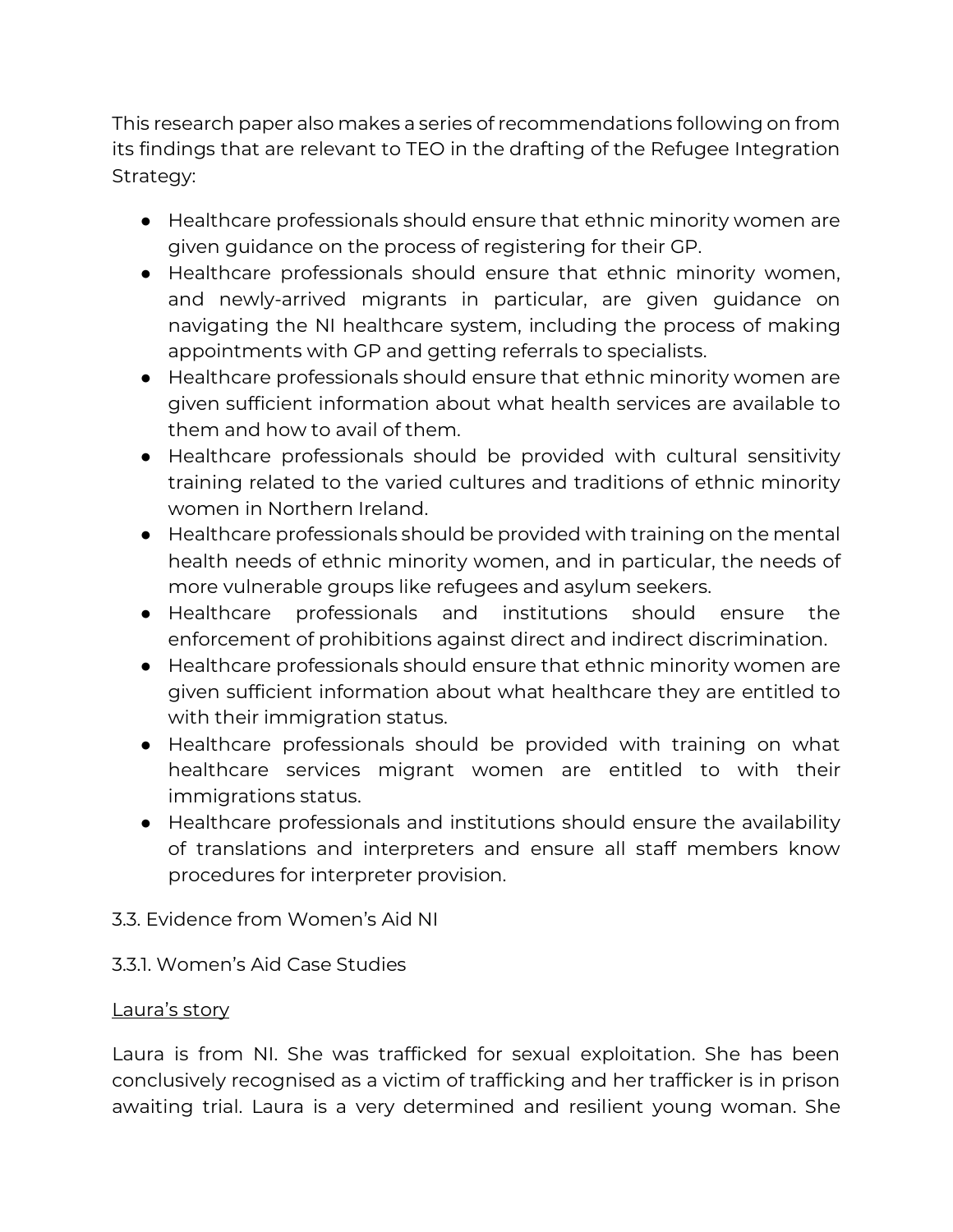This research paper also makes a series of recommendations following on from its findings that are relevant to TEO in the drafting of the Refugee Integration Strategy:

- Healthcare professionals should ensure that ethnic minority women are given guidance on the process of registering for their GP.
- Healthcare professionals should ensure that ethnic minority women, and newly-arrived migrants in particular, are given guidance on navigating the NI healthcare system, including the process of making appointments with GP and getting referrals to specialists.
- Healthcare professionals should ensure that ethnic minority women are given sufficient information about what health services are available to them and how to avail of them.
- Healthcare professionals should be provided with cultural sensitivity training related to the varied cultures and traditions of ethnic minority women in Northern Ireland.
- Healthcare professionals should be provided with training on the mental health needs of ethnic minority women, and in particular, the needs of more vulnerable groups like refugees and asylum seekers.
- Healthcare professionals and institutions should ensure the enforcement of prohibitions against direct and indirect discrimination.
- Healthcare professionals should ensure that ethnic minority women are given sufficient information about what healthcare they are entitled to with their immigration status.
- Healthcare professionals should be provided with training on what healthcare services migrant women are entitled to with their immigrations status.
- Healthcare professionals and institutions should ensure the availability of translations and interpreters and ensure all staff members know procedures for interpreter provision.

#### 3.3. Evidence from Women's Aid NI

#### 3.3.1. Women's Aid Case Studies

#### Laura's story

Laura is from NI. She was trafficked for sexual exploitation. She has been conclusively recognised as a victim of trafficking and her trafficker is in prison awaiting trial. Laura is a very determined and resilient young woman. She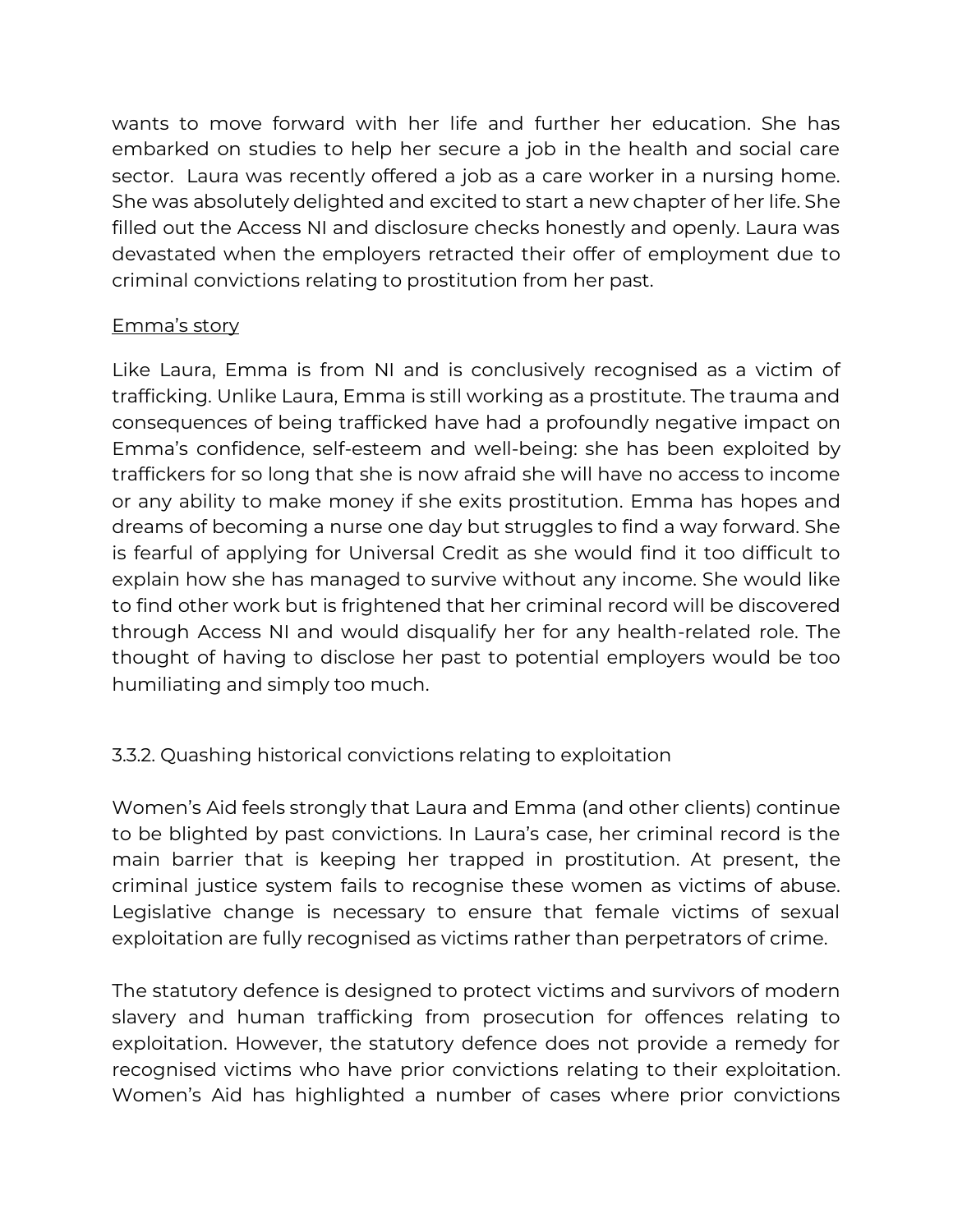wants to move forward with her life and further her education. She has embarked on studies to help her secure a job in the health and social care sector. Laura was recently offered a job as a care worker in a nursing home. She was absolutely delighted and excited to start a new chapter of her life. She filled out the Access NI and disclosure checks honestly and openly. Laura was devastated when the employers retracted their offer of employment due to criminal convictions relating to prostitution from her past.

#### Emma's story

Like Laura, Emma is from NI and is conclusively recognised as a victim of trafficking. Unlike Laura, Emma is still working as a prostitute. The trauma and consequences of being trafficked have had a profoundly negative impact on Emma's confidence, self-esteem and well-being: she has been exploited by traffickers for so long that she is now afraid she will have no access to income or any ability to make money if she exits prostitution. Emma has hopes and dreams of becoming a nurse one day but struggles to find a way forward. She is fearful of applying for Universal Credit as she would find it too difficult to explain how she has managed to survive without any income. She would like to find other work but is frightened that her criminal record will be discovered through Access NI and would disqualify her for any health-related role. The thought of having to disclose her past to potential employers would be too humiliating and simply too much.

## 3.3.2. Quashing historical convictions relating to exploitation

Women's Aid feels strongly that Laura and Emma (and other clients) continue to be blighted by past convictions. In Laura's case, her criminal record is the main barrier that is keeping her trapped in prostitution. At present, the criminal justice system fails to recognise these women as victims of abuse. Legislative change is necessary to ensure that female victims of sexual exploitation are fully recognised as victims rather than perpetrators of crime.

The statutory defence is designed to protect victims and survivors of modern slavery and human trafficking from prosecution for offences relating to exploitation. However, the statutory defence does not provide a remedy for recognised victims who have prior convictions relating to their exploitation. Women's Aid has highlighted a number of cases where prior convictions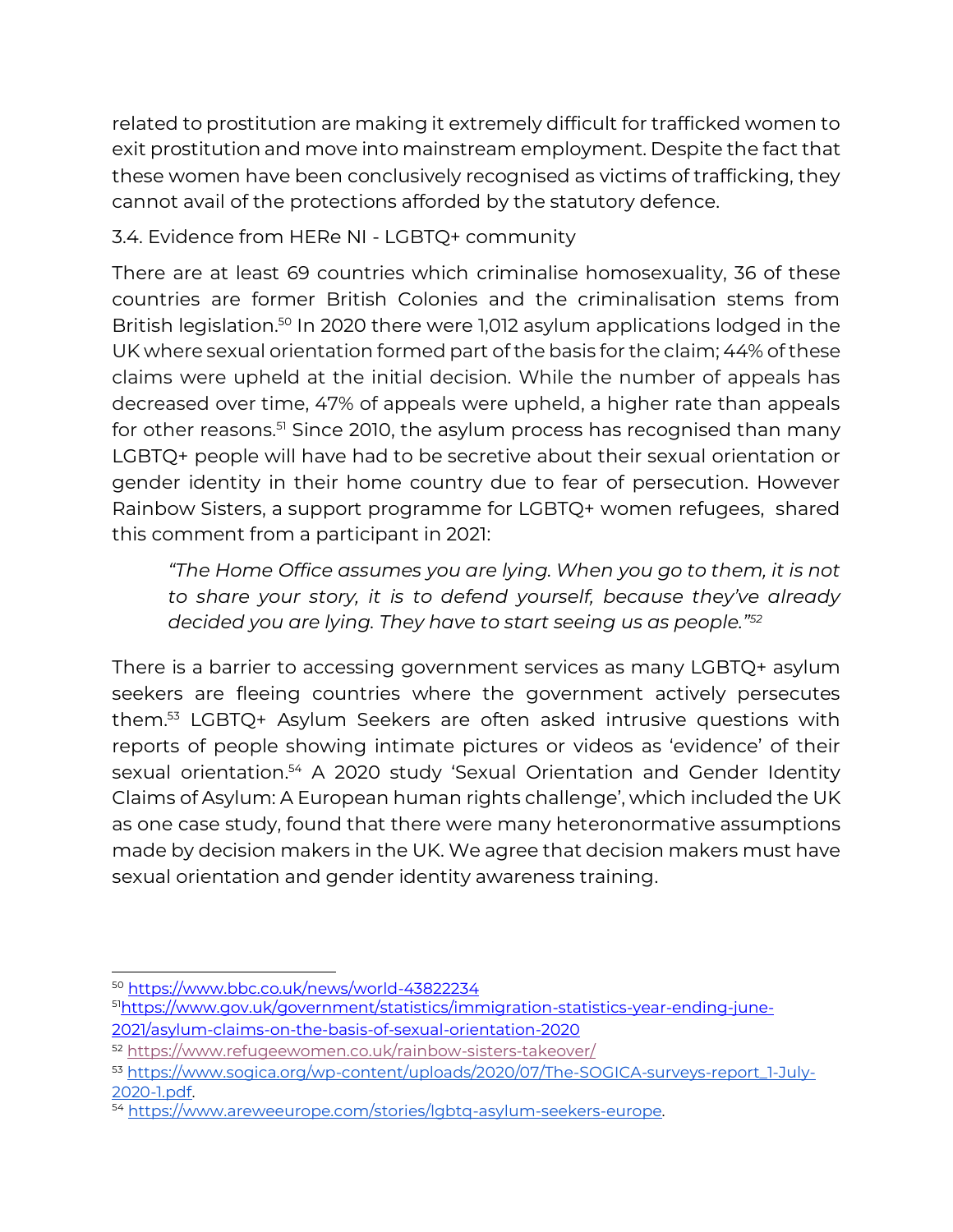related to prostitution are making it extremely difficult for trafficked women to exit prostitution and move into mainstream employment. Despite the fact that these women have been conclusively recognised as victims of trafficking, they cannot avail of the protections afforded by the statutory defence.

## 3.4. Evidence from HERe NI - LGBTQ+ community

There are at least 69 countries which criminalise homosexuality, 36 of these countries are former British Colonies and the criminalisation stems from British legislation.<sup>50</sup> In 2020 there were 1,012 asylum applications lodged in the UK where sexual orientation formed part of the basis for the claim; 44% of these claims were upheld at the initial decision. While the number of appeals has decreased over time, 47% of appeals were upheld, a higher rate than appeals for other reasons.<sup>51</sup> Since 2010, the asylum process has recognised than many LGBTQ+ people will have had to be secretive about their sexual orientation or gender identity in their home country due to fear of persecution. However Rainbow Sisters, a support programme for LGBTQ+ women refugees, shared this comment from a participant in 2021:

*"The Home Office assumes you are lying. When you go to them, it is not to share your story, it is to defend yourself, because they've already decided you are lying. They have to start seeing us as people."<sup>52</sup>*

There is a barrier to accessing government services as many LGBTQ+ asylum seekers are fleeing countries where the government actively persecutes them. <sup>53</sup> LGBTQ+ Asylum Seekers are often asked intrusive questions with reports of people showing intimate pictures or videos as 'evidence' of their sexual orientation.<sup>54</sup> A 2020 study 'Sexual Orientation and Gender Identity Claims of Asylum: A European human rights challenge', which included the UK as one case study, found that there were many heteronormative assumptions made by decision makers in the UK. We agree that decision makers must have sexual orientation and gender identity awareness training.

51[https://www.gov.uk/government/statistics/immigration-statistics-year-ending-june-](https://www.gov.uk/government/statistics/immigration-statistics-year-ending-june-2021/asylum-claims-on-the-basis-of-sexual-orientation-2020)[2021/asylum-claims-on-the-basis-of-sexual-orientation-2020](https://www.gov.uk/government/statistics/immigration-statistics-year-ending-june-2021/asylum-claims-on-the-basis-of-sexual-orientation-2020)

<sup>50</sup> <https://www.bbc.co.uk/news/world-43822234>

<sup>52</sup> <https://www.refugeewomen.co.uk/rainbow-sisters-takeover/>

<sup>53</sup> [https://www.sogica.org/wp-content/uploads/2020/07/The-SOGICA-surveys-report\\_1-July-](https://www.sogica.org/wp-content/uploads/2020/07/The-SOGICA-surveys-report_1-July-2020-1.pdf)[2020-1.pdf.](https://www.sogica.org/wp-content/uploads/2020/07/The-SOGICA-surveys-report_1-July-2020-1.pdf)

<sup>54</sup> [https://www.areweeurope.com/stories/lgbtq-asylum-seekers-europe.](https://www.areweeurope.com/stories/lgbtq-asylum-seekers-europe)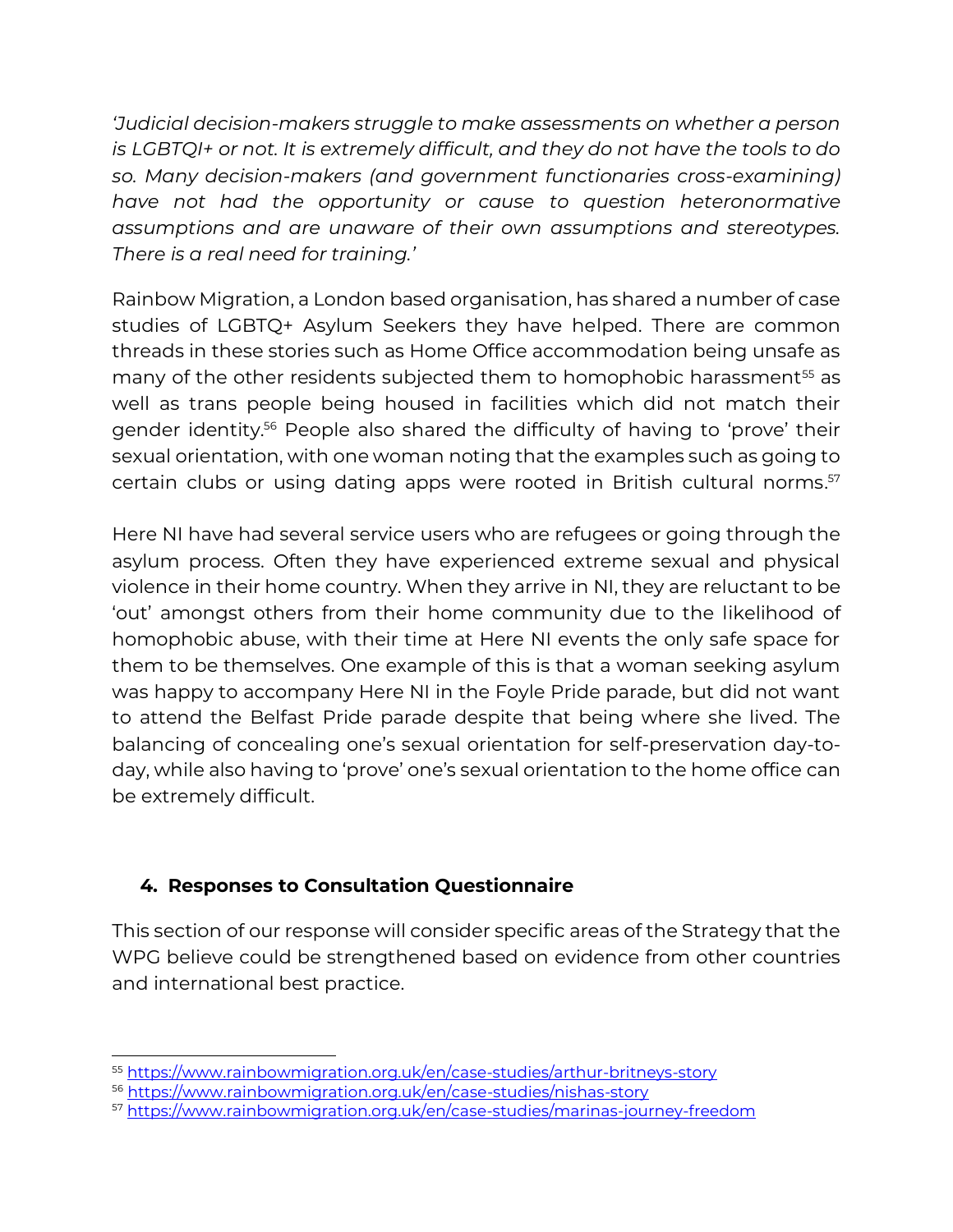*'Judicial decision-makers struggle to make assessments on whether a person is LGBTQI+ or not. It is extremely difficult, and they do not have the tools to do so. Many decision-makers (and government functionaries cross-examining) have not had the opportunity or cause to question heteronormative assumptions and are unaware of their own assumptions and stereotypes. There is a real need for training.'* 

Rainbow Migration, a London based organisation, has shared a number of case studies of LGBTQ+ Asylum Seekers they have helped. There are common threads in these stories such as Home Office accommodation being unsafe as many of the other residents subjected them to homophobic harassment<sup>55</sup> as well as trans people being housed in facilities which did not match their gender identity. <sup>56</sup> People also shared the difficulty of having to 'prove' their sexual orientation, with one woman noting that the examples such as going to certain clubs or using dating apps were rooted in British cultural norms. 57

Here NI have had several service users who are refugees or going through the asylum process. Often they have experienced extreme sexual and physical violence in their home country. When they arrive in NI, they are reluctant to be 'out' amongst others from their home community due to the likelihood of homophobic abuse, with their time at Here NI events the only safe space for them to be themselves. One example of this is that a woman seeking asylum was happy to accompany Here NI in the Foyle Pride parade, but did not want to attend the Belfast Pride parade despite that being where she lived. The balancing of concealing one's sexual orientation for self-preservation day-today, while also having to 'prove' one's sexual orientation to the home office can be extremely difficult.

## **4. Responses to Consultation Questionnaire**

This section of our response will consider specific areas of the Strategy that the WPG believe could be strengthened based on evidence from other countries and international best practice.

<sup>55</sup> <https://www.rainbowmigration.org.uk/en/case-studies/arthur-britneys-story>

<sup>56</sup> <https://www.rainbowmigration.org.uk/en/case-studies/nishas-story>

<sup>57</sup> <https://www.rainbowmigration.org.uk/en/case-studies/marinas-journey-freedom>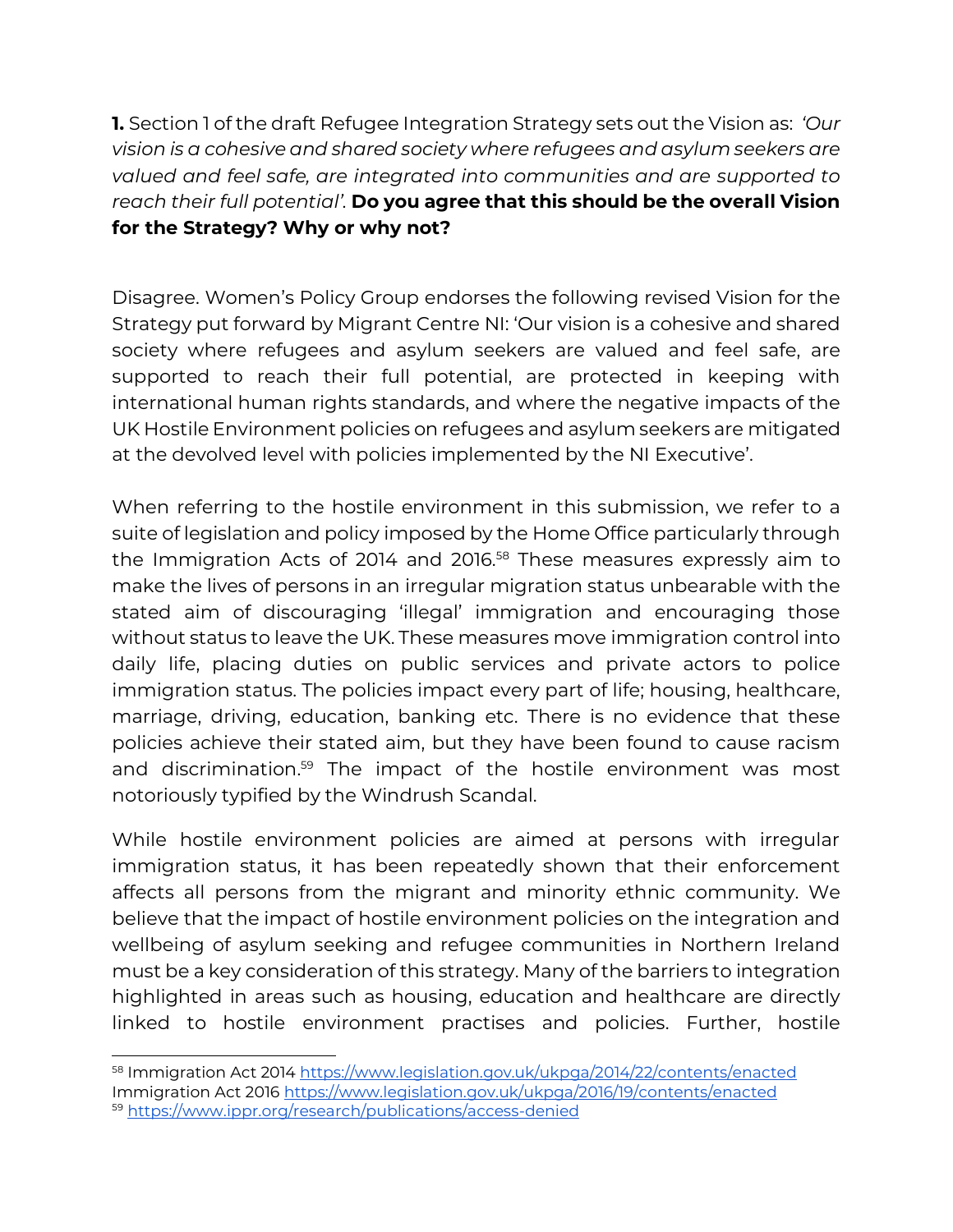**1.** Section 1 of the draft Refugee Integration Strategy sets out the Vision as: *'Our vision is a cohesive and shared society where refugees and asylum seekers are valued and feel safe, are integrated into communities and are supported to reach their full potential'.* **Do you agree that this should be the overall Vision for the Strategy? Why or why not?**

Disagree. Women's Policy Group endorses the following revised Vision for the Strategy put forward by Migrant Centre NI: 'Our vision is a cohesive and shared society where refugees and asylum seekers are valued and feel safe, are supported to reach their full potential, are protected in keeping with international human rights standards, and where the negative impacts of the UK Hostile Environment policies on refugees and asylum seekers are mitigated at the devolved level with policies implemented by the NI Executive'.

When referring to the hostile environment in this submission, we refer to a suite of legislation and policy imposed by the Home Office particularly through the Immigration Acts of 2014 and 2016.<sup>58</sup> These measures expressly aim to make the lives of persons in an irregular migration status unbearable with the stated aim of discouraging 'illegal' immigration and encouraging those without status to leave the UK. These measures move immigration control into daily life, placing duties on public services and private actors to police immigration status. The policies impact every part of life; housing, healthcare, marriage, driving, education, banking etc. There is no evidence that these policies achieve their stated aim, but they have been found to cause racism and discrimination.<sup>59</sup> The impact of the hostile environment was most notoriously typified by the Windrush Scandal.

While hostile environment policies are aimed at persons with irregular immigration status, it has been repeatedly shown that their enforcement affects all persons from the migrant and minority ethnic community. We believe that the impact of hostile environment policies on the integration and wellbeing of asylum seeking and refugee communities in Northern Ireland must be a key consideration of this strategy. Many of the barriers to integration highlighted in areas such as housing, education and healthcare are directly linked to hostile environment practises and policies. Further, hostile

<sup>58</sup> Immigration Act 201[4 https://www.legislation.gov.uk/ukpga/2014/22/contents/enacted](https://www.legislation.gov.uk/ukpga/2014/22/contents/enacted) Immigration Act 2016<https://www.legislation.gov.uk/ukpga/2016/19/contents/enacted> <sup>59</sup> <https://www.ippr.org/research/publications/access-denied>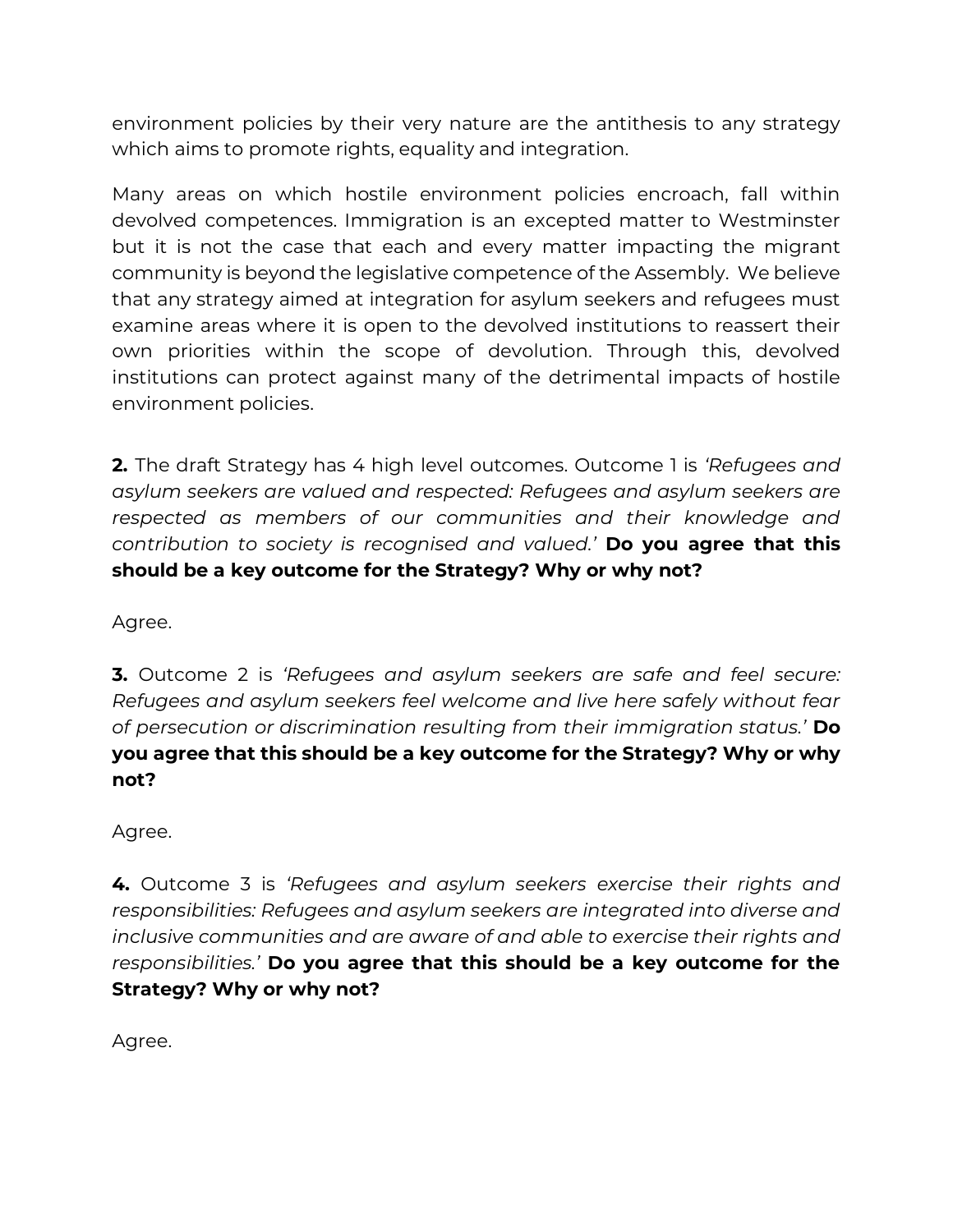environment policies by their very nature are the antithesis to any strategy which aims to promote rights, equality and integration.

Many areas on which hostile environment policies encroach, fall within devolved competences. Immigration is an excepted matter to Westminster but it is not the case that each and every matter impacting the migrant community is beyond the legislative competence of the Assembly. We believe that any strategy aimed at integration for asylum seekers and refugees must examine areas where it is open to the devolved institutions to reassert their own priorities within the scope of devolution. Through this, devolved institutions can protect against many of the detrimental impacts of hostile environment policies.

**2.** The draft Strategy has 4 high level outcomes. Outcome 1 is *'Refugees and asylum seekers are valued and respected: Refugees and asylum seekers are respected as members of our communities and their knowledge and contribution to society is recognised and valued.'* **Do you agree that this should be a key outcome for the Strategy? Why or why not?**

Agree.

**3.** Outcome 2 is *'Refugees and asylum seekers are safe and feel secure: Refugees and asylum seekers feel welcome and live here safely without fear of persecution or discrimination resulting from their immigration status.'* **Do you agree that this should be a key outcome for the Strategy? Why or why not?**

Agree.

**4.** Outcome 3 is *'Refugees and asylum seekers exercise their rights and responsibilities: Refugees and asylum seekers are integrated into diverse and inclusive communities and are aware of and able to exercise their rights and responsibilities.'* **Do you agree that this should be a key outcome for the Strategy? Why or why not?**

Agree.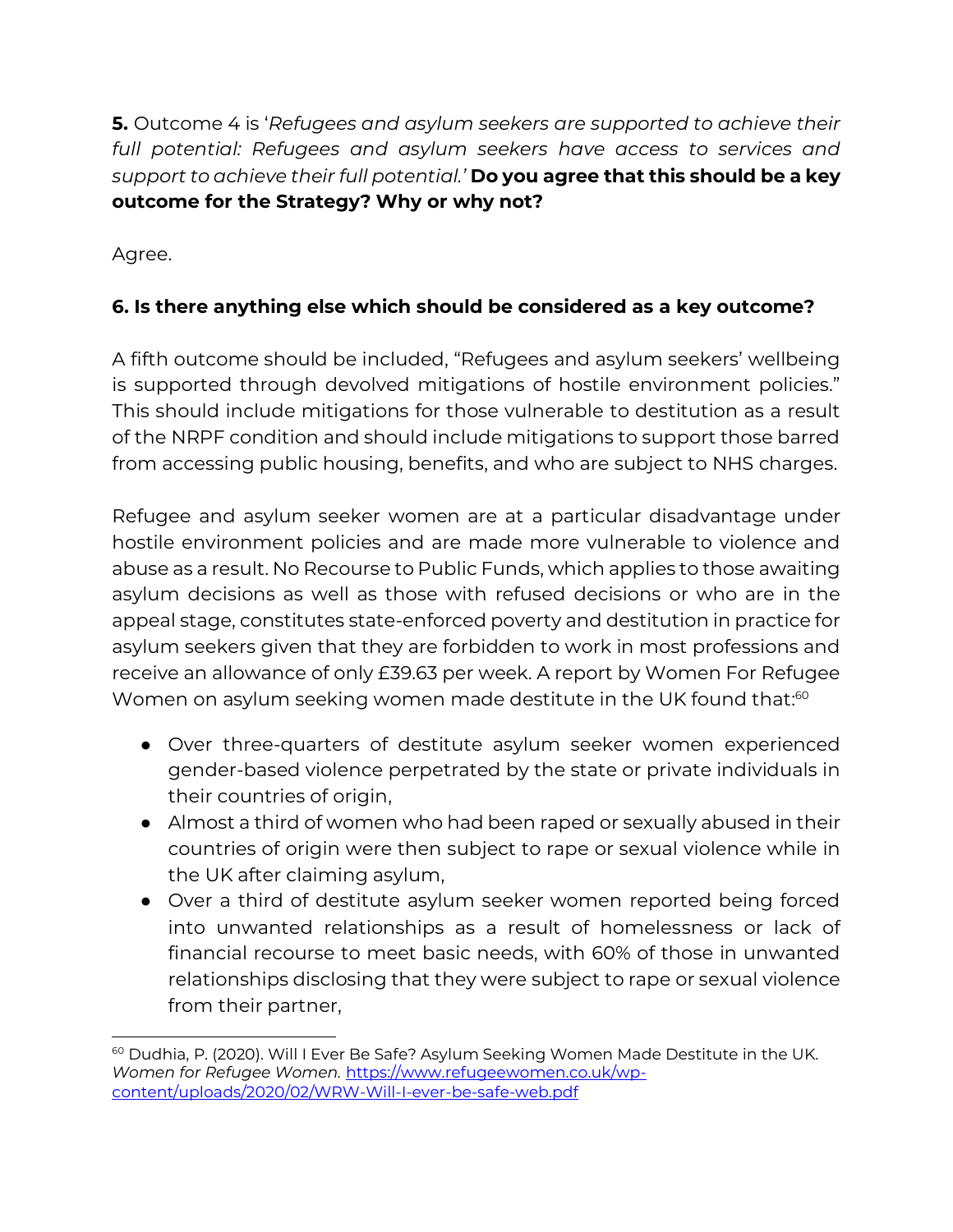**5.** Outcome 4 is '*Refugees and asylum seekers are supported to achieve their full potential: Refugees and asylum seekers have access to services and support to achieve their full potential.'* **Do you agree that this should be a key outcome for the Strategy? Why or why not?**

Agree.

# **6. Is there anything else which should be considered as a key outcome?**

A fifth outcome should be included, "Refugees and asylum seekers' wellbeing is supported through devolved mitigations of hostile environment policies." This should include mitigations for those vulnerable to destitution as a result of the NRPF condition and should include mitigations to support those barred from accessing public housing, benefits, and who are subject to NHS charges.

Refugee and asylum seeker women are at a particular disadvantage under hostile environment policies and are made more vulnerable to violence and abuse as a result. No Recourse to Public Funds, which applies to those awaiting asylum decisions as well as those with refused decisions or who are in the appeal stage, constitutes state-enforced poverty and destitution in practice for asylum seekers given that they are forbidden to work in most professions and receive an allowance of only £39.63 per week. A report by Women For Refugee Women on asylum seeking women made destitute in the UK found that: $^\mathrm{60}$ 

- Over three-quarters of destitute asylum seeker women experienced gender-based violence perpetrated by the state or private individuals in their countries of origin,
- Almost a third of women who had been raped or sexually abused in their countries of origin were then subject to rape or sexual violence while in the UK after claiming asylum,
- Over a third of destitute asylum seeker women reported being forced into unwanted relationships as a result of homelessness or lack of financial recourse to meet basic needs, with 60% of those in unwanted relationships disclosing that they were subject to rape or sexual violence from their partner,

<sup>&</sup>lt;sup>60</sup> Dudhia, P. (2020). Will I Ever Be Safe? Asylum Seeking Women Made Destitute in the UK. *Women for Refugee Women.* [https://www.refugeewomen.co.uk/wp](https://www.refugeewomen.co.uk/wp-content/uploads/2020/02/WRW-Will-I-ever-be-safe-web.pdf)[content/uploads/2020/02/WRW-Will-I-ever-be-safe-web.pdf](https://www.refugeewomen.co.uk/wp-content/uploads/2020/02/WRW-Will-I-ever-be-safe-web.pdf)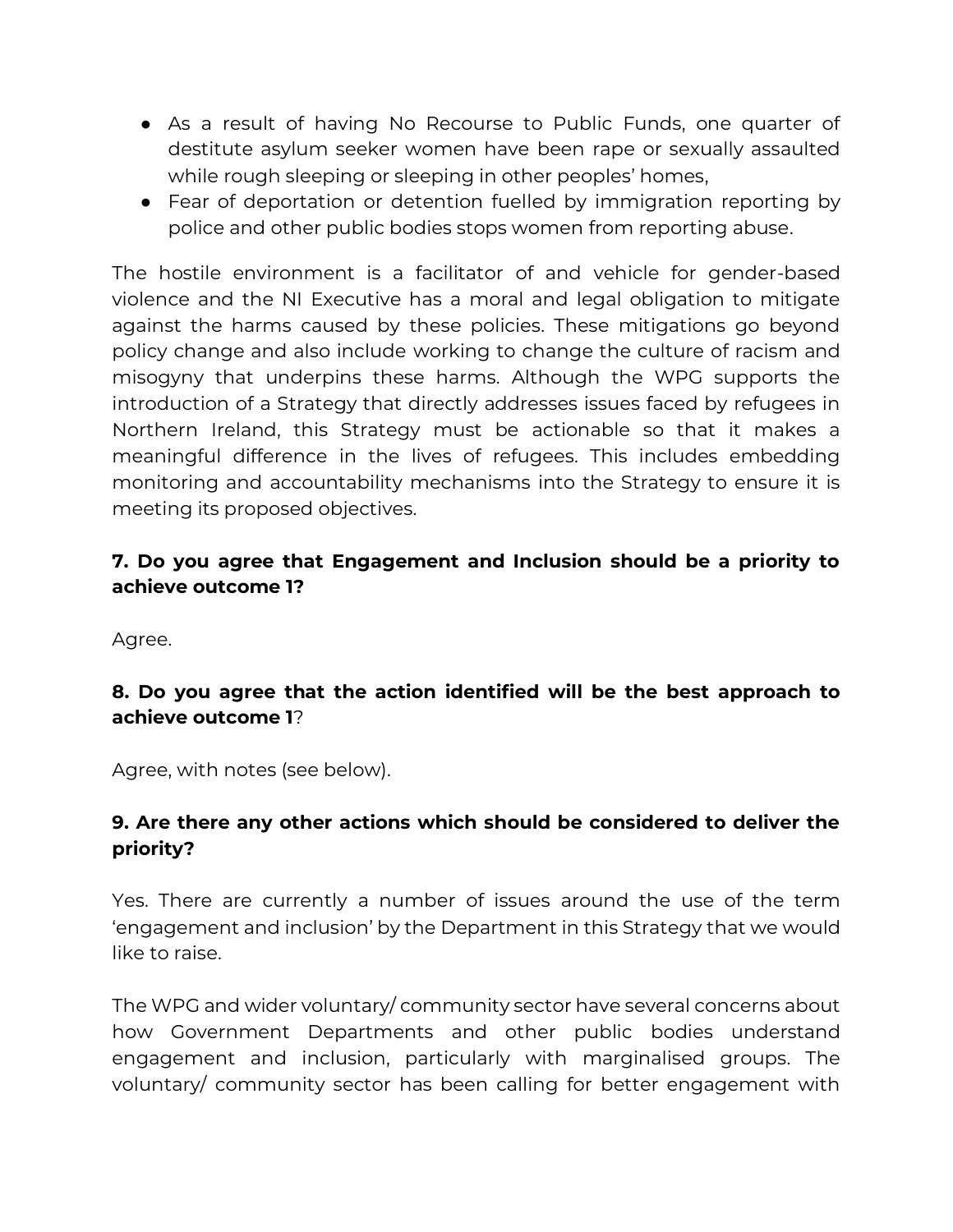- As a result of having No Recourse to Public Funds, one quarter of destitute asylum seeker women have been rape or sexually assaulted while rough sleeping or sleeping in other peoples' homes,
- Fear of deportation or detention fuelled by immigration reporting by police and other public bodies stops women from reporting abuse.

The hostile environment is a facilitator of and vehicle for gender-based violence and the NI Executive has a moral and legal obligation to mitigate against the harms caused by these policies. These mitigations go beyond policy change and also include working to change the culture of racism and misogyny that underpins these harms. Although the WPG supports the introduction of a Strategy that directly addresses issues faced by refugees in Northern Ireland, this Strategy must be actionable so that it makes a meaningful difference in the lives of refugees. This includes embedding monitoring and accountability mechanisms into the Strategy to ensure it is meeting its proposed objectives.

## **7. Do you agree that Engagement and Inclusion should be a priority to achieve outcome 1?**

Agree.

#### **8. Do you agree that the action identified will be the best approach to achieve outcome 1**?

Agree, with notes (see below).

#### **9. Are there any other actions which should be considered to deliver the priority?**

Yes. There are currently a number of issues around the use of the term 'engagement and inclusion' by the Department in this Strategy that we would like to raise.

The WPG and wider voluntary/ community sector have several concerns about how Government Departments and other public bodies understand engagement and inclusion, particularly with marginalised groups. The voluntary/ community sector has been calling for better engagement with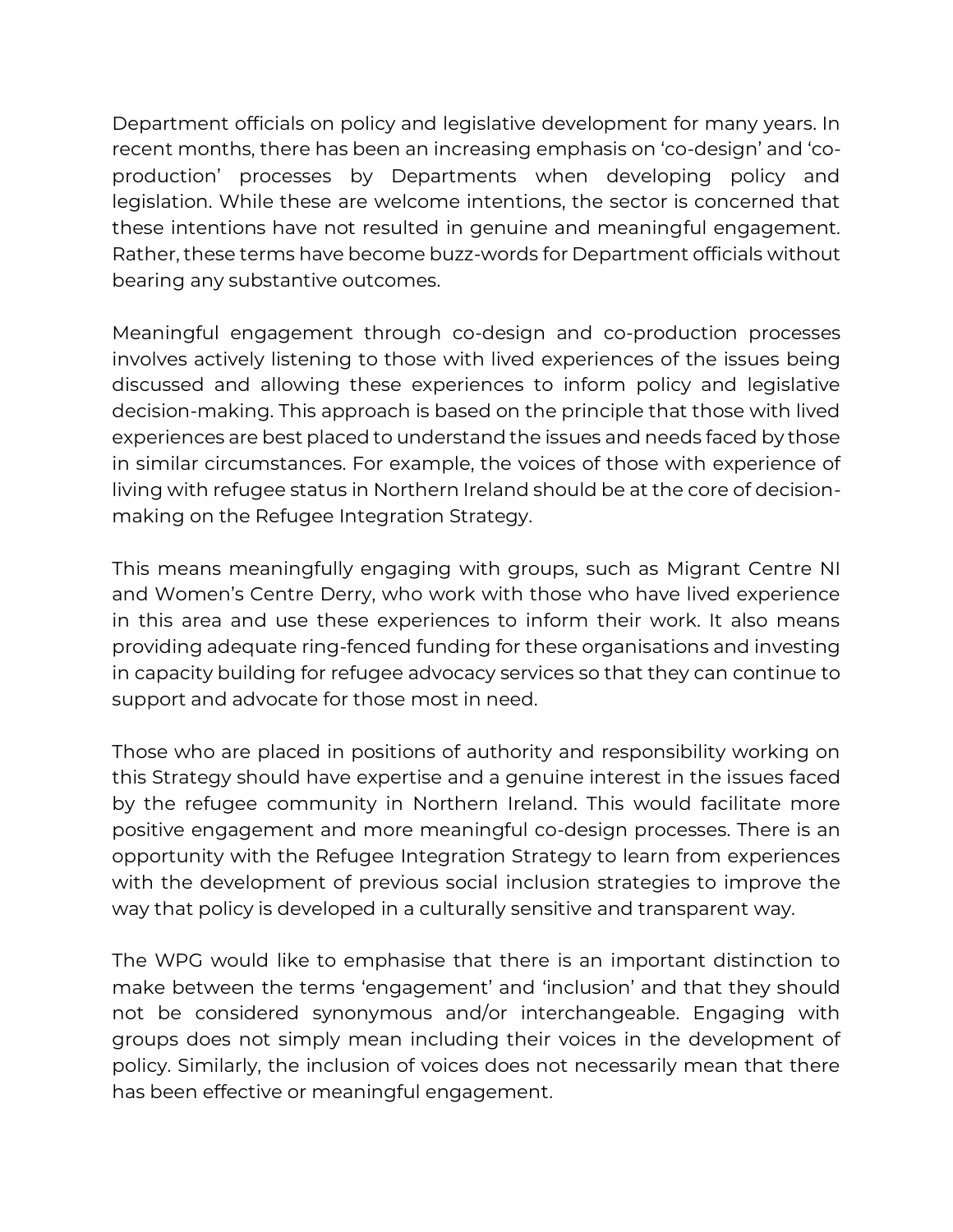Department officials on policy and legislative development for many years. In recent months, there has been an increasing emphasis on 'co-design' and 'coproduction' processes by Departments when developing policy and legislation. While these are welcome intentions, the sector is concerned that these intentions have not resulted in genuine and meaningful engagement. Rather, these terms have become buzz-words for Department officials without bearing any substantive outcomes.

Meaningful engagement through co-design and co-production processes involves actively listening to those with lived experiences of the issues being discussed and allowing these experiences to inform policy and legislative decision-making. This approach is based on the principle that those with lived experiences are best placed to understand the issues and needs faced by those in similar circumstances. For example, the voices of those with experience of living with refugee status in Northern Ireland should be at the core of decisionmaking on the Refugee Integration Strategy.

This means meaningfully engaging with groups, such as Migrant Centre NI and Women's Centre Derry, who work with those who have lived experience in this area and use these experiences to inform their work. It also means providing adequate ring-fenced funding for these organisations and investing in capacity building for refugee advocacy services so that they can continue to support and advocate for those most in need.

Those who are placed in positions of authority and responsibility working on this Strategy should have expertise and a genuine interest in the issues faced by the refugee community in Northern Ireland. This would facilitate more positive engagement and more meaningful co-design processes. There is an opportunity with the Refugee Integration Strategy to learn from experiences with the development of previous social inclusion strategies to improve the way that policy is developed in a culturally sensitive and transparent way.

The WPG would like to emphasise that there is an important distinction to make between the terms 'engagement' and 'inclusion' and that they should not be considered synonymous and/or interchangeable. Engaging with groups does not simply mean including their voices in the development of policy. Similarly, the inclusion of voices does not necessarily mean that there has been effective or meaningful engagement.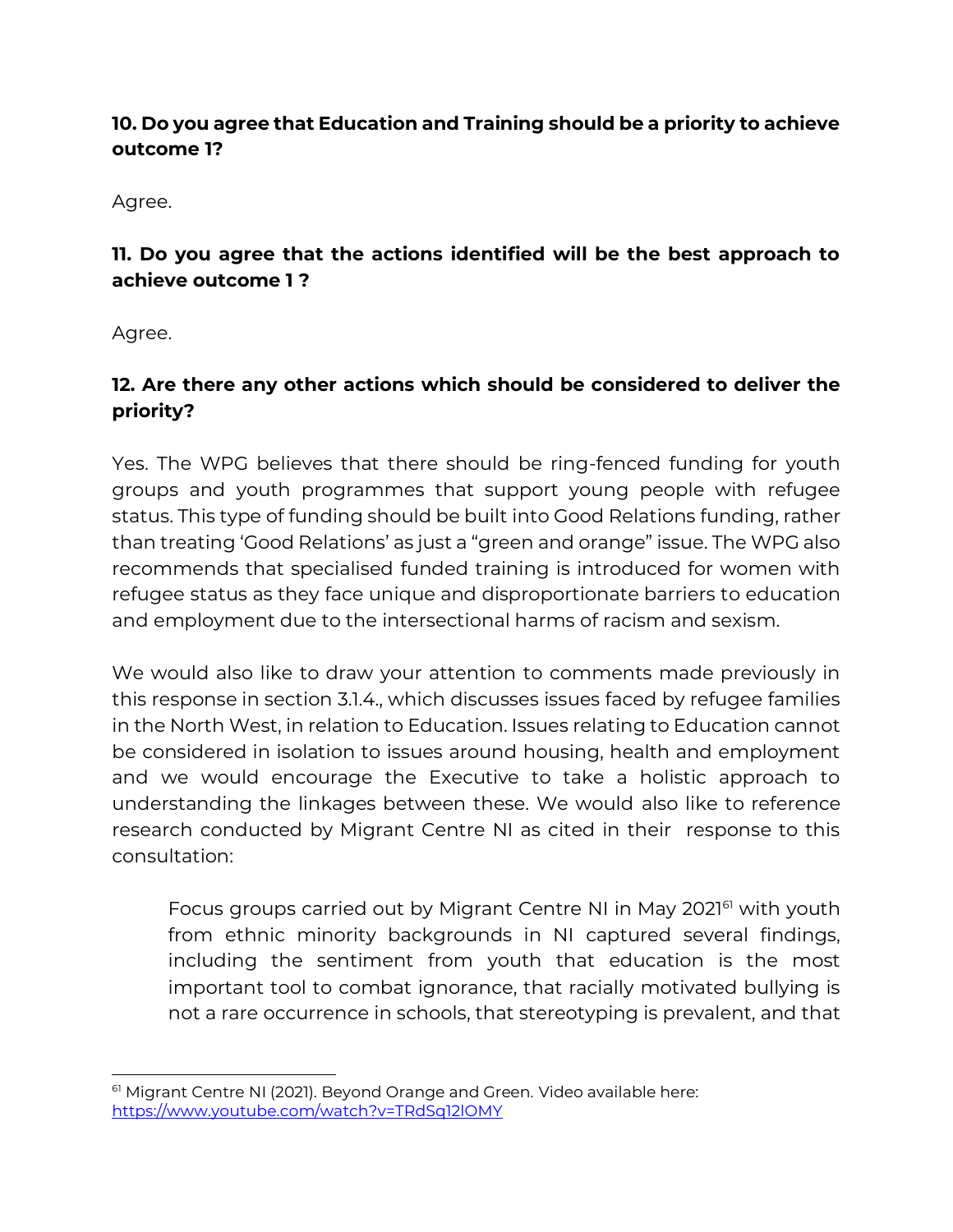## **10. Do you agree that Education and Training should be a priority to achieve outcome 1?**

Agree.

# **11. Do you agree that the actions identified will be the best approach to achieve outcome 1 ?**

Agree.

# **12. Are there any other actions which should be considered to deliver the priority?**

Yes. The WPG believes that there should be ring-fenced funding for youth groups and youth programmes that support young people with refugee status. This type of funding should be built into Good Relations funding, rather than treating 'Good Relations' as just a "green and orange" issue. The WPG also recommends that specialised funded training is introduced for women with refugee status as they face unique and disproportionate barriers to education and employment due to the intersectional harms of racism and sexism.

We would also like to draw your attention to comments made previously in this response in section 3.1.4., which discusses issues faced by refugee families in the North West, in relation to Education. Issues relating to Education cannot be considered in isolation to issues around housing, health and employment and we would encourage the Executive to take a holistic approach to understanding the linkages between these. We would also like to reference research conducted by Migrant Centre NI as cited in their response to this consultation:

Focus groups carried out by Migrant Centre NI in May 2021<sup>61</sup> with youth from ethnic minority backgrounds in NI captured several findings, including the sentiment from youth that education is the most important tool to combat ignorance, that racially motivated bullying is not a rare occurrence in schools, that stereotyping is prevalent, and that

<sup>&</sup>lt;sup>61</sup> Migrant Centre NI (2021). Beyond Orange and Green. Video available here: <https://www.youtube.com/watch?v=TRdSq12lOMY>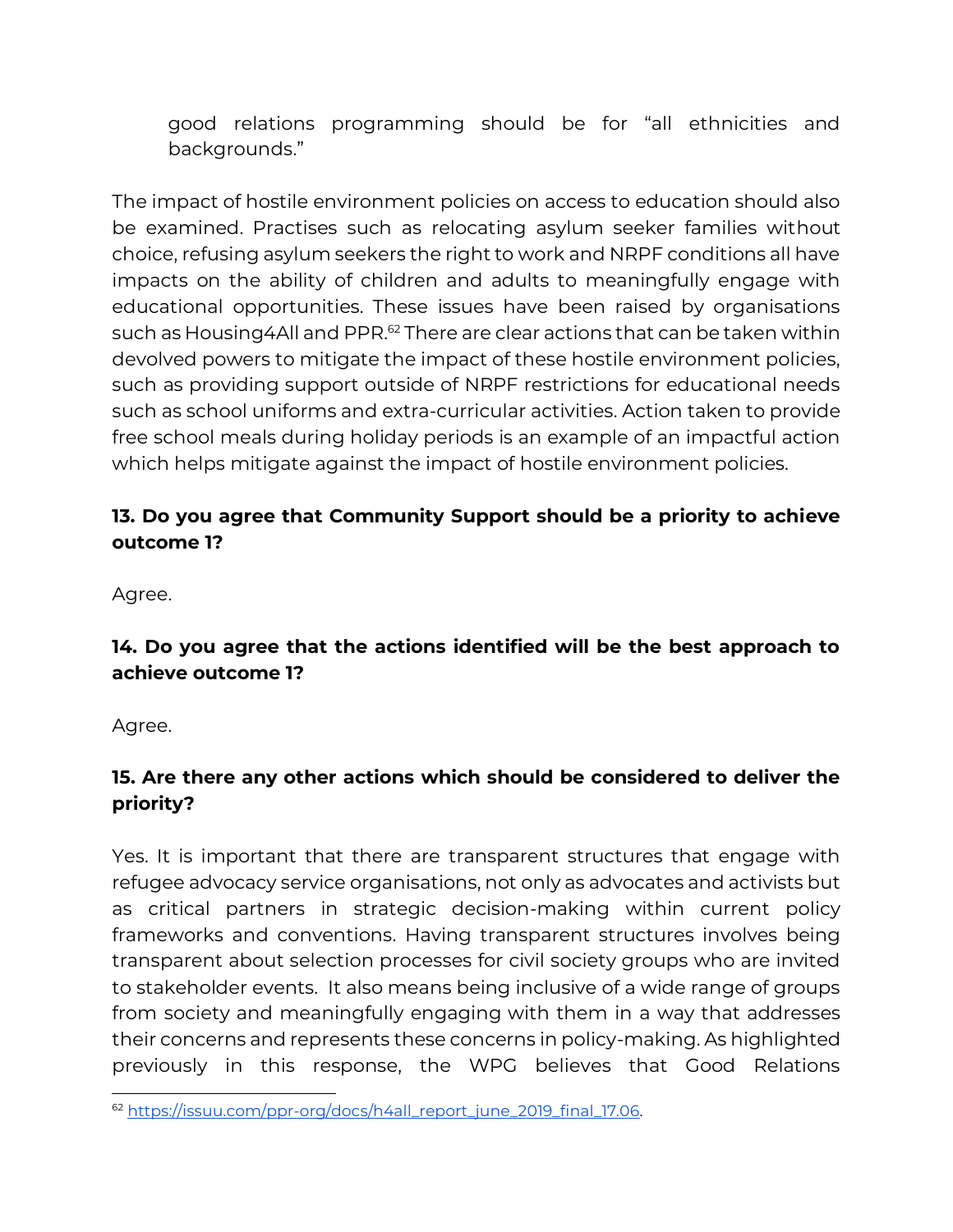good relations programming should be for "all ethnicities and backgrounds."

The impact of hostile environment policies on access to education should also be examined. Practises such as relocating asylum seeker families without choice, refusing asylum seekers the right to work and NRPF conditions all have impacts on the ability of children and adults to meaningfully engage with educational opportunities. These issues have been raised by organisations such as Housing 4All and PPR.<sup>62</sup> There are clear actions that can be taken within devolved powers to mitigate the impact of these hostile environment policies, such as providing support outside of NRPF restrictions for educational needs such as school uniforms and extra-curricular activities. Action taken to provide free school meals during holiday periods is an example of an impactful action which helps mitigate against the impact of hostile environment policies.

## **13. Do you agree that Community Support should be a priority to achieve outcome 1?**

Agree.

# **14. Do you agree that the actions identified will be the best approach to achieve outcome 1?**

Agree.

# **15. Are there any other actions which should be considered to deliver the priority?**

Yes. It is important that there are transparent structures that engage with refugee advocacy service organisations, not only as advocates and activists but as critical partners in strategic decision-making within current policy frameworks and conventions. Having transparent structures involves being transparent about selection processes for civil society groups who are invited to stakeholder events. It also means being inclusive of a wide range of groups from society and meaningfully engaging with them in a way that addresses their concerns and represents these concerns in policy-making. As highlighted previously in this response, the WPG believes that Good Relations

<sup>62</sup> [https://issuu.com/ppr-org/docs/h4all\\_report\\_june\\_2019\\_final\\_17.06.](https://issuu.com/ppr-org/docs/h4all_report_june_2019_final_17.06)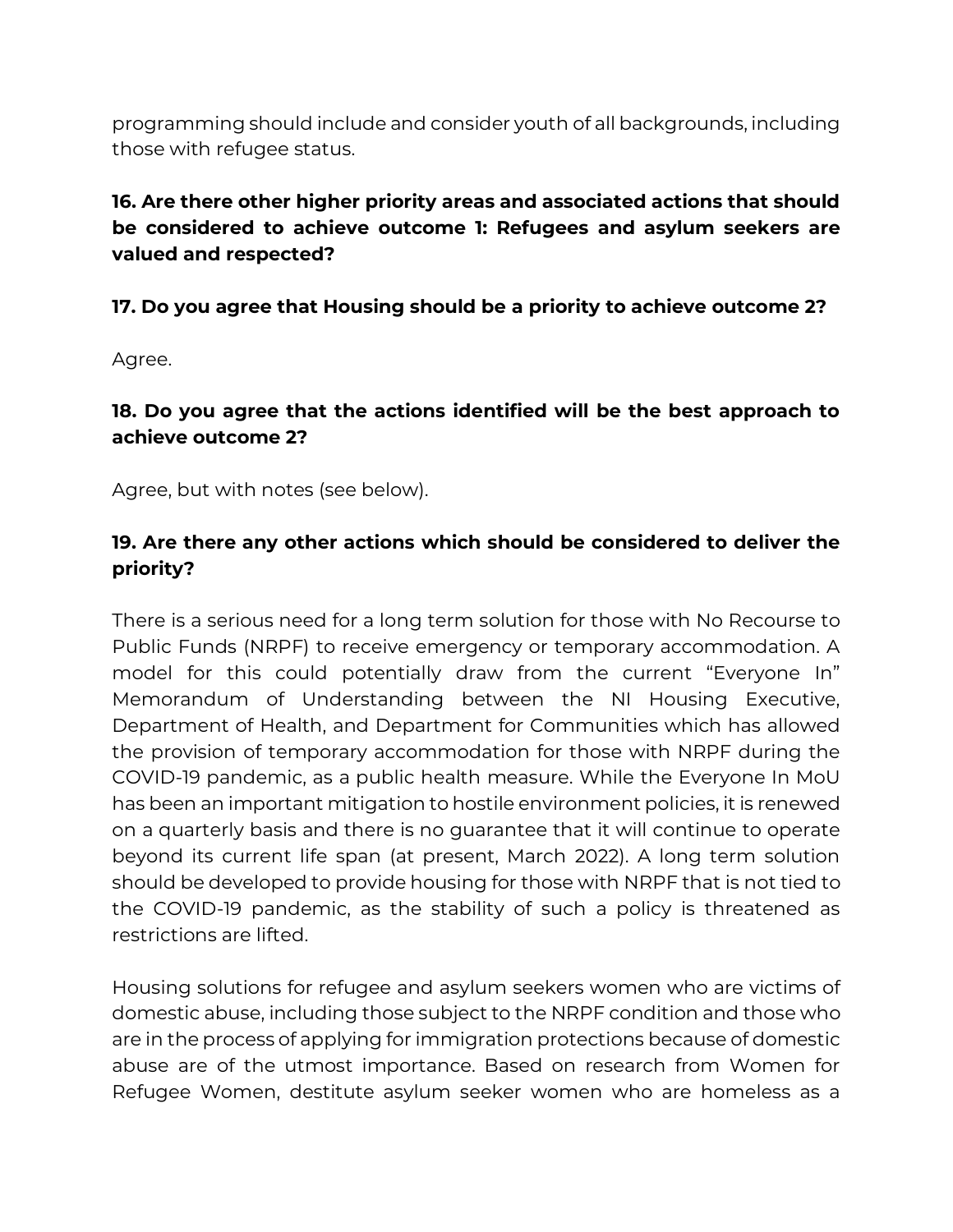programming should include and consider youth of all backgrounds, including those with refugee status.

## **16. Are there other higher priority areas and associated actions that should be considered to achieve outcome 1: Refugees and asylum seekers are valued and respected?**

**17. Do you agree that Housing should be a priority to achieve outcome 2?** 

Agree.

**18. Do you agree that the actions identified will be the best approach to achieve outcome 2?**

Agree, but with notes (see below).

## **19. Are there any other actions which should be considered to deliver the priority?**

There is a serious need for a long term solution for those with No Recourse to Public Funds (NRPF) to receive emergency or temporary accommodation. A model for this could potentially draw from the current "Everyone In" Memorandum of Understanding between the NI Housing Executive, Department of Health, and Department for Communities which has allowed the provision of temporary accommodation for those with NRPF during the COVID-19 pandemic, as a public health measure. While the Everyone In MoU has been an important mitigation to hostile environment policies, it is renewed on a quarterly basis and there is no guarantee that it will continue to operate beyond its current life span (at present, March 2022). A long term solution should be developed to provide housing for those with NRPF that is not tied to the COVID-19 pandemic, as the stability of such a policy is threatened as restrictions are lifted.

Housing solutions for refugee and asylum seekers women who are victims of domestic abuse, including those subject to the NRPF condition and those who are in the process of applying for immigration protections because of domestic abuse are of the utmost importance. Based on research from Women for Refugee Women, destitute asylum seeker women who are homeless as a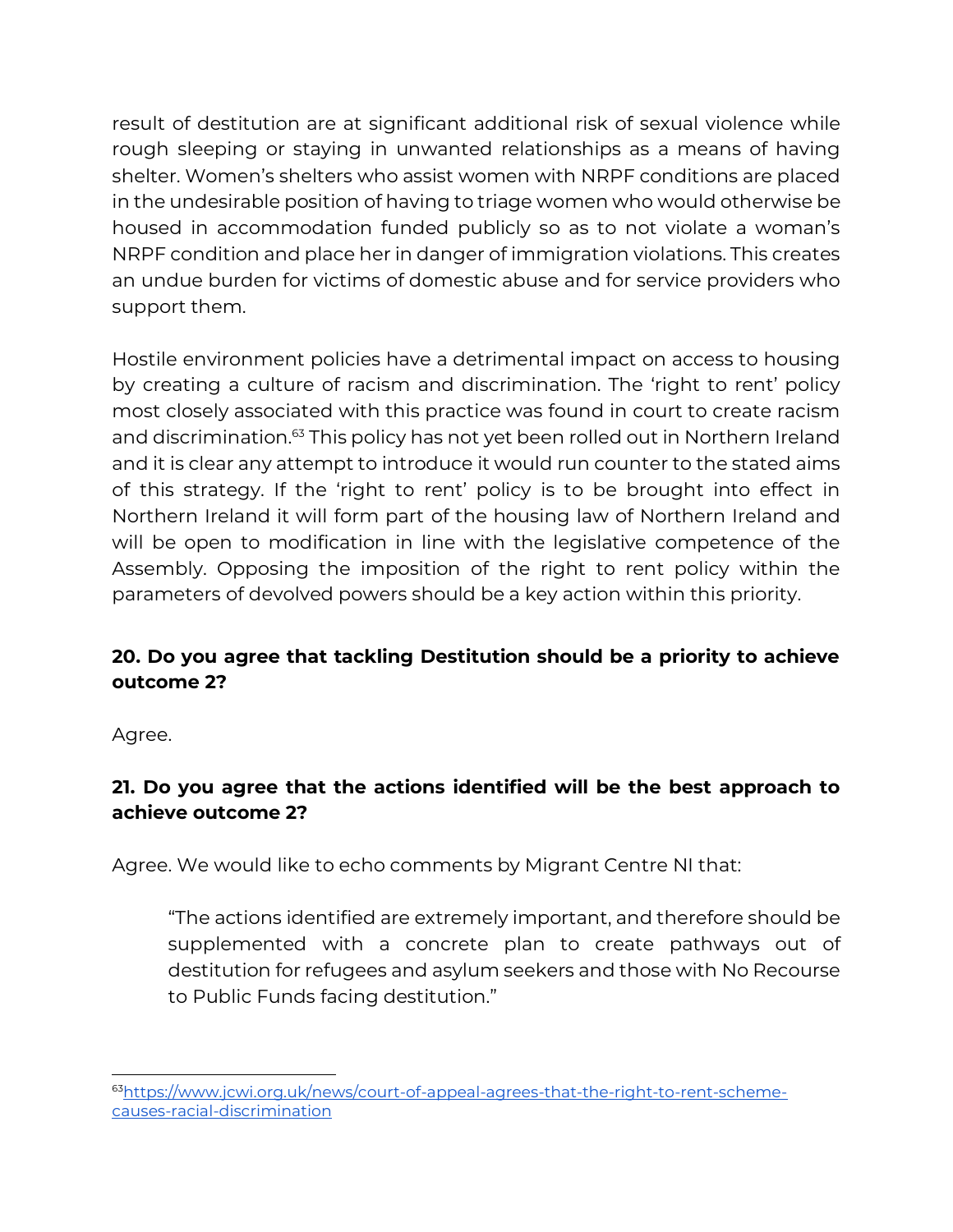result of destitution are at significant additional risk of sexual violence while rough sleeping or staying in unwanted relationships as a means of having shelter. Women's shelters who assist women with NRPF conditions are placed in the undesirable position of having to triage women who would otherwise be housed in accommodation funded publicly so as to not violate a woman's NRPF condition and place her in danger of immigration violations. This creates an undue burden for victims of domestic abuse and for service providers who support them.

Hostile environment policies have a detrimental impact on access to housing by creating a culture of racism and discrimination. The 'right to rent' policy most closely associated with this practice was found in court to create racism and discrimination.<sup>63</sup> This policy has not yet been rolled out in Northern Ireland and it is clear any attempt to introduce it would run counter to the stated aims of this strategy. If the 'right to rent' policy is to be brought into effect in Northern Ireland it will form part of the housing law of Northern Ireland and will be open to modification in line with the legislative competence of the Assembly. Opposing the imposition of the right to rent policy within the parameters of devolved powers should be a key action within this priority.

# **20. Do you agree that tackling Destitution should be a priority to achieve outcome 2?**

Agree.

# **21. Do you agree that the actions identified will be the best approach to achieve outcome 2?**

Agree. We would like to echo comments by Migrant Centre NI that:

"The actions identified are extremely important, and therefore should be supplemented with a concrete plan to create pathways out of destitution for refugees and asylum seekers and those with No Recourse to Public Funds facing destitution."

<sup>63</sup>[https://www.jcwi.org.uk/news/court-of-appeal-agrees-that-the-right-to-rent-scheme](https://www.jcwi.org.uk/news/court-of-appeal-agrees-that-the-right-to-rent-scheme-causes-racial-discrimination)[causes-racial-discrimination](https://www.jcwi.org.uk/news/court-of-appeal-agrees-that-the-right-to-rent-scheme-causes-racial-discrimination)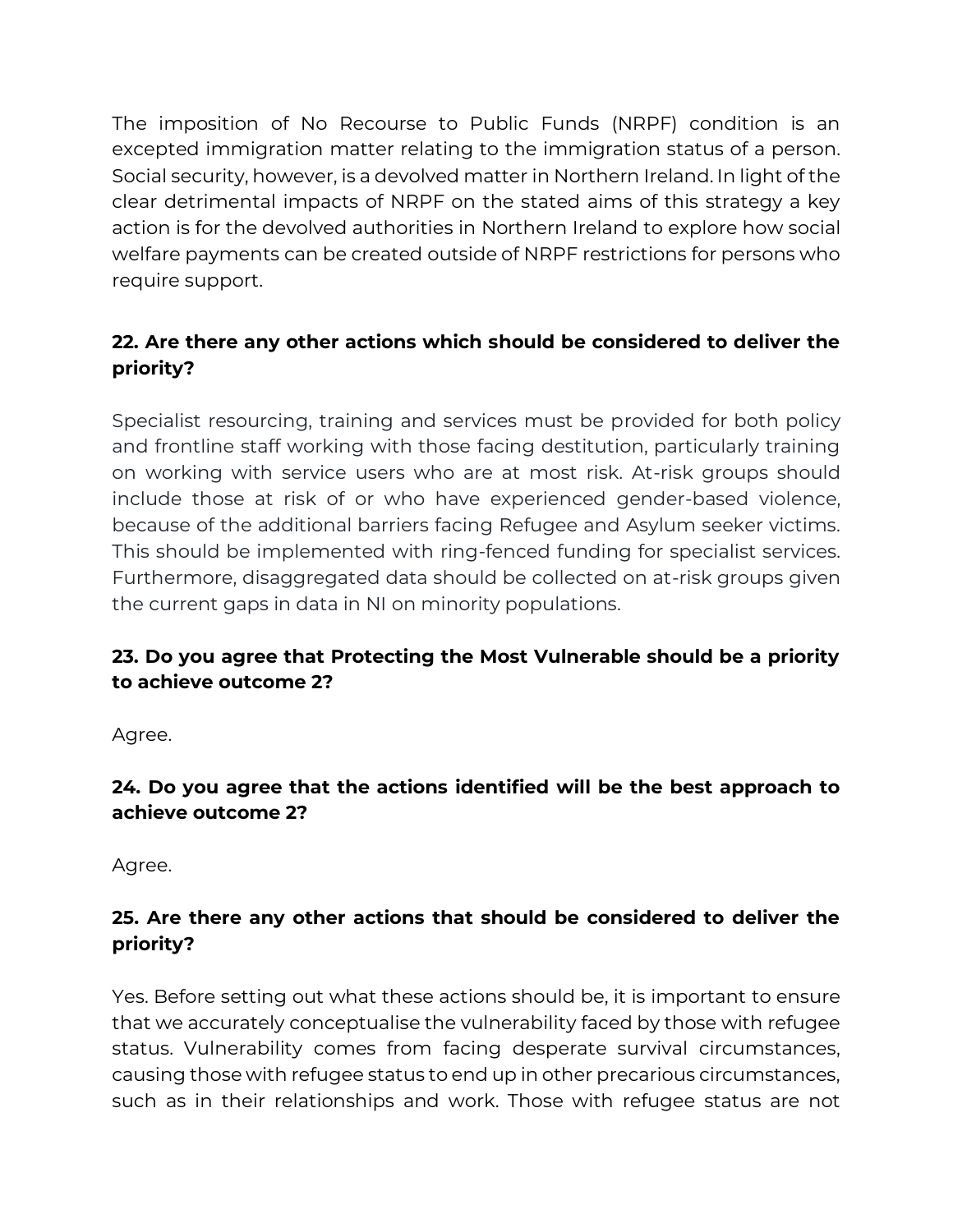The imposition of No Recourse to Public Funds (NRPF) condition is an excepted immigration matter relating to the immigration status of a person. Social security, however, is a devolved matter in Northern Ireland. In light of the clear detrimental impacts of NRPF on the stated aims of this strategy a key action is for the devolved authorities in Northern Ireland to explore how social welfare payments can be created outside of NRPF restrictions for persons who require support.

## **22. Are there any other actions which should be considered to deliver the priority?**

Specialist resourcing, training and services must be provided for both policy and frontline staff working with those facing destitution, particularly training on working with service users who are at most risk. At-risk groups should include those at risk of or who have experienced gender-based violence, because of the additional barriers facing Refugee and Asylum seeker victims. This should be implemented with ring-fenced funding for specialist services. Furthermore, disaggregated data should be collected on at-risk groups given the current gaps in data in NI on minority populations.

## **23. Do you agree that Protecting the Most Vulnerable should be a priority to achieve outcome 2?**

Agree.

## **24. Do you agree that the actions identified will be the best approach to achieve outcome 2?**

Agree.

## **25. Are there any other actions that should be considered to deliver the priority?**

Yes. Before setting out what these actions should be, it is important to ensure that we accurately conceptualise the vulnerability faced by those with refugee status. Vulnerability comes from facing desperate survival circumstances, causing those with refugee status to end up in other precarious circumstances, such as in their relationships and work. Those with refugee status are not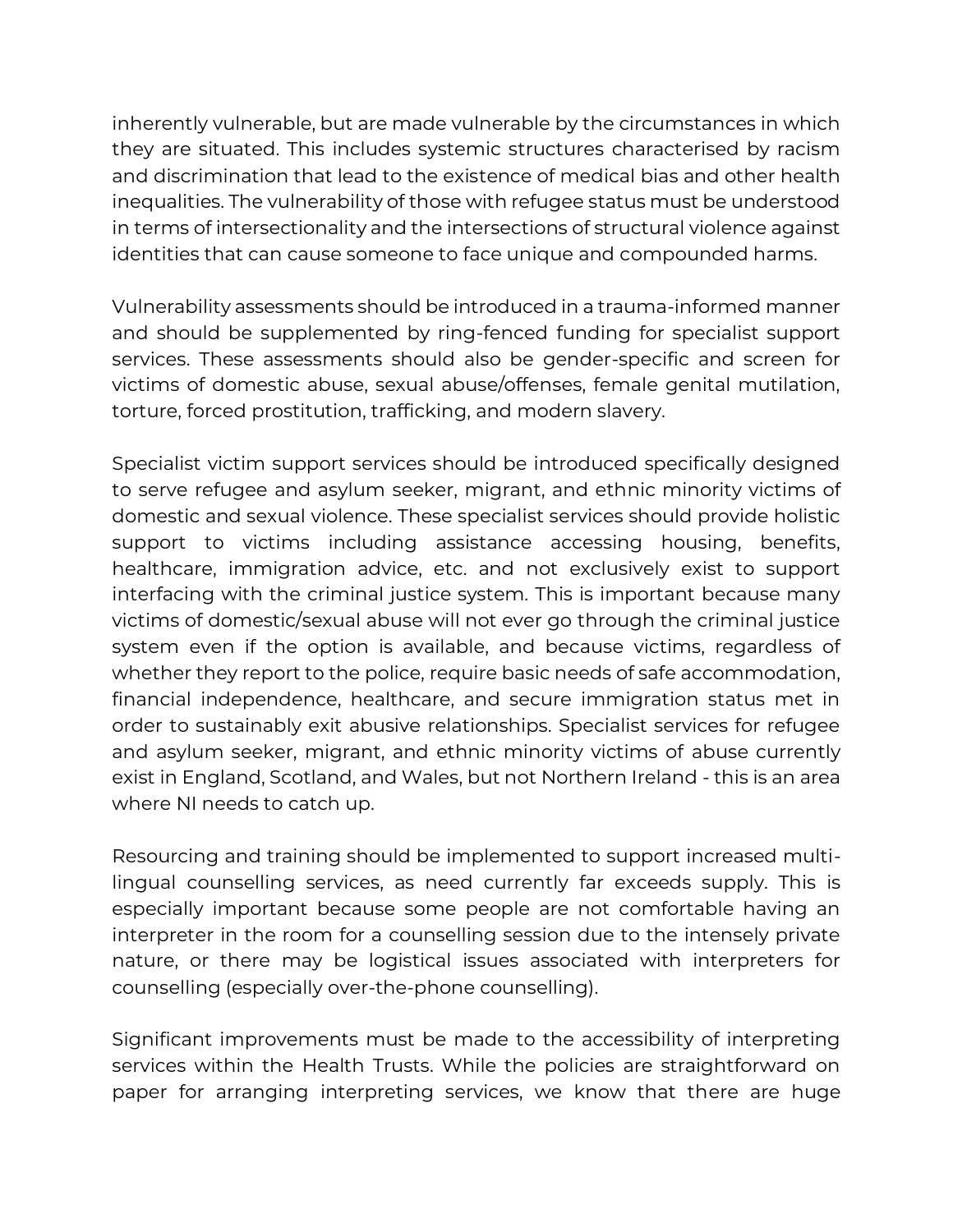inherently vulnerable, but are made vulnerable by the circumstances in which they are situated. This includes systemic structures characterised by racism and discrimination that lead to the existence of medical bias and other health inequalities. The vulnerability of those with refugee status must be understood in terms of intersectionality and the intersections of structural violence against identities that can cause someone to face unique and compounded harms.

Vulnerability assessments should be introduced in a trauma-informed manner and should be supplemented by ring-fenced funding for specialist support services. These assessments should also be gender-specific and screen for victims of domestic abuse, sexual abuse/offenses, female genital mutilation, torture, forced prostitution, trafficking, and modern slavery.

Specialist victim support services should be introduced specifically designed to serve refugee and asylum seeker, migrant, and ethnic minority victims of domestic and sexual violence. These specialist services should provide holistic support to victims including assistance accessing housing, benefits, healthcare, immigration advice, etc. and not exclusively exist to support interfacing with the criminal justice system. This is important because many victims of domestic/sexual abuse will not ever go through the criminal justice system even if the option is available, and because victims, regardless of whether they report to the police, require basic needs of safe accommodation, financial independence, healthcare, and secure immigration status met in order to sustainably exit abusive relationships. Specialist services for refugee and asylum seeker, migrant, and ethnic minority victims of abuse currently exist in England, Scotland, and Wales, but not Northern Ireland - this is an area where NI needs to catch up.

Resourcing and training should be implemented to support increased multilingual counselling services, as need currently far exceeds supply. This is especially important because some people are not comfortable having an interpreter in the room for a counselling session due to the intensely private nature, or there may be logistical issues associated with interpreters for counselling (especially over-the-phone counselling).

Significant improvements must be made to the accessibility of interpreting services within the Health Trusts. While the policies are straightforward on paper for arranging interpreting services, we know that there are huge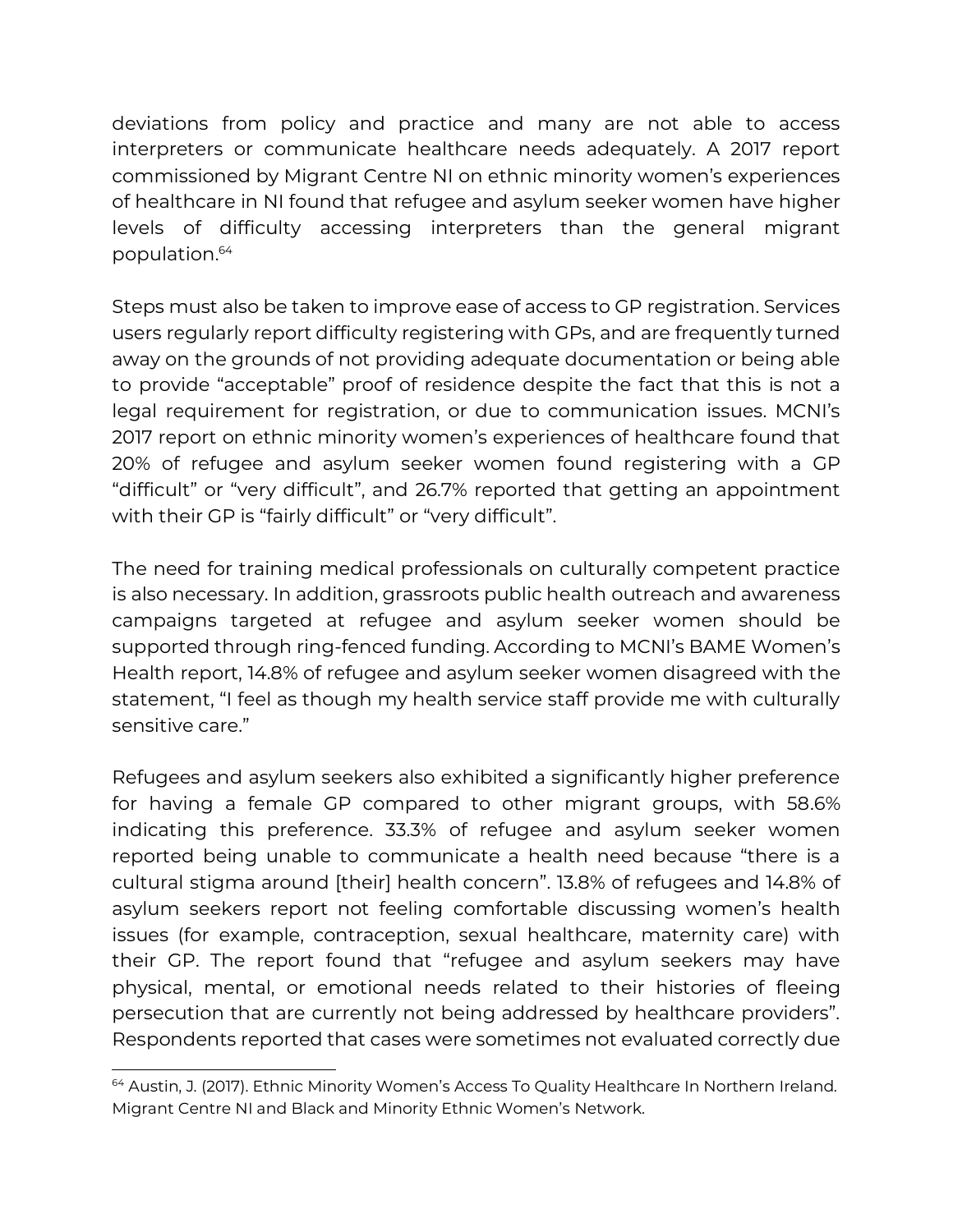deviations from policy and practice and many are not able to access interpreters or communicate healthcare needs adequately. A 2017 report commissioned by Migrant Centre NI on ethnic minority women's experiences of healthcare in NI found that refugee and asylum seeker women have higher levels of difficulty accessing interpreters than the general migrant population. 64

Steps must also be taken to improve ease of access to GP registration. Services users regularly report difficulty registering with GPs, and are frequently turned away on the grounds of not providing adequate documentation or being able to provide "acceptable" proof of residence despite the fact that this is not a legal requirement for registration, or due to communication issues. MCNI's 2017 report on ethnic minority women's experiences of healthcare found that 20% of refugee and asylum seeker women found registering with a GP "difficult" or "very difficult", and 26.7% reported that getting an appointment with their GP is "fairly difficult" or "very difficult".

The need for training medical professionals on culturally competent practice is also necessary. In addition, grassroots public health outreach and awareness campaigns targeted at refugee and asylum seeker women should be supported through ring-fenced funding. According to MCNI's BAME Women's Health report, 14.8% of refugee and asylum seeker women disagreed with the statement, "I feel as though my health service staff provide me with culturally sensitive care."

Refugees and asylum seekers also exhibited a significantly higher preference for having a female GP compared to other migrant groups, with 58.6% indicating this preference. 33.3% of refugee and asylum seeker women reported being unable to communicate a health need because "there is a cultural stigma around [their] health concern". 13.8% of refugees and 14.8% of asylum seekers report not feeling comfortable discussing women's health issues (for example, contraception, sexual healthcare, maternity care) with their GP. The report found that "refugee and asylum seekers may have physical, mental, or emotional needs related to their histories of fleeing persecution that are currently not being addressed by healthcare providers". Respondents reported that cases were sometimes not evaluated correctly due

<sup>&</sup>lt;sup>64</sup> Austin, J. (2017). Ethnic Minority Women's Access To Quality Healthcare In Northern Ireland. Migrant Centre NI and Black and Minority Ethnic Women's Network.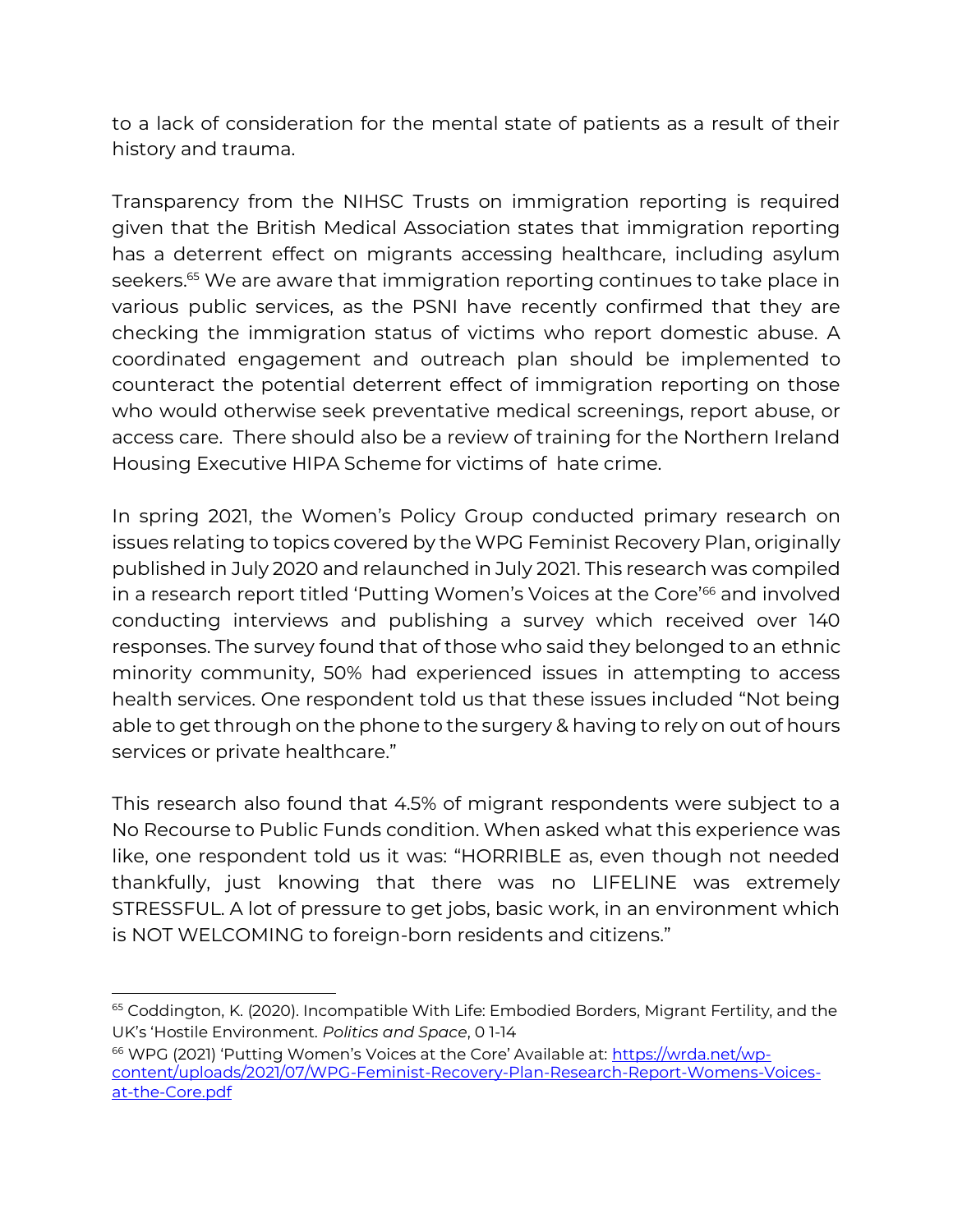to a lack of consideration for the mental state of patients as a result of their history and trauma.

Transparency from the NIHSC Trusts on immigration reporting is required given that the British Medical Association states that immigration reporting has a deterrent effect on migrants accessing healthcare, including asylum seekers. <sup>65</sup> We are aware that immigration reporting continues to take place in various public services, as the PSNI have recently confirmed that they are checking the immigration status of victims who report domestic abuse. A coordinated engagement and outreach plan should be implemented to counteract the potential deterrent effect of immigration reporting on those who would otherwise seek preventative medical screenings, report abuse, or access care. There should also be a review of training for the Northern Ireland Housing Executive HIPA Scheme for victims of hate crime.

In spring 2021, the Women's Policy Group conducted primary research on issues relating to topics covered by the WPG Feminist Recovery Plan, originally published in July 2020 and relaunched in July 2021. This research was compiled in a research report titled 'Putting Women's Voices at the Core<sup>'66</sup> and involved conducting interviews and publishing a survey which received over 140 responses. The survey found that of those who said they belonged to an ethnic minority community, 50% had experienced issues in attempting to access health services. One respondent told us that these issues included "Not being able to get through on the phone to the surgery & having to rely on out of hours services or private healthcare."

This research also found that 4.5% of migrant respondents were subject to a No Recourse to Public Funds condition. When asked what this experience was like, one respondent told us it was: "HORRIBLE as, even though not needed thankfully, just knowing that there was no LIFELINE was extremely STRESSFUL. A lot of pressure to get jobs, basic work, in an environment which is NOT WELCOMING to foreign-born residents and citizens."

<sup>&</sup>lt;sup>65</sup> Coddington, K. (2020). Incompatible With Life: Embodied Borders, Migrant Fertility, and the UK's 'Hostile Environment. *Politics and Space*, 0 1-14

<sup>&</sup>lt;sup>66</sup> WPG (2021) 'Putting Women's Voices at the Core' Available at: [https://wrda.net/wp](https://wrda.net/wp-content/uploads/2021/07/WPG-Feminist-Recovery-Plan-Research-Report-Womens-Voices-at-the-Core.pdf)[content/uploads/2021/07/WPG-Feminist-Recovery-Plan-Research-Report-Womens-Voices](https://wrda.net/wp-content/uploads/2021/07/WPG-Feminist-Recovery-Plan-Research-Report-Womens-Voices-at-the-Core.pdf)[at-the-Core.pdf](https://wrda.net/wp-content/uploads/2021/07/WPG-Feminist-Recovery-Plan-Research-Report-Womens-Voices-at-the-Core.pdf)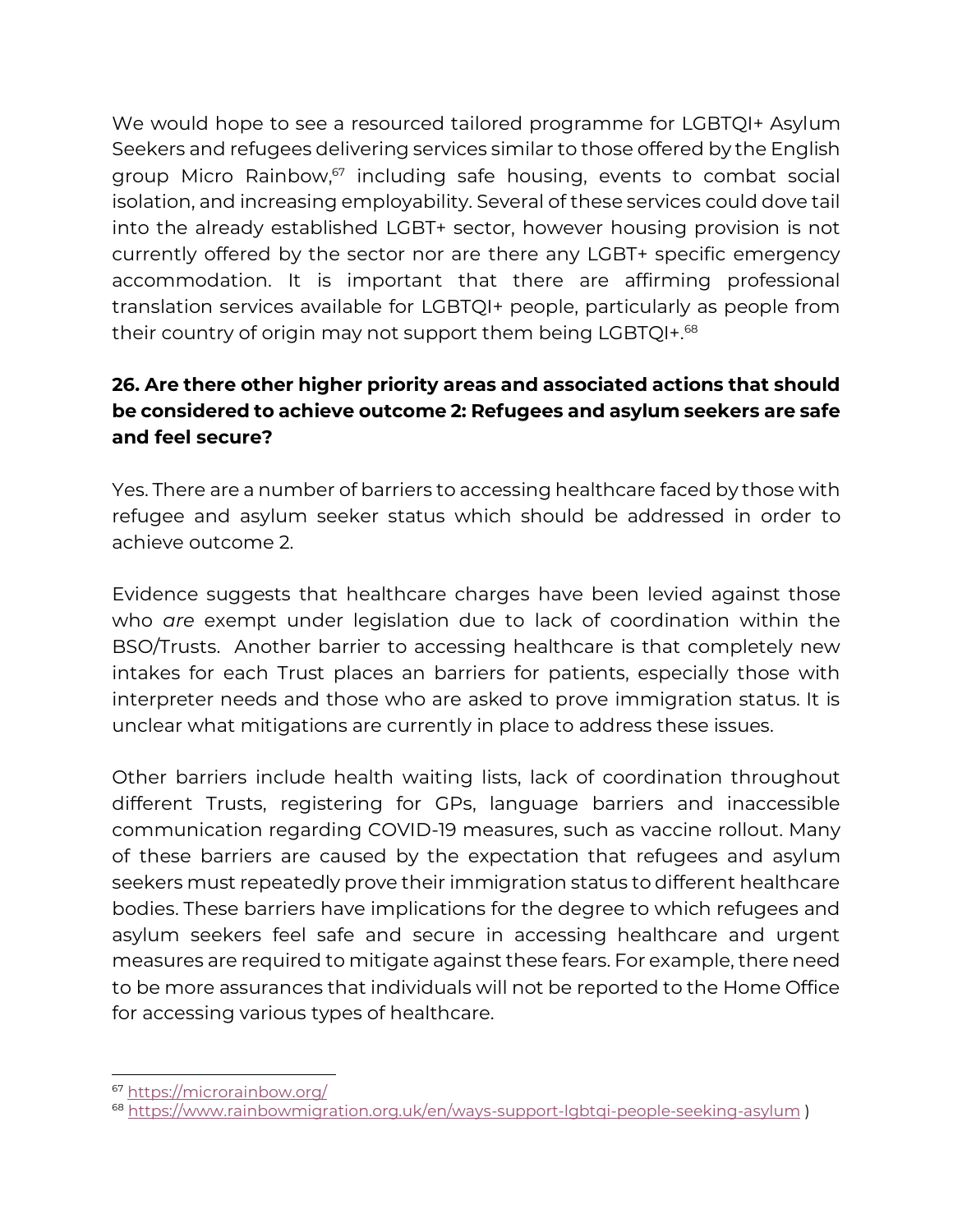We would hope to see a resourced tailored programme for LGBTQI+ Asylum Seekers and refugees delivering services similar to those offered by the English group Micro Rainbow, <sup>67</sup> including safe housing, events to combat social isolation, and increasing employability. Several of these services could dove tail into the already established LGBT+ sector, however housing provision is not currently offered by the sector nor are there any LGBT+ specific emergency accommodation. It is important that there are affirming professional translation services available for LGBTQI+ people, particularly as people from their country of origin may not support them being LGBTQI+.<sup>68</sup>

## **26. Are there other higher priority areas and associated actions that should be considered to achieve outcome 2: Refugees and asylum seekers are safe and feel secure?**

Yes. There are a number of barriers to accessing healthcare faced by those with refugee and asylum seeker status which should be addressed in order to achieve outcome 2.

Evidence suggests that healthcare charges have been levied against those who *are* exempt under legislation due to lack of coordination within the BSO/Trusts. Another barrier to accessing healthcare is that completely new intakes for each Trust places an barriers for patients, especially those with interpreter needs and those who are asked to prove immigration status. It is unclear what mitigations are currently in place to address these issues.

Other barriers include health waiting lists, lack of coordination throughout different Trusts, registering for GPs, language barriers and inaccessible communication regarding COVID-19 measures, such as vaccine rollout. Many of these barriers are caused by the expectation that refugees and asylum seekers must repeatedly prove their immigration status to different healthcare bodies. These barriers have implications for the degree to which refugees and asylum seekers feel safe and secure in accessing healthcare and urgent measures are required to mitigate against these fears. For example, there need to be more assurances that individuals will not be reported to the Home Office for accessing various types of healthcare.

<sup>67</sup> <https://microrainbow.org/>

<sup>68</sup> <https://www.rainbowmigration.org.uk/en/ways-support-lgbtqi-people-seeking-asylum> )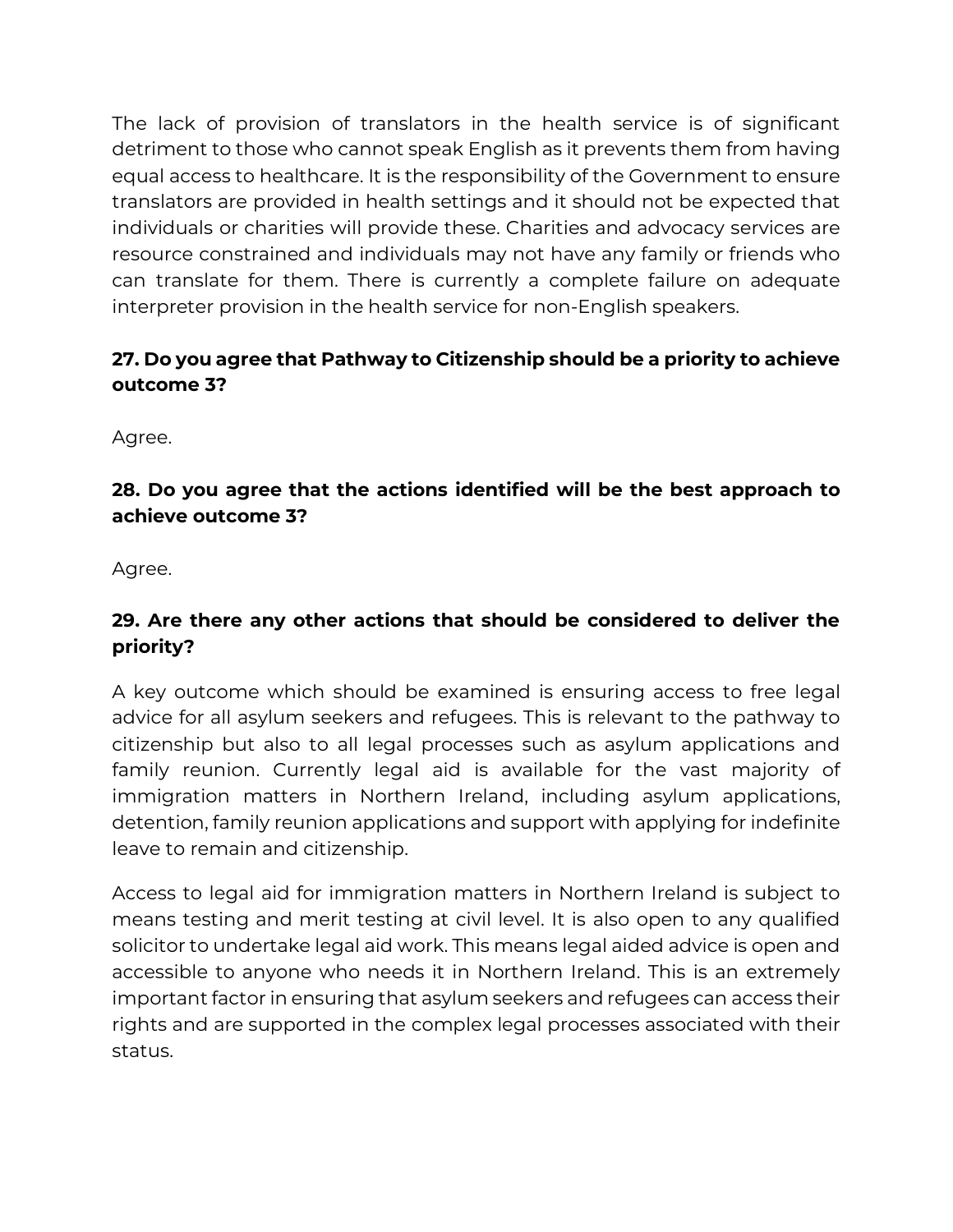The lack of provision of translators in the health service is of significant detriment to those who cannot speak English as it prevents them from having equal access to healthcare. It is the responsibility of the Government to ensure translators are provided in health settings and it should not be expected that individuals or charities will provide these. Charities and advocacy services are resource constrained and individuals may not have any family or friends who can translate for them. There is currently a complete failure on adequate interpreter provision in the health service for non-English speakers.

# **27. Do you agree that Pathway to Citizenship should be a priority to achieve outcome 3?**

Agree.

## **28. Do you agree that the actions identified will be the best approach to achieve outcome 3?**

Agree.

# **29. Are there any other actions that should be considered to deliver the priority?**

A key outcome which should be examined is ensuring access to free legal advice for all asylum seekers and refugees. This is relevant to the pathway to citizenship but also to all legal processes such as asylum applications and family reunion. Currently legal aid is available for the vast majority of immigration matters in Northern Ireland, including asylum applications, detention, family reunion applications and support with applying for indefinite leave to remain and citizenship.

Access to legal aid for immigration matters in Northern Ireland is subject to means testing and merit testing at civil level. It is also open to any qualified solicitor to undertake legal aid work. This means legal aided advice is open and accessible to anyone who needs it in Northern Ireland. This is an extremely important factor in ensuring that asylum seekers and refugees can access their rights and are supported in the complex legal processes associated with their status.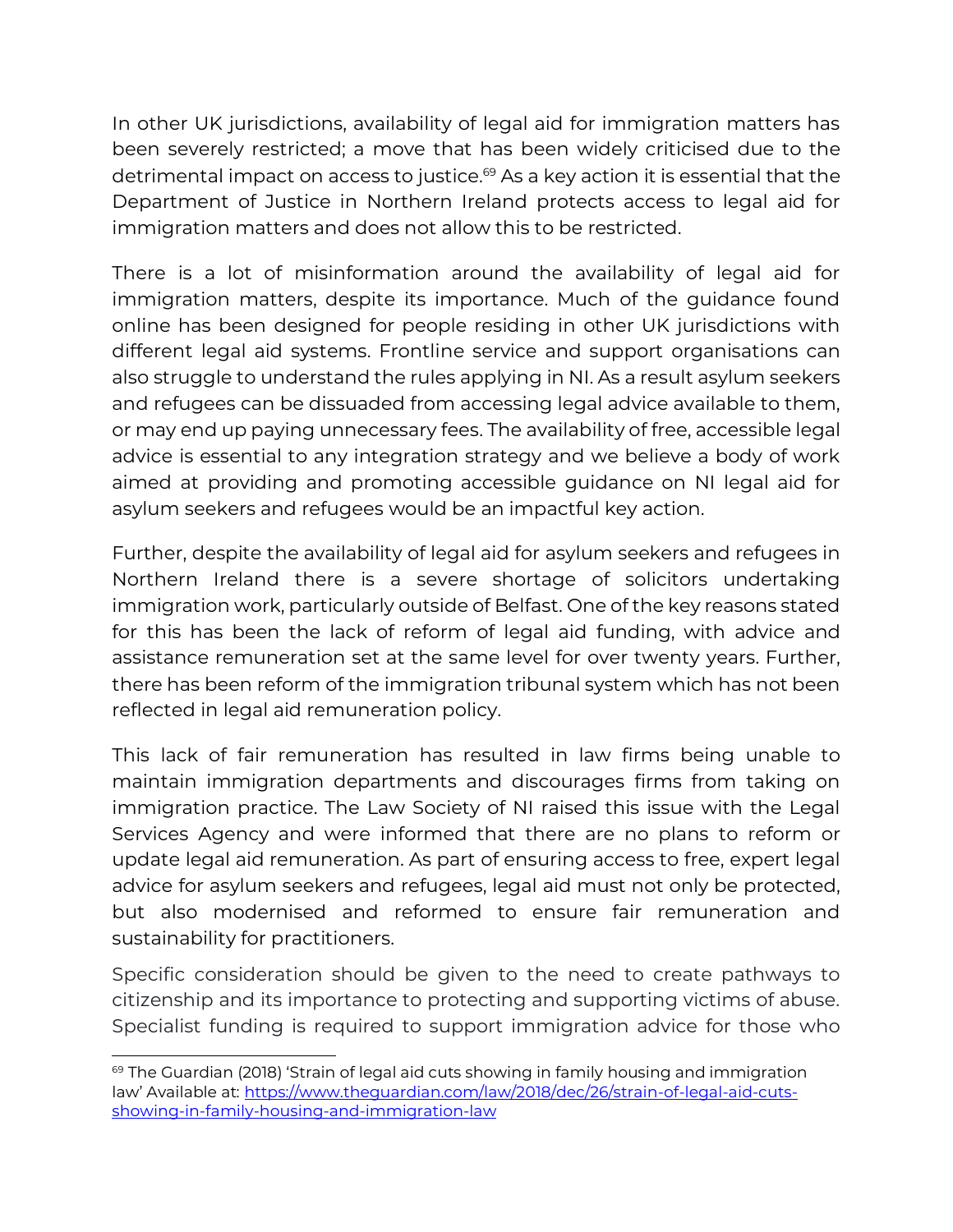In other UK jurisdictions, availability of legal aid for immigration matters has been severely restricted; a move that has been widely criticised due to the detrimental impact on access to justice.<sup>69</sup> As a key action it is essential that the Department of Justice in Northern Ireland protects access to legal aid for immigration matters and does not allow this to be restricted.

There is a lot of misinformation around the availability of legal aid for immigration matters, despite its importance. Much of the guidance found online has been designed for people residing in other UK jurisdictions with different legal aid systems. Frontline service and support organisations can also struggle to understand the rules applying in NI. As a result asylum seekers and refugees can be dissuaded from accessing legal advice available to them, or may end up paying unnecessary fees. The availability of free, accessible legal advice is essential to any integration strategy and we believe a body of work aimed at providing and promoting accessible guidance on NI legal aid for asylum seekers and refugees would be an impactful key action.

Further, despite the availability of legal aid for asylum seekers and refugees in Northern Ireland there is a severe shortage of solicitors undertaking immigration work, particularly outside of Belfast. One of the key reasons stated for this has been the lack of reform of legal aid funding, with advice and assistance remuneration set at the same level for over twenty years. Further, there has been reform of the immigration tribunal system which has not been reflected in legal aid remuneration policy.

This lack of fair remuneration has resulted in law firms being unable to maintain immigration departments and discourages firms from taking on immigration practice. The Law Society of NI raised this issue with the Legal Services Agency and were informed that there are no plans to reform or update legal aid remuneration. As part of ensuring access to free, expert legal advice for asylum seekers and refugees, legal aid must not only be protected, but also modernised and reformed to ensure fair remuneration and sustainability for practitioners.

Specific consideration should be given to the need to create pathways to citizenship and its importance to protecting and supporting victims of abuse. Specialist funding is required to support immigration advice for those who

 $69$  The Guardian (2018) 'Strain of legal aid cuts showing in family housing and immigration law' Available at: [https://www.theguardian.com/law/2018/dec/26/strain-of-legal-aid-cuts](https://www.theguardian.com/law/2018/dec/26/strain-of-legal-aid-cuts-showing-in-family-housing-and-immigration-law)[showing-in-family-housing-and-immigration-law](https://www.theguardian.com/law/2018/dec/26/strain-of-legal-aid-cuts-showing-in-family-housing-and-immigration-law)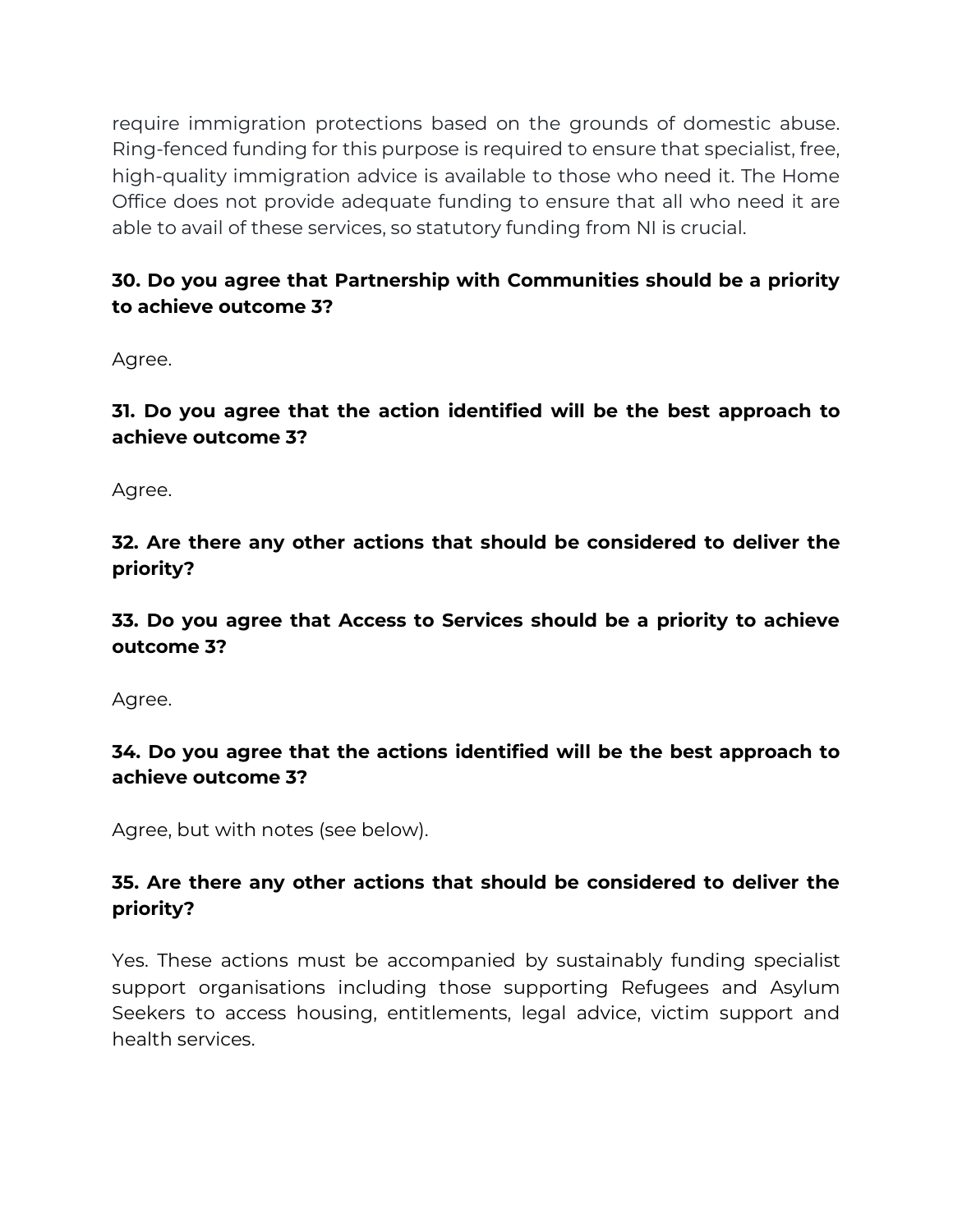require immigration protections based on the grounds of domestic abuse. Ring-fenced funding for this purpose is required to ensure that specialist, free, high-quality immigration advice is available to those who need it. The Home Office does not provide adequate funding to ensure that all who need it are able to avail of these services, so statutory funding from NI is crucial.

## **30. Do you agree that Partnership with Communities should be a priority to achieve outcome 3?**

Agree.

**31. Do you agree that the action identified will be the best approach to achieve outcome 3?** 

Agree.

**32. Are there any other actions that should be considered to deliver the priority?** 

**33. Do you agree that Access to Services should be a priority to achieve outcome 3?** 

Agree.

#### **34. Do you agree that the actions identified will be the best approach to achieve outcome 3?**

Agree, but with notes (see below).

## **35. Are there any other actions that should be considered to deliver the priority?**

Yes. These actions must be accompanied by sustainably funding specialist support organisations including those supporting Refugees and Asylum Seekers to access housing, entitlements, legal advice, victim support and health services.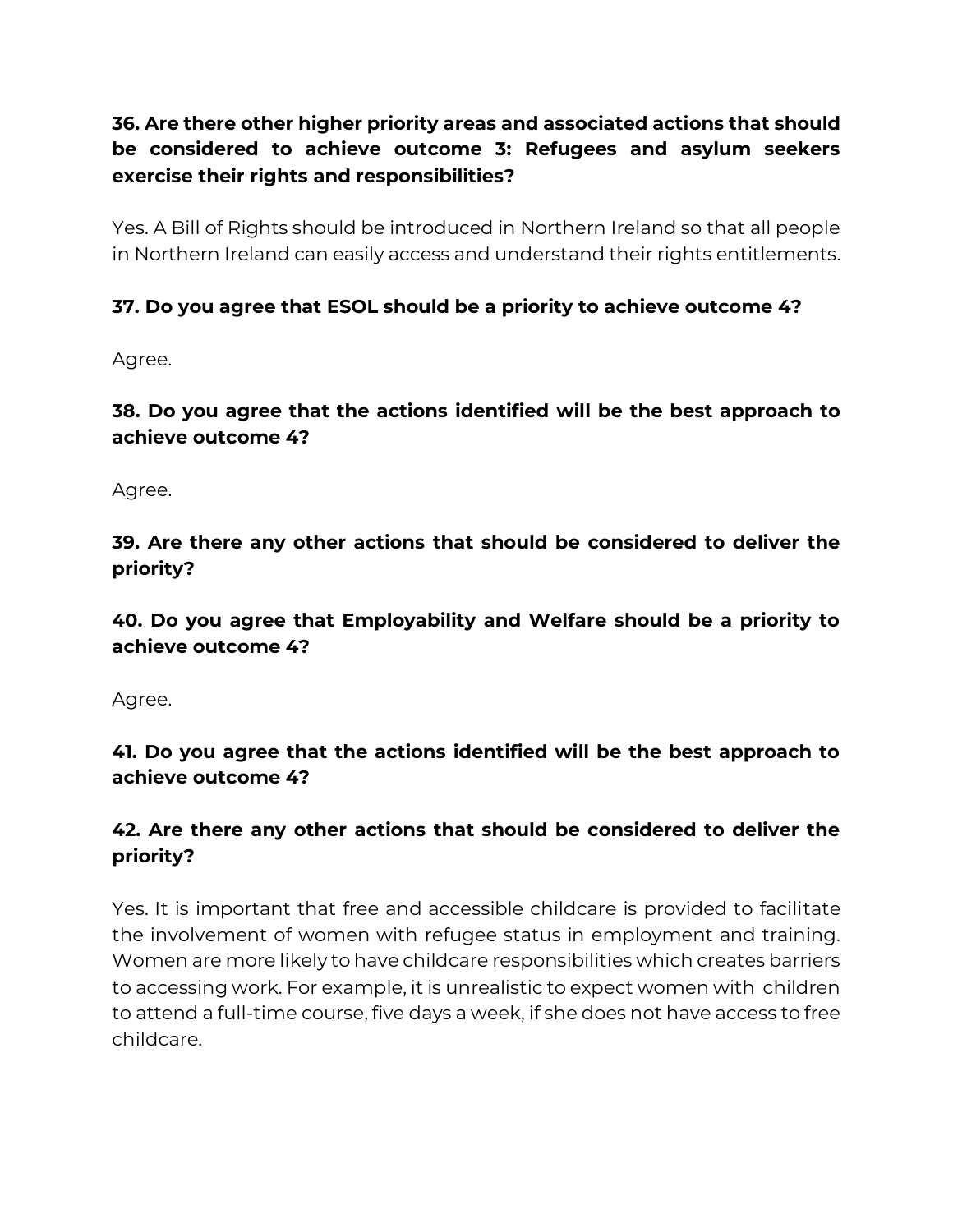# **36. Are there other higher priority areas and associated actions that should be considered to achieve outcome 3: Refugees and asylum seekers exercise their rights and responsibilities?**

Yes. A Bill of Rights should be introduced in Northern Ireland so that all people in Northern Ireland can easily access and understand their rights entitlements.

#### **37. Do you agree that ESOL should be a priority to achieve outcome 4?**

Agree.

**38. Do you agree that the actions identified will be the best approach to achieve outcome 4?** 

Agree.

**39. Are there any other actions that should be considered to deliver the priority?** 

**40. Do you agree that Employability and Welfare should be a priority to achieve outcome 4?** 

Agree.

**41. Do you agree that the actions identified will be the best approach to achieve outcome 4?** 

#### **42. Are there any other actions that should be considered to deliver the priority?**

Yes. It is important that free and accessible childcare is provided to facilitate the involvement of women with refugee status in employment and training. Women are more likely to have childcare responsibilities which creates barriers to accessing work. For example, it is unrealistic to expect women with children to attend a full-time course, five days a week, if she does not have access to free childcare.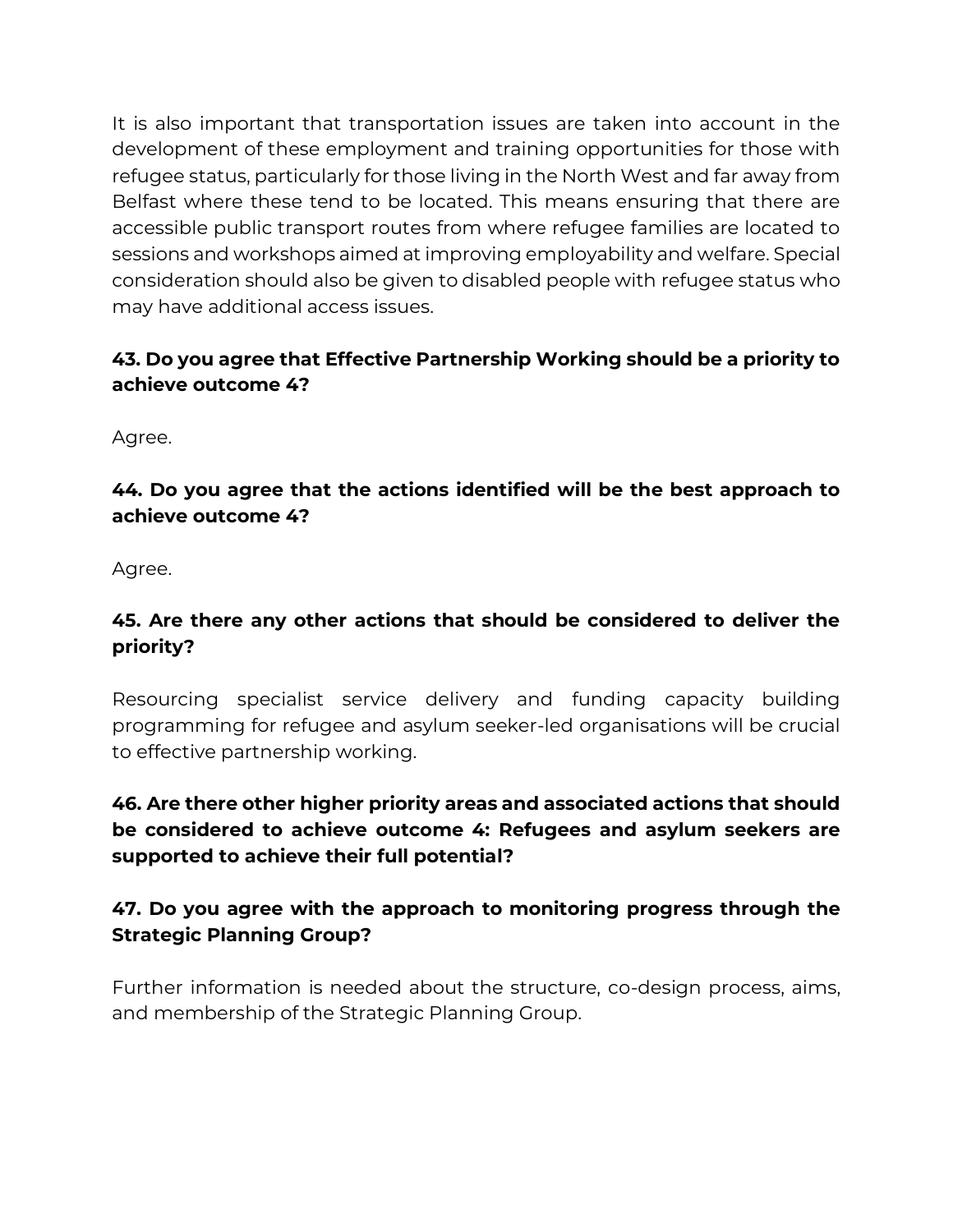It is also important that transportation issues are taken into account in the development of these employment and training opportunities for those with refugee status, particularly for those living in the North West and far away from Belfast where these tend to be located. This means ensuring that there are accessible public transport routes from where refugee families are located to sessions and workshops aimed at improving employability and welfare. Special consideration should also be given to disabled people with refugee status who may have additional access issues.

# **43. Do you agree that Effective Partnership Working should be a priority to achieve outcome 4?**

Agree.

## **44. Do you agree that the actions identified will be the best approach to achieve outcome 4?**

Agree.

# **45. Are there any other actions that should be considered to deliver the priority?**

Resourcing specialist service delivery and funding capacity building programming for refugee and asylum seeker-led organisations will be crucial to effective partnership working.

# **46. Are there other higher priority areas and associated actions that should be considered to achieve outcome 4: Refugees and asylum seekers are supported to achieve their full potential?**

# **47. Do you agree with the approach to monitoring progress through the Strategic Planning Group?**

Further information is needed about the structure, co-design process, aims, and membership of the Strategic Planning Group.